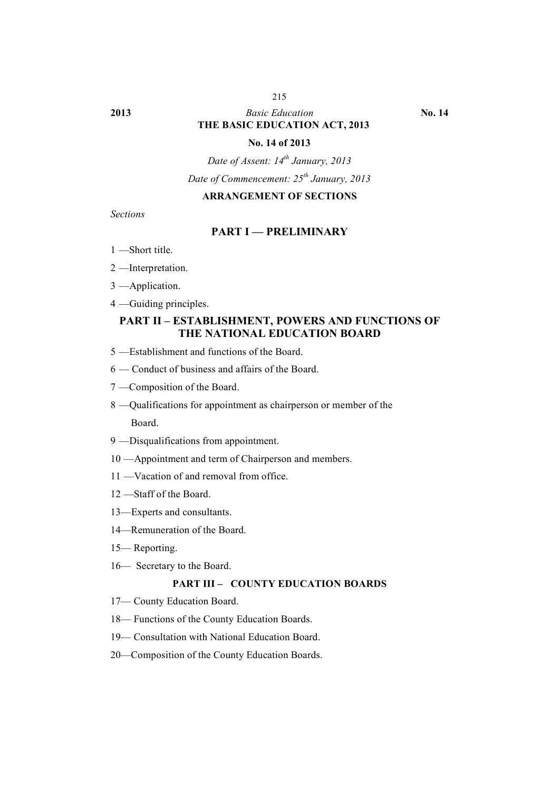#### 215

# **2013** *Basic Education* **No. 14 THE BASIC EDUCATION ACT, 2013**

#### **No. 14 of 2013**

*Date of Assent: 14th January, 2013*

*Date of Commencement: 25th January, 2013*

#### **ARRANGEMENT OF SECTIONS**

*Sections*

#### **PART I — PRELIMINARY**

- 1 —Short title.
- 2 —Interpretation.
- 3 —Application.
- 4 —Guiding principles.

# **PART II – ESTABLISHMENT, POWERS AND FUNCTIONS OF THE NATIONAL EDUCATION BOARD**

- 5 —Establishment and functions of the Board.
- 6 Conduct of business and affairs of the Board.
- 7 —Composition of the Board.
- 8 —Qualifications for appointment as chairperson or member of the Board.
- 9 —Disqualifications from appointment.
- 10 —Appointment and term of Chairperson and members.
- 11 —Vacation of and removal from office.
- 12 —Staff of the Board.
- 13—Experts and consultants.
- 14—Remuneration of the Board.
- 15— Reporting.
- 16— Secretary to the Board.

#### **PART III – COUNTY EDUCATION BOARDS**

- 17— County Education Board.
- 18— Functions of the County Education Boards.
- 19— Consultation with National Education Board.
- 20—Composition of the County Education Boards.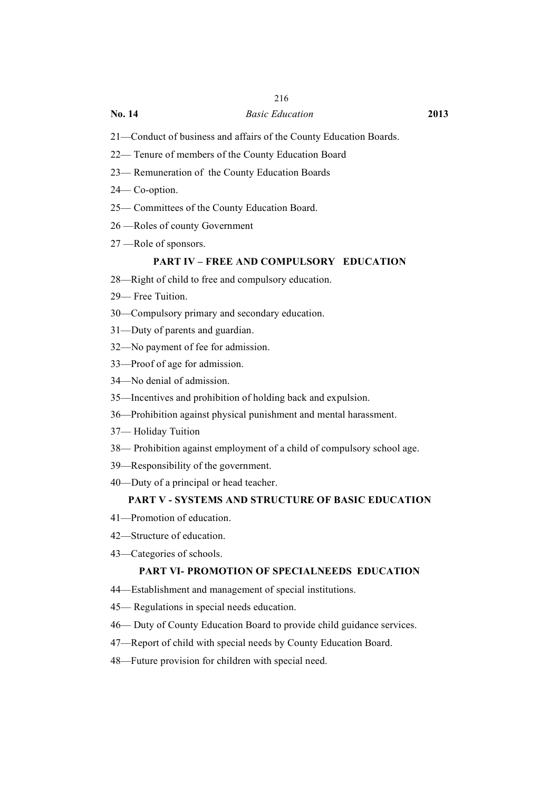# 216

#### **No. 14** *Basic Education* **2013**

- 21—Conduct of business and affairs of the County Education Boards.
- 22— Tenure of members of the County Education Board
- 23— Remuneration of the County Education Boards
- 24— Co-option.
- 25— Committees of the County Education Board.
- 26 —Roles of county Government
- 27 —Role of sponsors.

#### **PART IV – FREE AND COMPULSORY EDUCATION**

- 28—Right of child to free and compulsory education.
- 29— Free Tuition.
- 30—Compulsory primary and secondary education.
- 31—Duty of parents and guardian.
- 32—No payment of fee for admission.
- 33—Proof of age for admission.
- 34—No denial of admission.
- 35—Incentives and prohibition of holding back and expulsion.
- 36—Prohibition against physical punishment and mental harassment.
- 37— Holiday Tuition
- 38— Prohibition against employment of a child of compulsory school age.
- 39—Responsibility of the government.
- 40—Duty of a principal or head teacher.

#### **PART V - SYSTEMS AND STRUCTURE OF BASIC EDUCATION**

- 41—Promotion of education.
- 42—Structure of education.
- 43—Categories of schools.

#### **PART VI- PROMOTION OF SPECIALNEEDS EDUCATION**

- 44—Establishment and management of special institutions.
- 45— Regulations in special needs education.
- 46— Duty of County Education Board to provide child guidance services.
- 47—Report of child with special needs by County Education Board.
- 48—Future provision for children with special need.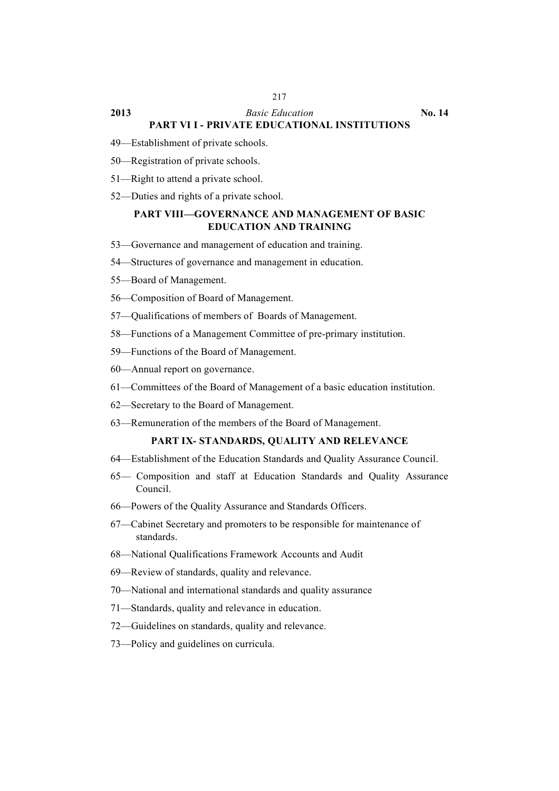### **2013** *Basic Education* **No. 14 PART VI I - PRIVATE EDUCATIONAL INSTITUTIONS**

- 49—Establishment of private schools.
- 50—Registration of private schools.
- 51—Right to attend a private school.
- 52—Duties and rights of a private school.

# **PART VIII—GOVERNANCE AND MANAGEMENT OF BASIC EDUCATION AND TRAINING**

- 53—Governance and management of education and training.
- 54—Structures of governance and management in education.
- 55—Board of Management.
- 56—Composition of Board of Management.
- 57—Qualifications of members of Boards of Management.
- 58—Functions of a Management Committee of pre-primary institution.
- 59—Functions of the Board of Management.
- 60—Annual report on governance.
- 61—Committees of the Board of Management of a basic education institution.
- 62—Secretary to the Board of Management.
- 63—Remuneration of the members of the Board of Management.

# **PART IX- STANDARDS, QUALITY AND RELEVANCE**

- 64—Establishment of the Education Standards and Quality Assurance Council.
- 65— Composition and staff at Education Standards and Quality Assurance Council.
- 66—Powers of the Quality Assurance and Standards Officers.
- 67—Cabinet Secretary and promoters to be responsible for maintenance of standards.
- 68—National Qualifications Framework Accounts and Audit
- 69—Review of standards, quality and relevance.
- 70—National and international standards and quality assurance
- 71—Standards, quality and relevance in education.
- 72—Guidelines on standards, quality and relevance.
- 73—Policy and guidelines on curricula.

#### 217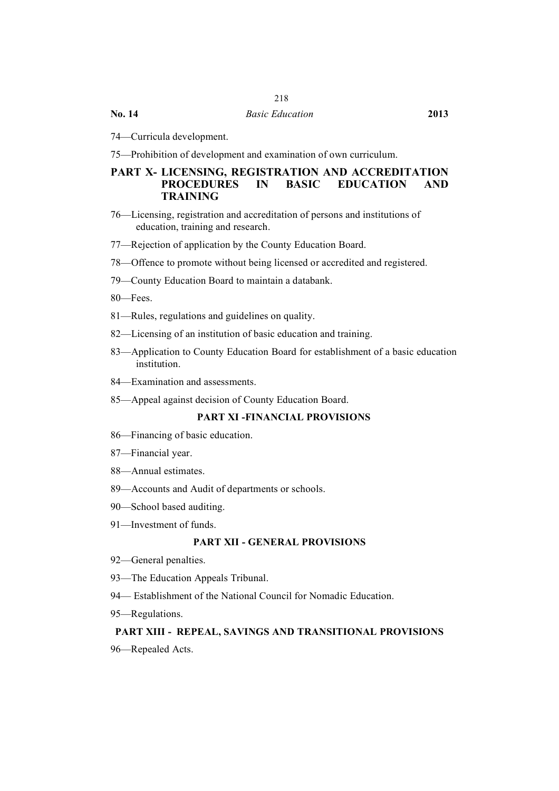# 218

**No. 14** *Basic Education* **2013**

74—Curricula development.

75—Prohibition of development and examination of own curriculum.

# **PART X- LICENSING, REGISTRATION AND ACCREDITATION PROCEDURES IN BASIC EDUCATION AND TRAINING**

- 76—Licensing, registration and accreditation of persons and institutions of education, training and research.
- 77—Rejection of application by the County Education Board.
- 78—Offence to promote without being licensed or accredited and registered.
- 79—County Education Board to maintain a databank.
- 80—Fees.
- 81—Rules, regulations and guidelines on quality.
- 82—Licensing of an institution of basic education and training.
- 83—Application to County Education Board for establishment of a basic education institution.
- 84—Examination and assessments.
- 85—Appeal against decision of County Education Board.

#### **PART XI -FINANCIAL PROVISIONS**

- 86—Financing of basic education.
- 87—Financial year.
- 88—Annual estimates.
- 89—Accounts and Audit of departments or schools.
- 90—School based auditing.
- 91—Investment of funds.

# **PART XII - GENERAL PROVISIONS**

- 92—General penalties.
- 93—The Education Appeals Tribunal.
- 94— Establishment of the National Council for Nomadic Education.
- 95—Regulations.

#### **PART XIII - REPEAL, SAVINGS AND TRANSITIONAL PROVISIONS**

96—Repealed Acts.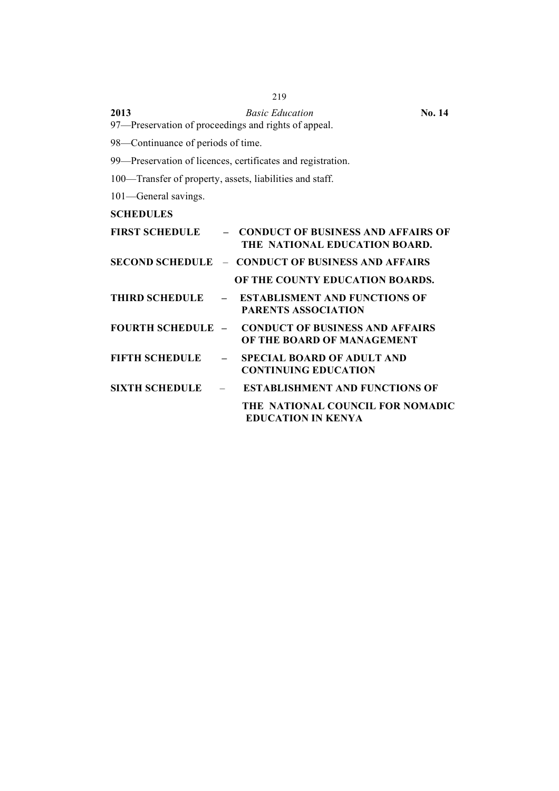| 2013 | <b>Basic Education</b>                               | <b>No. 14</b> |
|------|------------------------------------------------------|---------------|
|      | 97—Preservation of proceedings and rights of appeal. |               |

98—Continuance of periods of time.

99—Preservation of licences, certificates and registration.

100—Transfer of property, assets, liabilities and staff.

101—General savings.

**SCHEDULES**

| <b>FIRST SCHEDULE</b> | - CONDUCT OF BUSINESS AND AFFAIRS OF<br>THE NATIONAL EDUCATION BOARD.                  |
|-----------------------|----------------------------------------------------------------------------------------|
|                       | <b>SECOND SCHEDULE - CONDUCT OF BUSINESS AND AFFAIRS</b>                               |
|                       | OF THE COUNTY EDUCATION BOARDS.                                                        |
|                       | THIRD SCHEDULE - ESTABLISMENT AND FUNCTIONS OF<br><b>PARENTS ASSOCIATION</b>           |
|                       | <b>FOURTH SCHEDULE - CONDUCT OF BUSINESS AND AFFAIRS</b><br>OF THE BOARD OF MANAGEMENT |
| $FIFTH SCHEDULE$ $-$  | <b>SPECIAL BOARD OF ADULT AND</b><br><b>CONTINUING EDUCATION</b>                       |
| $SIXTH SCHEDULE$ -    | <b>ESTABLISHMENT AND FUNCTIONS OF</b>                                                  |
|                       | THE NATIONAL COUNCIL FOR NOMADIC<br><b>EDUCATION IN KENYA</b>                          |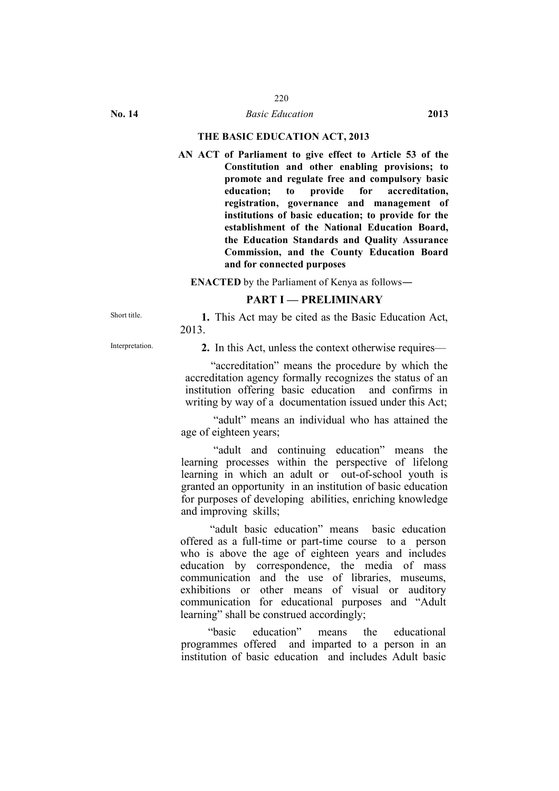#### **THE BASIC EDUCATION ACT, 2013**

**AN ACT of Parliament to give effect to Article 53 of the Constitution and other enabling provisions; to promote and regulate free and compulsory basic education; to provide for accreditation, registration, governance and management of institutions of basic education; to provide for the establishment of the National Education Board, the Education Standards and Quality Assurance Commission, and the County Education Board and for connected purposes**

**ENACTED** by the Parliament of Kenya as follows―

# **PART I — PRELIMINARY**

Short title. **1.** This Act may be cited as the Basic Education Act, 2013.

Interpretation. **2.** In this Act, unless the context otherwise requires—

"accreditation" means the procedure by which the accreditation agency formally recognizes the status of an institution offering basic education and confirms in writing by way of a documentation issued under this Act;

"adult" means an individual who has attained the age of eighteen years;

"adult and continuing education" means the learning processes within the perspective of lifelong learning in which an adult or out-of-school youth is granted an opportunity in an institution of basic education for purposes of developing abilities, enriching knowledge and improving skills;

"adult basic education" means basic education offered as a full-time or part-time course to a person who is above the age of eighteen years and includes education by correspondence, the media of mass communication and the use of libraries, museums, exhibitions or other means of visual or auditory communication for educational purposes and "Adult learning" shall be construed accordingly;

"basic education" means the educational programmes offered and imparted to a person in an institution of basic education and includes Adult basic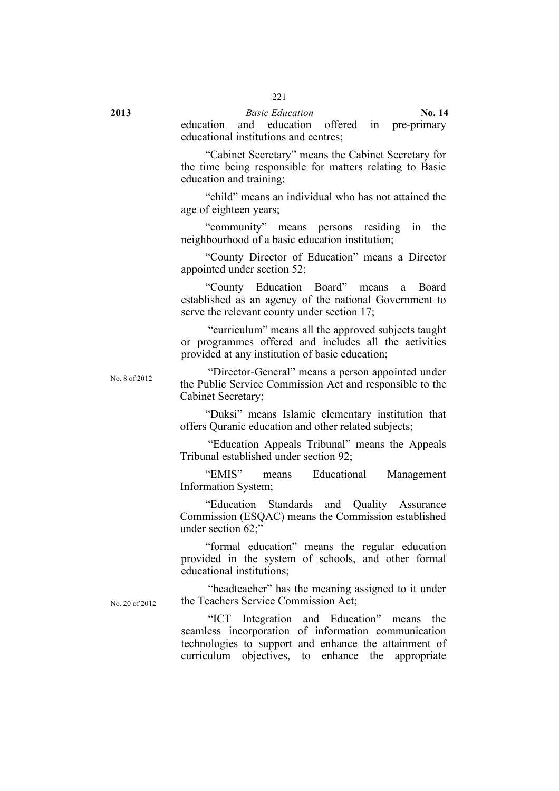# **2013** *Basic Education* **No. 14** education and education offered in pre-primary

educational institutions and centres; "Cabinet Secretary" means the Cabinet Secretary for

the time being responsible for matters relating to Basic education and training;

"child" means an individual who has not attained the age of eighteen years;

"community" means persons residing in the neighbourhood of a basic education institution;

"County Director of Education" means a Director appointed under section 52;

"County Education Board" means a Board established as an agency of the national Government to serve the relevant county under section 17;

"curriculum" means all the approved subjects taught or programmes offered and includes all the activities provided at any institution of basic education;

No. 20 of 2012

No. <sup>8</sup> of 2012 "Director-General" means a person appointed under the Public Service Commission Act and responsible to the Cabinet Secretary;

> "Duksi" means Islamic elementary institution that offers Quranic education and other related subjects;

> "Education Appeals Tribunal" means the Appeals Tribunal established under section 92;

> "EMIS" means Educational Management Information System;

> "Education Standards and Quality Assurance Commission (ESQAC) means the Commission established under section 62;"

> "formal education" means the regular education provided in the system of schools, and other formal educational institutions;

"headteacher" has the meaning assigned to it under the Teachers Service Commission Act;

"ICT Integration and Education" means the seamless incorporation of information communication technologies to support and enhance the attainment of curriculum objectives, to enhance the appropriate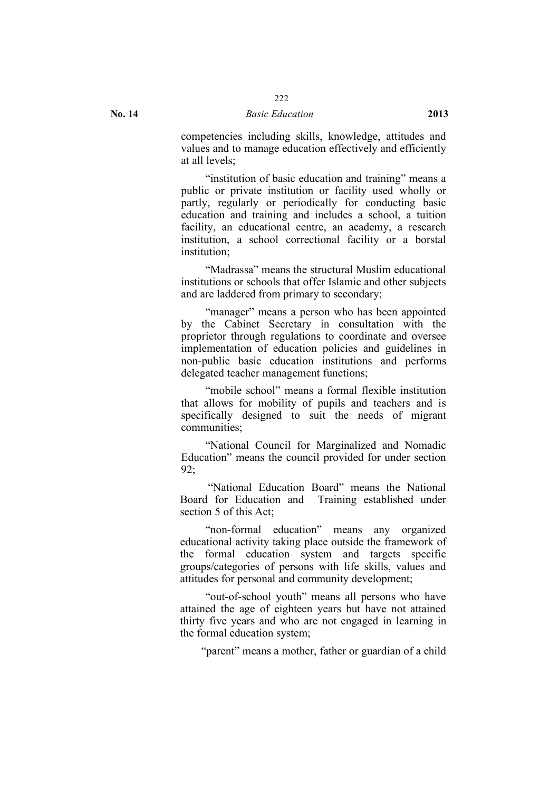competencies including skills, knowledge, attitudes and values and to manage education effectively and efficiently at all levels;

"institution of basic education and training" means a public or private institution or facility used wholly or partly, regularly or periodically for conducting basic education and training and includes a school, a tuition facility, an educational centre, an academy, a research institution, a school correctional facility or a borstal institution;

"Madrassa" means the structural Muslim educational institutions or schools that offer Islamic and other subjects and are laddered from primary to secondary;

"manager" means a person who has been appointed by the Cabinet Secretary in consultation with the proprietor through regulations to coordinate and oversee implementation of education policies and guidelines in non-public basic education institutions and performs delegated teacher management functions;

"mobile school" means a formal flexible institution that allows for mobility of pupils and teachers and is specifically designed to suit the needs of migrant communities;

"National Council for Marginalized and Nomadic Education" means the council provided for under section 92;

"National Education Board" means the National Board for Education and Training established under section 5 of this Act;

"non-formal education" means any organized educational activity taking place outside the framework of the formal education system and targets specific groups/categories of persons with life skills, values and attitudes for personal and community development;

"out-of-school youth" means all persons who have attained the age of eighteen years but have not attained thirty five years and who are not engaged in learning in the formal education system;

"parent" means a mother, father or guardian of a child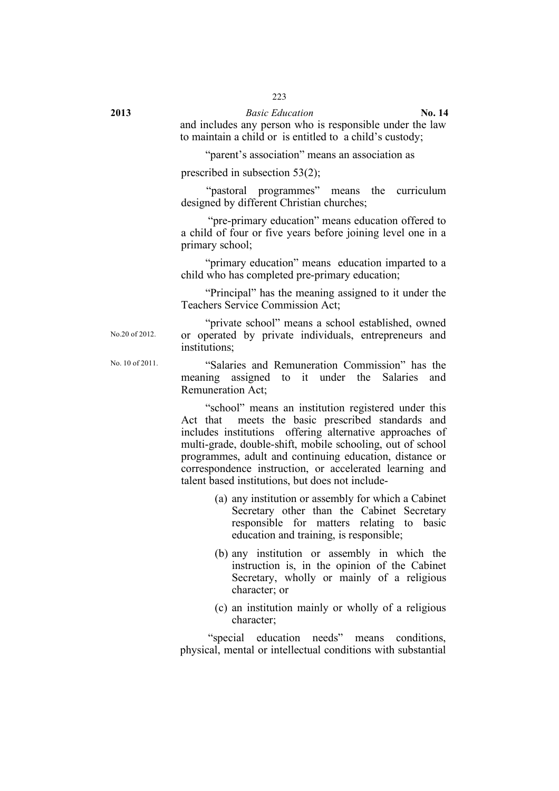and includes any person who is responsible under the law to maintain a child or is entitled to a child's custody;

"parent's association" means an association as

prescribed in subsection 53(2);

"pastoral programmes" means the curriculum designed by different Christian churches;

"pre-primary education" means education offered to a child of four or five years before joining level one in a primary school;

"primary education" means education imparted to a child who has completed pre-primary education;

"Principal" has the meaning assigned to it under the Teachers Service Commission Act;

"private school" means a school established, owned or operated by private individuals, entrepreneurs and institutions;

No.20 of 2012.

No. <sup>10</sup> of 2011. "Salaries and Remuneration Commission" has the meaning assigned to it under the Salaries and Remuneration Act;

> "school" means an institution registered under this Act that meets the basic prescribed standards and includes institutions offering alternative approaches of multi-grade, double-shift, mobile schooling, out of school programmes, adult and continuing education, distance or correspondence instruction, or accelerated learning and talent based institutions, but does not include-

- (a) any institution or assembly for which a Cabinet Secretary other than the Cabinet Secretary responsible for matters relating to basic education and training, is responsible;
- (b) any institution or assembly in which the instruction is, in the opinion of the Cabinet Secretary, wholly or mainly of a religious character; or
- (c) an institution mainly or wholly of a religious character;

"special education needs" means conditions, physical, mental or intellectual conditions with substantial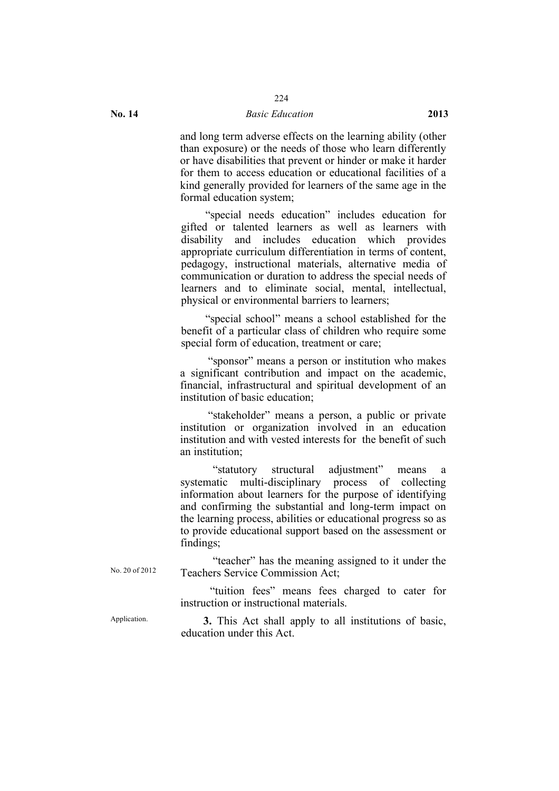and long term adverse effects on the learning ability (other than exposure) or the needs of those who learn differently or have disabilities that prevent or hinder or make it harder for them to access education or educational facilities of a kind generally provided for learners of the same age in the formal education system;

"special needs education" includes education for gifted or talented learners as well as learners with disability and includes education which provides appropriate curriculum differentiation in terms of content, pedagogy, instructional materials, alternative media of communication or duration to address the special needs of learners and to eliminate social, mental, intellectual, physical or environmental barriers to learners;

"special school" means a school established for the benefit of a particular class of children who require some special form of education, treatment or care;

"sponsor" means a person or institution who makes a significant contribution and impact on the academic, financial, infrastructural and spiritual development of an institution of basic education;

"stakeholder" means a person, a public or private institution or organization involved in an education institution and with vested interests for the benefit of such an institution;

"statutory structural adjustment" means a systematic multi-disciplinary process of collecting information about learners for the purpose of identifying and confirming the substantial and long-term impact on the learning process, abilities or educational progress so as to provide educational support based on the assessment or findings;

"teacher" has the meaning assigned to it under the Teachers Service Commission Act;

"tuition fees" means fees charged to cater for instruction or instructional materials.

Application. **3.** This Act shall apply to all institutions of basic, education under this Act.

No. 20 of 2012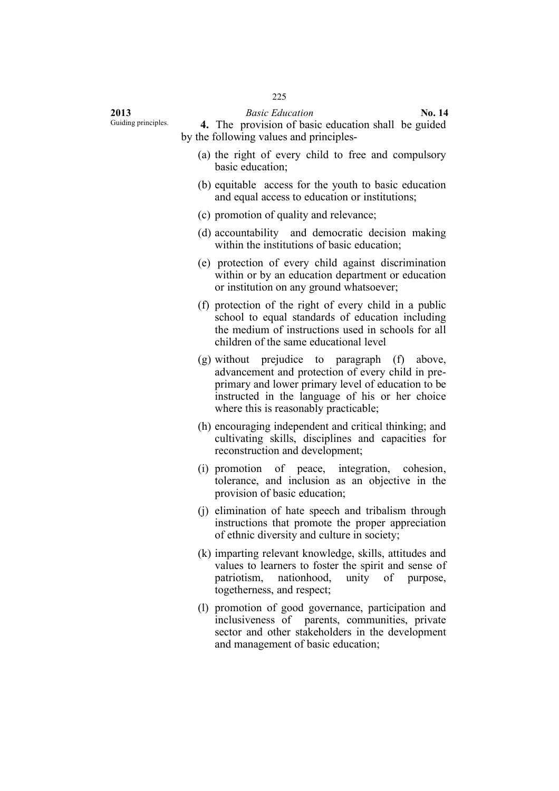Guiding principles. **4.** The provision of basic education shall be guided by the following values and principles-

- (a) the right of every child to free and compulsory basic education;
- (b) equitable access for the youth to basic education and equal access to education or institutions;
- (c) promotion of quality and relevance;
- (d) accountability and democratic decision making within the institutions of basic education;
- (e) protection of every child against discrimination within or by an education department or education or institution on any ground whatsoever;
- (f) protection of the right of every child in a public school to equal standards of education including the medium of instructions used in schools for all children of the same educational level
- (g) without prejudice to paragraph (f) above, advancement and protection of every child in preprimary and lower primary level of education to be instructed in the language of his or her choice where this is reasonably practicable;
- (h) encouraging independent and critical thinking; and cultivating skills, disciplines and capacities for reconstruction and development;
- (i) promotion of peace, integration, cohesion, tolerance, and inclusion as an objective in the provision of basic education;
- (j) elimination of hate speech and tribalism through instructions that promote the proper appreciation of ethnic diversity and culture in society;
- (k) imparting relevant knowledge, skills, attitudes and values to learners to foster the spirit and sense of patriotism, nationhood, unity of purpose, togetherness, and respect;
- (l) promotion of good governance, participation and inclusiveness of parents, communities, private sector and other stakeholders in the development and management of basic education;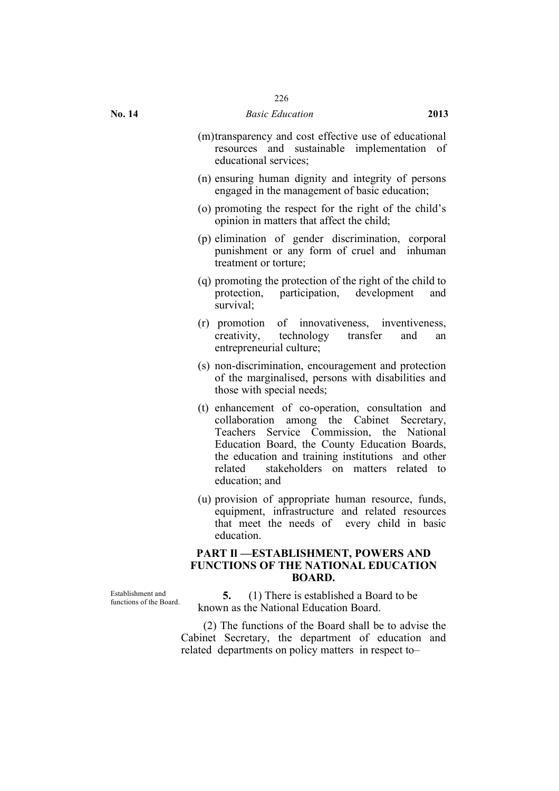- (m)transparency and cost effective use of educational resources and sustainable implementation of educational services;
- (n) ensuring human dignity and integrity of persons engaged in the management of basic education;
- (o) promoting the respect for the right of the child's opinion in matters that affect the child;
- (p) elimination of gender discrimination, corporal punishment or any form of cruel and inhuman treatment or torture;
- (q) promoting the protection of the right of the child to protection, participation, development and survival;
- (r) promotion of innovativeness, inventiveness, creativity, technology transfer and an entrepreneurial culture;
- (s) non-discrimination, encouragement and protection of the marginalised, persons with disabilities and those with special needs;
- (t) enhancement of co-operation, consultation and collaboration among the Cabinet Secretary, Teachers Service Commission, the National Education Board, the County Education Boards, the education and training institutions and other related stakeholders on matters related to education; and
- (u) provision of appropriate human resource, funds, equipment, infrastructure and related resources that meet the needs of every child in basic education.

# **PART Il —ESTABLISHMENT, POWERS AND FUNCTIONS OF THE NATIONAL EDUCATION BOARD.**

Establishment and

**5.** (1) There is established a Board to be known as the National Education Board.

(2) The functions of the Board shall be to advise the Cabinet Secretary, the department of education and related departments on policy matters in respect to–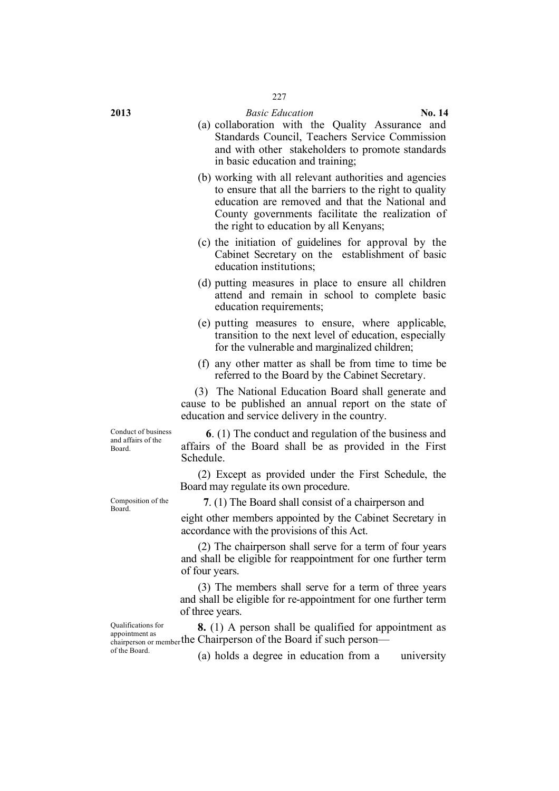- (a) collaboration with the Quality Assurance and Standards Council, Teachers Service Commission and with other stakeholders to promote standards in basic education and training;
- (b) working with all relevant authorities and agencies to ensure that all the barriers to the right to quality education are removed and that the National and County governments facilitate the realization of the right to education by all Kenyans;
- (c) the initiation of guidelines for approval by the Cabinet Secretary on the establishment of basic education institutions;
- (d) putting measures in place to ensure all children attend and remain in school to complete basic education requirements;
- (e) putting measures to ensure, where applicable, transition to the next level of education, especially for the vulnerable and marginalized children;
- (f) any other matter as shall be from time to time be referred to the Board by the Cabinet Secretary.

(3) The National Education Board shall generate and cause to be published an annual report on the state of education and service delivery in the country.

Conduct of business and affairs of the Board.

**6**. (1) The conduct and regulation of the business and affairs of the Board shall be as provided in the First Schedule.

(2) Except as provided under the First Schedule, the Board may regulate its own procedure.

Composition of the

Board. **7**. (1) The Board shall consist of a chairperson and

eight other members appointed by the Cabinet Secretary in accordance with the provisions of this Act.

(2) The chairperson shall serve for a term of four years and shall be eligible for reappointment for one further term of four years.

(3) The members shall serve for a term of three years and shall be eligible for re-appointment for one further term of three years.

chairperson or member the Chairperson of the Board if such person— **8.** (1) A person shall be qualified for appointment as

Qualifications for appointment as of the Board.

(a) holds a degree in education from a university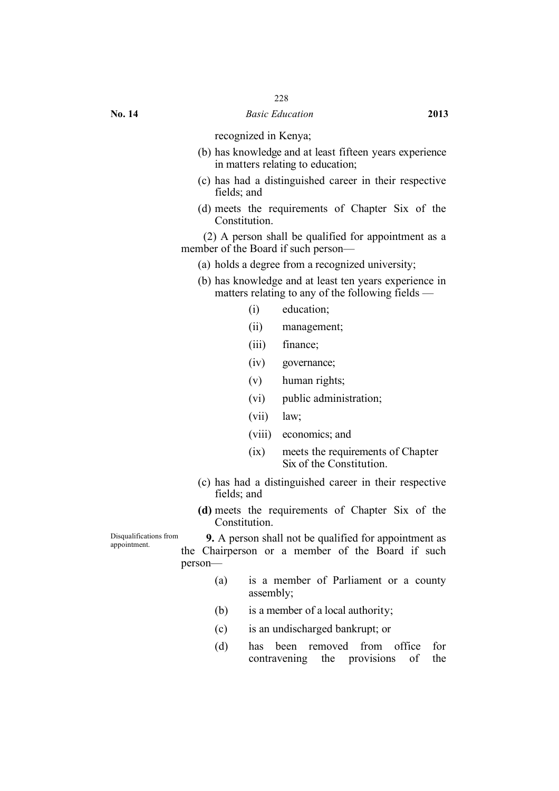recognized in Kenya;

- (b) has knowledge and at least fifteen years experience in matters relating to education;
- (c) has had a distinguished career in their respective fields; and
- (d) meets the requirements of Chapter Six of the Constitution.

(2) A person shall be qualified for appointment as a member of the Board if such person—

- (a) holds a degree from a recognized university;
- (b) has knowledge and at least ten years experience in matters relating to any of the following fields —
	- (i) education;
	- (ii) management;
	- (iii) finance;
	- (iv) governance;
	- (v) human rights;
	- (vi) public administration;
	- (vii) law;
	- (viii) economics; and
	- (ix) meets the requirements of Chapter Six of the Constitution.
- (c) has had a distinguished career in their respective fields; and
- **(d)** meets the requirements of Chapter Six of the Constitution.

Disqualifications from

Disqualifications from **9.** A person shall not be qualified for appointment as appointment. the Chairperson or a member of the Board if such person—

- (a) is a member of Parliament or a county assembly;
- (b) is a member of a local authority;
- (c) is an undischarged bankrupt; or
- (d) has been removed from office for contravening the provisions of the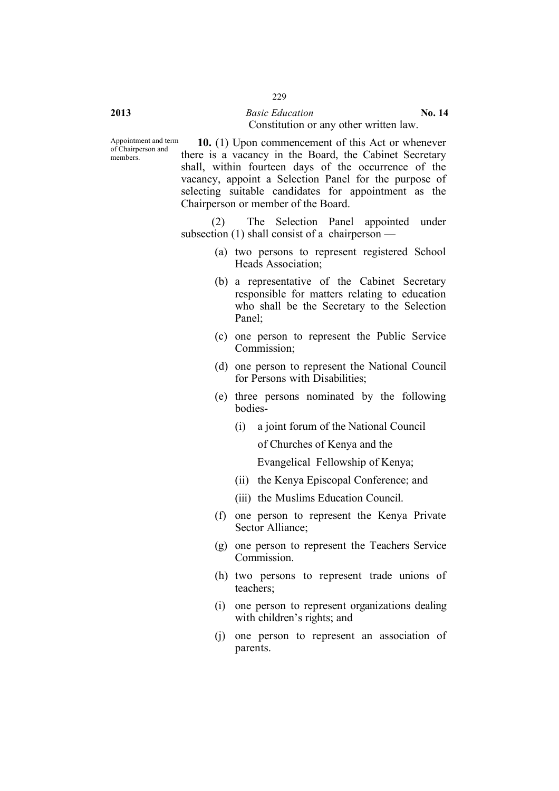#### **2013** *Basic Education* **No. 14** Constitution or any other written law.

**10.** (1) Upon commencement of this Act or whenever there is a vacancy in the Board, the Cabinet Secretary shall, within fourteen days of the occurrence of the vacancy, appoint a Selection Panel for the purpose of selecting suitable candidates for appointment as the Chairperson or member of the Board.

(2) The Selection Panel appointed under subsection (1) shall consist of a chairperson —

- (a) two persons to represent registered School Heads Association;
- (b) a representative of the Cabinet Secretary responsible for matters relating to education who shall be the Secretary to the Selection Panel;
- (c) one person to represent the Public Service Commission;
- (d) one person to represent the National Council for Persons with Disabilities;
- (e) three persons nominated by the following bodies-
	- (i) a joint forum of the National Council of Churches of Kenya and the

Evangelical Fellowship of Kenya;

- (ii) the Kenya Episcopal Conference; and
- (iii) the Muslims Education Council.
- (f) one person to represent the Kenya Private Sector Alliance;
- (g) one person to represent the Teachers Service Commission.
- (h) two persons to represent trade unions of teachers;
- (i) one person to represent organizations dealing with children's rights; and
- (j) one person to represent an association of parents.

members.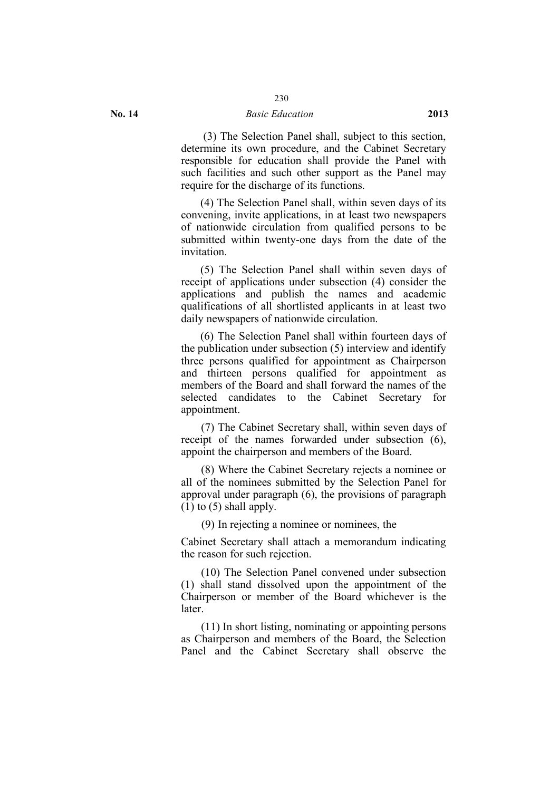# 230

#### **No. 14** *Basic Education* **2013**

(3) The Selection Panel shall, subject to this section, determine its own procedure, and the Cabinet Secretary responsible for education shall provide the Panel with such facilities and such other support as the Panel may require for the discharge of its functions.

(4) The Selection Panel shall, within seven days of its convening, invite applications, in at least two newspapers of nationwide circulation from qualified persons to be submitted within twenty-one days from the date of the invitation.

(5) The Selection Panel shall within seven days of receipt of applications under subsection (4) consider the applications and publish the names and academic qualifications of all shortlisted applicants in at least two daily newspapers of nationwide circulation.

(6) The Selection Panel shall within fourteen days of the publication under subsection (5) interview and identify three persons qualified for appointment as Chairperson and thirteen persons qualified for appointment as members of the Board and shall forward the names of the selected candidates to the Cabinet Secretary for appointment.

(7) The Cabinet Secretary shall, within seven days of receipt of the names forwarded under subsection (6), appoint the chairperson and members of the Board.

(8) Where the Cabinet Secretary rejects a nominee or all of the nominees submitted by the Selection Panel for approval under paragraph (6), the provisions of paragraph  $(1)$  to  $(5)$  shall apply.

(9) In rejecting a nominee or nominees, the

Cabinet Secretary shall attach a memorandum indicating the reason for such rejection.

(10) The Selection Panel convened under subsection (1) shall stand dissolved upon the appointment of the Chairperson or member of the Board whichever is the later.

(11) In short listing, nominating or appointing persons as Chairperson and members of the Board, the Selection Panel and the Cabinet Secretary shall observe the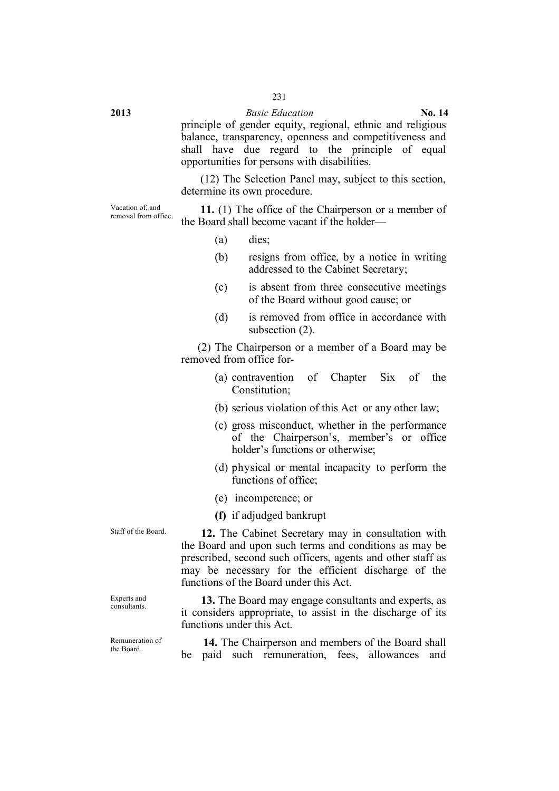principle of gender equity, regional, ethnic and religious balance, transparency, openness and competitiveness and shall have due regard to the principle of equal opportunities for persons with disabilities.

(12) The Selection Panel may, subject to this section, determine its own procedure.

Vacation of, and<br>removal from office.

**11.** (1) The office of the Chairperson or a member of the Board shall become vacant if the holder—

- (a) dies;
- (b) resigns from office, by a notice in writing addressed to the Cabinet Secretary;
- (c) is absent from three consecutive meetings of the Board without good cause; or
- (d) is removed from office in accordance with subsection (2).

(2) The Chairperson or a member of a Board may be removed from office for-

- (a) contravention of Chapter Six of the Constitution;
- (b) serious violation of this Act or any other law;
- (c) gross misconduct, whether in the performance of the Chairperson's, member's or office holder's functions or otherwise;
- (d) physical or mental incapacity to perform the functions of office;
- (e) incompetence; or
- **(f)** if adjudged bankrupt

Experts and

Remuneration of

Staff of the Board. **12.** The Cabinet Secretary may in consultation with the Board and upon such terms and conditions as may be prescribed, second such officers, agents and other staff as may be necessary for the efficient discharge of the functions of the Board under this Act.

Experts and **13.** The Board may engage consultants and experts, as consultants it considers appropriate, to assist in the discharge of its functions under this Act.

Remuneration of **14.** The Chairperson and members of the Board shall the Board. be paid such remuneration, fees, allowances and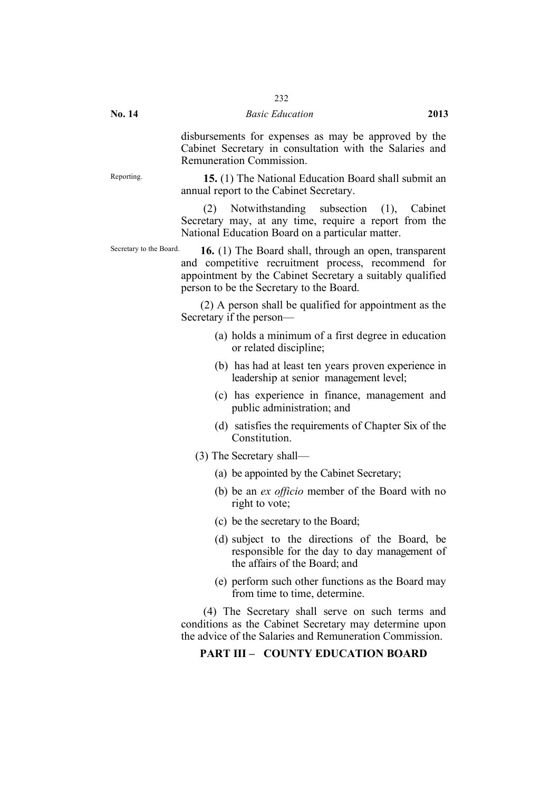disbursements for expenses as may be approved by the Cabinet Secretary in consultation with the Salaries and Remuneration Commission.

Reporting. **15.** (1) The National Education Board shall submit an annual report to the Cabinet Secretary.

> (2) Notwithstanding subsection (1), Cabinet Secretary may, at any time, require a report from the National Education Board on a particular matter.

Secretary to the Board. **16.** (1) The Board shall, through an open, transparent and competitive recruitment process, recommend for appointment by the Cabinet Secretary a suitably qualified person to be the Secretary to the Board.

> (2) A person shall be qualified for appointment as the Secretary if the person—

- (a) holds a minimum of a first degree in education or related discipline;
- (b) has had at least ten years proven experience in leadership at senior management level;
- (c) has experience in finance, management and public administration; and
- (d) satisfies the requirements of Chapter Six of the Constitution.
- (3) The Secretary shall—
	- (a) be appointed by the Cabinet Secretary;
	- (b) be an *ex officio* member of the Board with no right to vote;
	- (c) be the secretary to the Board;
	- (d) subject to the directions of the Board, be responsible for the day to day management of the affairs of the Board; and
	- (e) perform such other functions as the Board may from time to time, determine.

(4) The Secretary shall serve on such terms and conditions as the Cabinet Secretary may determine upon the advice of the Salaries and Remuneration Commission.

# **PART III – COUNTY EDUCATION BOARD**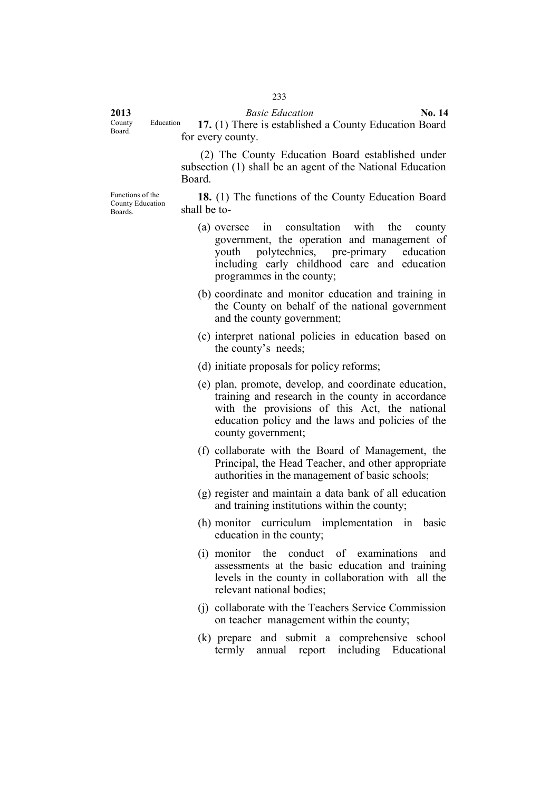County Education<br>Board.

Functions of the

Boards.

**2013** *Basic Education* **No. 14** 17. (1) There is established a County Education Board for every county.

> (2) The County Education Board established under subsection (1) shall be an agent of the National Education Board.

County Education **18.** (1) The functions of the County Education Board shall be to-

- (a) oversee in consultation with the county government, the operation and management of youth polytechnics, pre-primary education including early childhood care and education programmes in the county;
- (b) coordinate and monitor education and training in the County on behalf of the national government and the county government;
- (c) interpret national policies in education based on the county's needs;
- (d) initiate proposals for policy reforms;
- (e) plan, promote, develop, and coordinate education, training and research in the county in accordance with the provisions of this Act, the national education policy and the laws and policies of the county government;
- (f) collaborate with the Board of Management, the Principal, the Head Teacher, and other appropriate authorities in the management of basic schools;
- (g) register and maintain a data bank of all education and training institutions within the county;
- (h) monitor curriculum implementation in basic education in the county;
- (i) monitor the conduct of examinations and assessments at the basic education and training levels in the county in collaboration with all the relevant national bodies;
- (j) collaborate with the Teachers Service Commission on teacher management within the county;
- (k) prepare and submit a comprehensive school termly annual report including Educational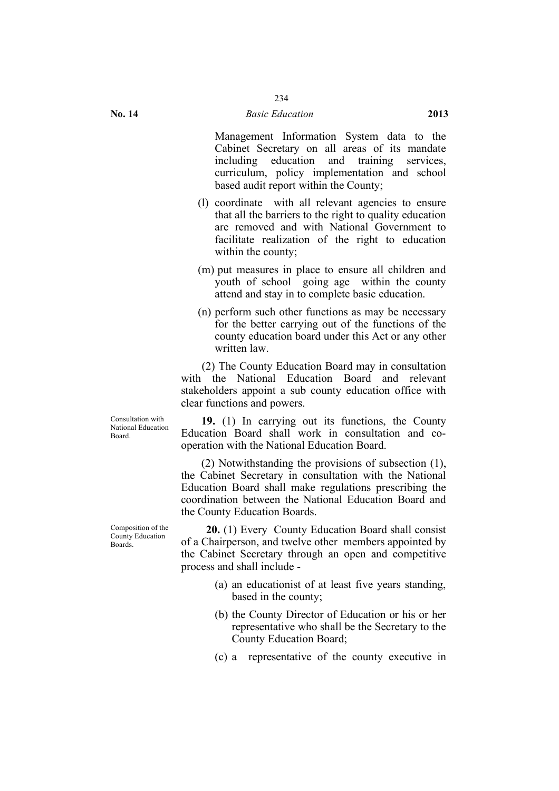Management Information System data to the Cabinet Secretary on all areas of its mandate including education and training services curriculum, policy implementation and school based audit report within the County;

- (l) coordinate with all relevant agencies to ensure that all the barriers to the right to quality education are removed and with National Government to facilitate realization of the right to education within the county;
- (m) put measures in place to ensure all children and youth of school going age within the county attend and stay in to complete basic education.
- (n) perform such other functions as may be necessary for the better carrying out of the functions of the county education board under this Act or any other written law.

(2) The County Education Board may in consultation with the National Education Board and relevant stakeholders appoint a sub county education office with clear functions and powers.

Consultation with National Education Board.

**19.** (1) In carrying out its functions, the County Education Board shall work in consultation and cooperation with the National Education Board.

(2) Notwithstanding the provisions of subsection (1), the Cabinet Secretary in consultation with the National Education Board shall make regulations prescribing the coordination between the National Education Board and the County Education Boards.

**20.** (1) Every County Education Board shall consist of a Chairperson, and twelve other members appointed by the Cabinet Secretary through an open and competitive process and shall include -

- (a) an educationist of at least five years standing, based in the county;
- (b) the County Director of Education or his or her representative who shall be the Secretary to the County Education Board;
- (c) a representative of the county executive in

Composition of the County Education Boards.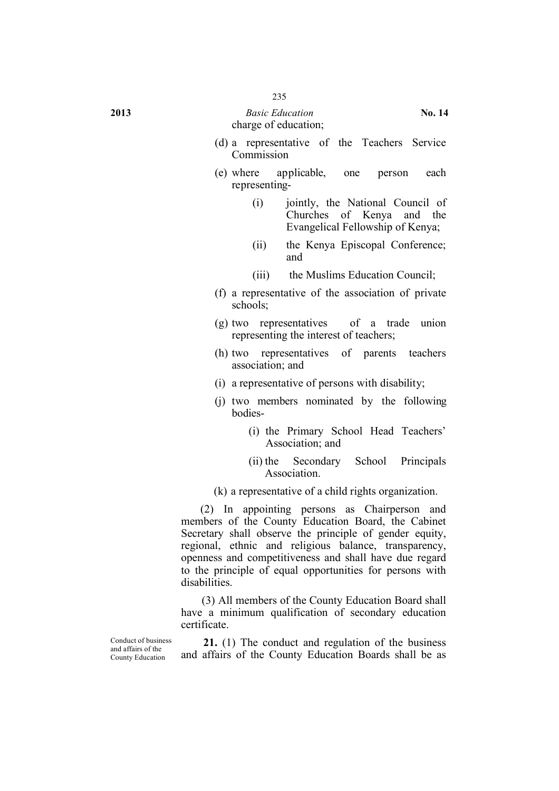#### **2013** *Basic Education* **No. 14** charge of education;

- (d) a representative of the Teachers Service Commission
- (e) where applicable, one person each representing-
	- (i) jointly, the National Council of Churches of Kenya and the Evangelical Fellowship of Kenya;
	- (ii) the Kenya Episcopal Conference; and
	- (iii) the Muslims Education Council;
- (f) a representative of the association of private schools;
- (g) two representatives of a trade union representing the interest of teachers;
- (h) two representatives of parents teachers association; and
- (i) a representative of persons with disability;
- (j) two members nominated by the following bodies-
	- (i) the Primary School Head Teachers' Association; and
	- (ii) the Secondary School Principals Association.
- (k) a representative of a child rights organization.

(2) In appointing persons as Chairperson and members of the County Education Board, the Cabinet Secretary shall observe the principle of gender equity, regional, ethnic and religious balance, transparency, openness and competitiveness and shall have due regard to the principle of equal opportunities for persons with disabilities.

(3) All members of the County Education Board shall have a minimum qualification of secondary education certificate.

Conduct of business and affairs of the County Education

**21.** (1) The conduct and regulation of the business and affairs of the County Education Boards shall be as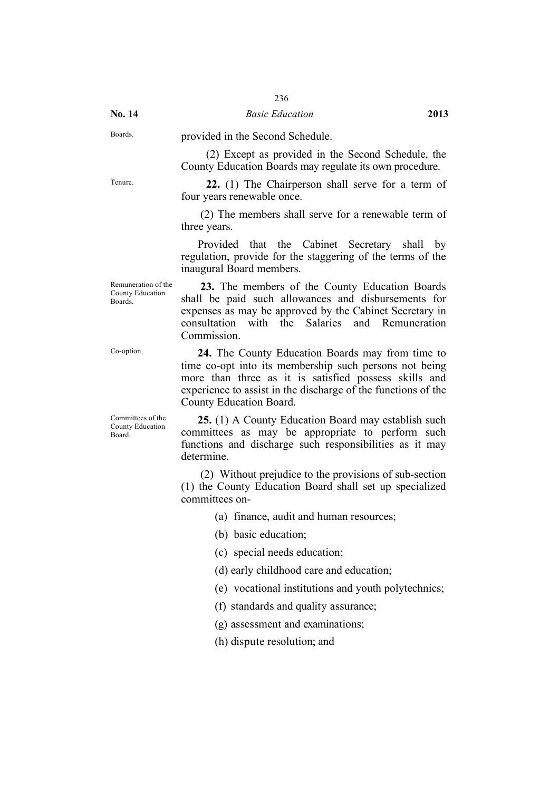Boards. provided in the Second Schedule.

(2) Except as provided in the Second Schedule, the County Education Boards may regulate its own procedure.

Tenure. **22.** (1) The Chairperson shall serve for a term of four years renewable once.

> (2) The members shall serve for a renewable term of three years.

> Provided that the Cabinet Secretary shall by regulation, provide for the staggering of the terms of the inaugural Board members.

Remuneration of the County Education Boards.

**23.** The members of the County Education Boards shall be paid such allowances and disbursements for expenses as may be approved by the Cabinet Secretary in consultation with the Salaries and Remuneration **Commission** 

Co-option. **24.** The County Education Boards may from time to time co-opt into its membership such persons not being more than three as it is satisfied possess skills and experience to assist in the discharge of the functions of the County Education Board.

> **25.** (1) A County Education Board may establish such committees as may be appropriate to perform such functions and discharge such responsibilities as it may determine.

> (2) Without prejudice to the provisions of sub-section (1) the County Education Board shall set up specialized committees on-

> > (a) finance, audit and human resources;

(b) basic education;

(c) special needs education;

(d) early childhood care and education;

(e) vocational institutions and youth polytechnics;

(f) standards and quality assurance;

(g) assessment and examinations;

(h) dispute resolution; and

Committees of the County Education Board.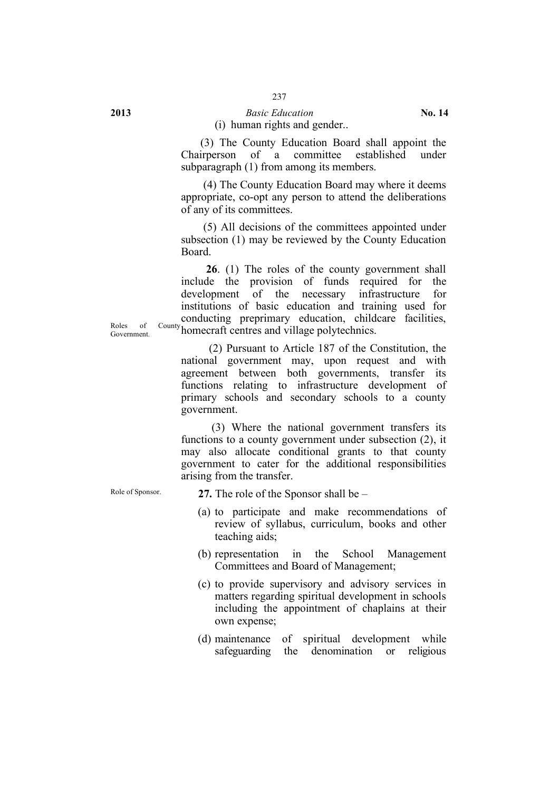# 237

#### **2013** *Basic Education* **No. 14** (i) human rights and gender..

(3) The County Education Board shall appoint the Chairperson of a committee established under subparagraph (1) from among its members.

(4) The County Education Board may where it deems appropriate, co-opt any person to attend the deliberations of any of its committees.

(5) All decisions of the committees appointed under subsection (1) may be reviewed by the County Education Board.

Roles of County homecraft centres and village polytechnics. **26**. (1) The roles of the county government shall include the provision of funds required for the development of the necessary infrastructure for institutions of basic education and training used for conducting preprimary education, childcare facilities,

> (2) Pursuant to Article 187 of the Constitution, the national government may, upon request and with agreement between both governments, transfer its functions relating to infrastructure development of primary schools and secondary schools to a county government.

> (3) Where the national government transfers its functions to a county government under subsection (2), it may also allocate conditional grants to that county government to cater for the additional responsibilities arising from the transfer.

Role of Sponsor. **27.** The role of the Sponsor shall be –

- (a) to participate and make recommendations of review of syllabus, curriculum, books and other teaching aids;
- (b) representation in the School Management Committees and Board of Management;
- (c) to provide supervisory and advisory services in matters regarding spiritual development in schools including the appointment of chaplains at their own expense;
- (d) maintenance of spiritual development while safeguarding the denomination or religious

Government.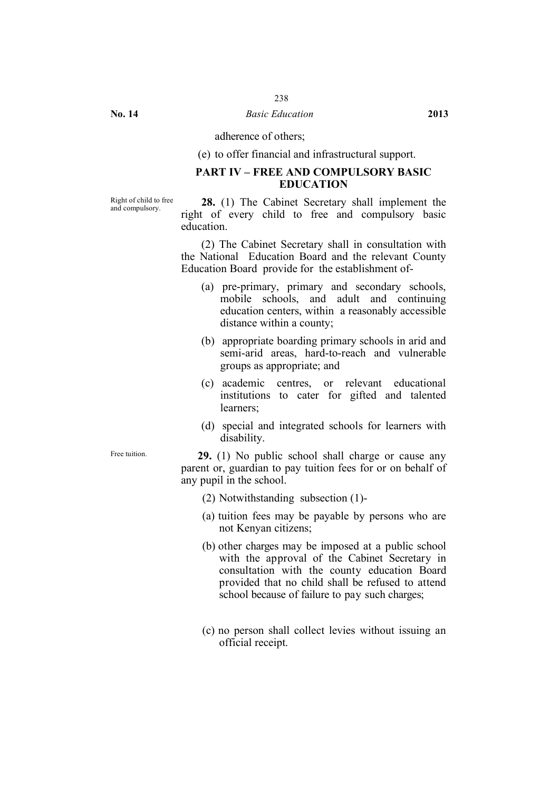adherence of others;

(e) to offer financial and infrastructural support.

# **PART IV – FREE AND COMPULSORY BASIC EDUCATION**

Right of child to free

and compulsory. **28.** (1) The Cabinet Secretary shall implement the right of every child to free and compulsory basic education.

> (2) The Cabinet Secretary shall in consultation with the National Education Board and the relevant County Education Board provide for the establishment of-

- (a) pre-primary, primary and secondary schools, mobile schools, and adult and continuing education centers, within a reasonably accessible distance within a county;
- (b) appropriate boarding primary schools in arid and semi-arid areas, hard-to-reach and vulnerable groups as appropriate; and
- (c) academic centres, or relevant educational institutions to cater for gifted and talented learners;
- (d) special and integrated schools for learners with disability.

Free tuition. **29.** (1) No public school shall charge or cause any parent or, guardian to pay tuition fees for or on behalf of any pupil in the school.

- (2) Notwithstanding subsection (1)-
- (a) tuition fees may be payable by persons who are not Kenyan citizens;
- (b) other charges may be imposed at a public school with the approval of the Cabinet Secretary in consultation with the county education Board provided that no child shall be refused to attend school because of failure to pay such charges;
- (c) no person shall collect levies without issuing an official receipt.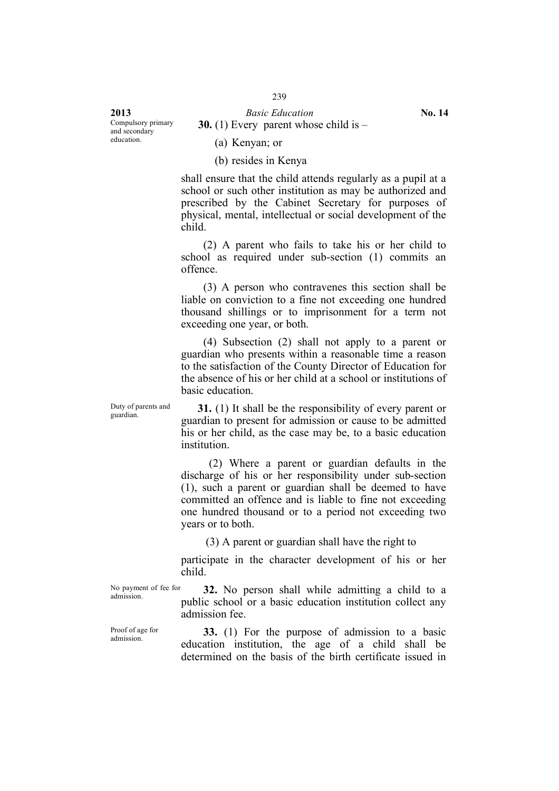**2013** *Basic Education* **No. 14** Compulsory primary and secondary education.

**30.** (1) Every parent whose child is –

(a) Kenyan; or

(b) resides in Kenya

shall ensure that the child attends regularly as a pupil at a school or such other institution as may be authorized and prescribed by the Cabinet Secretary for purposes of physical, mental, intellectual or social development of the child.

(2) A parent who fails to take his or her child to school as required under sub-section (1) commits an offence.

(3) A person who contravenes this section shall be liable on conviction to a fine not exceeding one hundred thousand shillings or to imprisonment for a term not exceeding one year, or both.

(4) Subsection (2) shall not apply to a parent or guardian who presents within a reasonable time a reason to the satisfaction of the County Director of Education for the absence of his or her child at a school or institutions of basic education.

Duty of parents and<br>guardian.

31. (1) It shall be the responsibility of every parent or guardian to present for admission or cause to be admitted his or her child, as the case may be, to a basic education institution.

(2) Where a parent or guardian defaults in the discharge of his or her responsibility under sub-section (1), such a parent or guardian shall be deemed to have committed an offence and is liable to fine not exceeding one hundred thousand or to a period not exceeding two years or to both.

(3) A parent or guardian shall have the right to

participate in the character development of his or her child.

No payment of fee for

No payment of fee for **32.** No person shall while admitting a child to a admission public school or a basic education institution collect any admission fee.

Proof of age for<br>admission.

**33.** (1) For the purpose of admission to a basic education institution, the age of a child shall be determined on the basis of the birth certificate issued in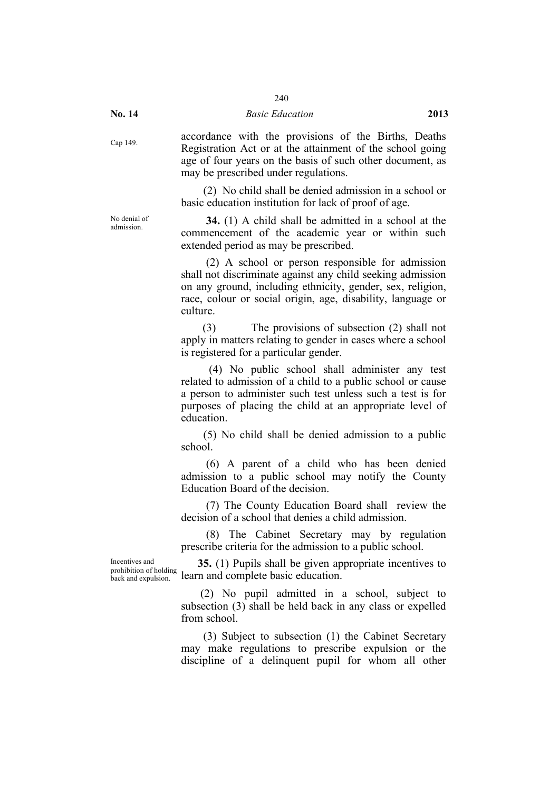No denial of<br>admission

Cap 149. accordance with the provisions of the Births, Deaths Registration Act or at the attainment of the school going age of four years on the basis of such other document, as may be prescribed under regulations.

> (2) No child shall be denied admission in a school or basic education institution for lack of proof of age.

> 34. (1) A child shall be admitted in a school at the commencement of the academic year or within such extended period as may be prescribed.

> (2) A school or person responsible for admission shall not discriminate against any child seeking admission on any ground, including ethnicity, gender, sex, religion, race, colour or social origin, age, disability, language or culture.

> (3) The provisions of subsection (2) shall not apply in matters relating to gender in cases where a school is registered for a particular gender.

> (4) No public school shall administer any test related to admission of a child to a public school or cause a person to administer such test unless such a test is for purposes of placing the child at an appropriate level of education.

> (5) No child shall be denied admission to a public school.

> (6) A parent of a child who has been denied admission to a public school may notify the County Education Board of the decision.

> (7) The County Education Board shall review the decision of a school that denies a child admission.

> (8) The Cabinet Secretary may by regulation prescribe criteria for the admission to a public school.

Incentives and prohibition of holding back and expulsion.

**35.** (1) Pupils shall be given appropriate incentives to learn and complete basic education.

(2) No pupil admitted in a school, subject to subsection (3) shall be held back in any class or expelled from school.

(3) Subject to subsection (1) the Cabinet Secretary may make regulations to prescribe expulsion or the discipline of a delinquent pupil for whom all other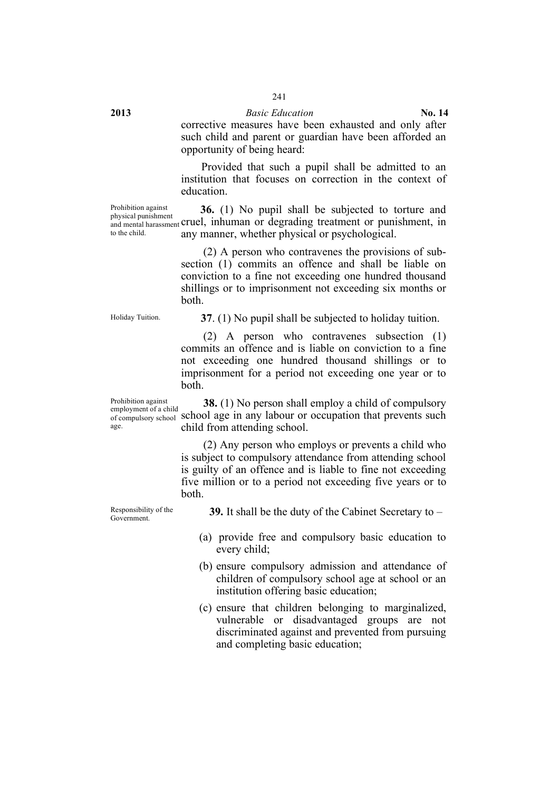corrective measures have been exhausted and only after such child and parent or guardian have been afforded an opportunity of being heard:

Provided that such a pupil shall be admitted to an institution that focuses on correction in the context of education.

Prohibition against physical punishment to the child.

and mental harassment cruel, inhuman or degrading treatment or punishment, in **36.** (1) No pupil shall be subjected to torture and any manner, whether physical or psychological.

> (2) A person who contravenes the provisions of subsection (1) commits an offence and shall be liable on conviction to a fine not exceeding one hundred thousand shillings or to imprisonment not exceeding six months or both.

Holiday Tuition.

Prohibition against

age.

**37**. (1) No pupil shall be subjected to holiday tuition.

(2) A person who contravenes subsection (1) commits an offence and is liable on conviction to a fine not exceeding one hundred thousand shillings or to imprisonment for a period not exceeding one year or to both.

employment of a child of compulsory school school age in any labour or occupation that prevents such **38.** (1) No person shall employ a child of compulsory child from attending school.

> (2) Any person who employs or prevents a child who is subject to compulsory attendance from attending school is guilty of an offence and is liable to fine not exceeding five million or to a period not exceeding five years or to both.

Responsibility of the

Responsibility of the **39.** It shall be the duty of the Cabinet Secretary to – Government.

- (a) provide free and compulsory basic education to every child;
- (b) ensure compulsory admission and attendance of children of compulsory school age at school or an institution offering basic education;
- (c) ensure that children belonging to marginalized, vulnerable or disadvantaged groups are not discriminated against and prevented from pursuing and completing basic education;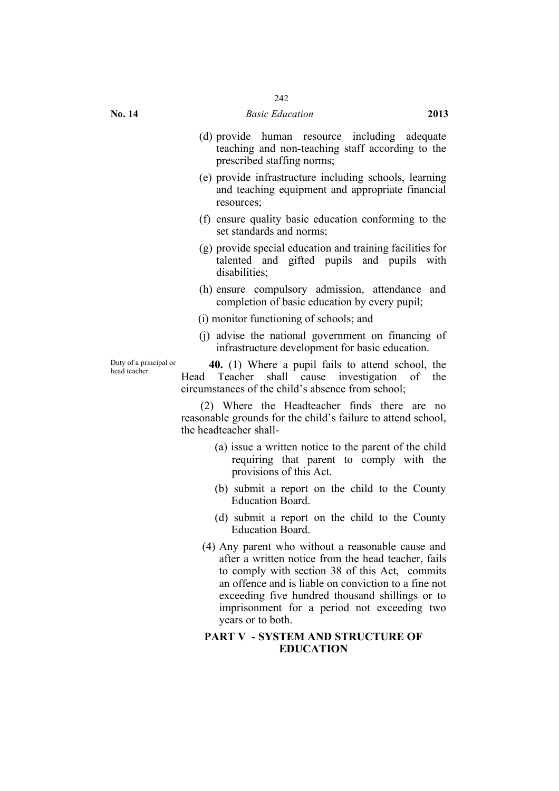- (d) provide human resource including adequate teaching and non-teaching staff according to the prescribed staffing norms;
- (e) provide infrastructure including schools, learning and teaching equipment and appropriate financial resources;
- (f) ensure quality basic education conforming to the set standards and norms;
- (g) provide special education and training facilities for talented and gifted pupils and pupils with disabilities;
- (h) ensure compulsory admission, attendance and completion of basic education by every pupil;
- (i) monitor functioning of schools; and
- (j) advise the national government on financing of infrastructure development for basic education.

Duty of a principal or

Duty of a principal or<br>head teacher.<br>**40.** (1) Where a pupil fails to attend school, the<br>head teacher.<br>**Head Teacher shall cause investigation** of the Teacher shall cause investigation of the circumstances of the child's absence from school;

> (2) Where the Headteacher finds there are no reasonable grounds for the child's failure to attend school, the headteacher shall-

- (a) issue a written notice to the parent of the child requiring that parent to comply with the provisions of this Act.
- (b) submit a report on the child to the County Education Board.
- (d) submit a report on the child to the County Education Board.
- (4) Any parent who without a reasonable cause and after a written notice from the head teacher, fails to comply with section 38 of this Act, commits an offence and is liable on conviction to a fine not exceeding five hundred thousand shillings or to imprisonment for a period not exceeding two years or to both.

#### **PART V - SYSTEM AND STRUCTURE OF EDUCATION**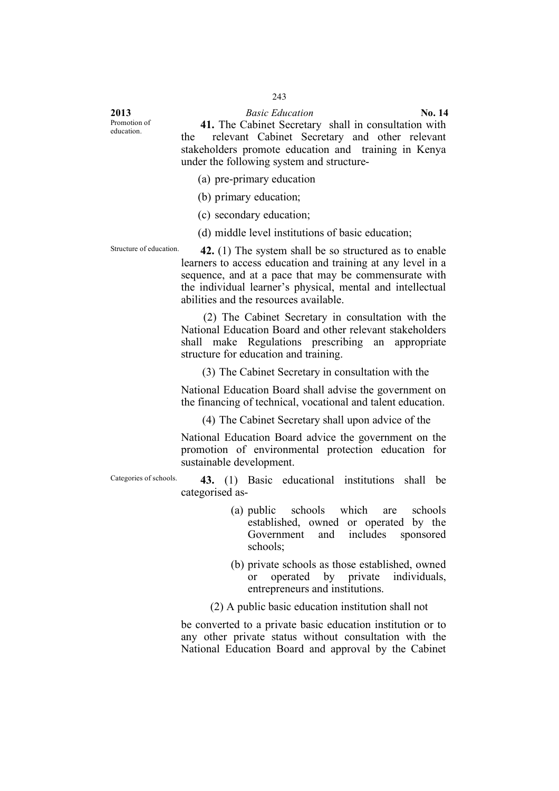Promotion of<br>education

41. The Cabinet Secretary shall in consultation with the relevant Cabinet Secretary and other relevant relevant Cabinet Secretary and other relevant stakeholders promote education and training in Kenya under the following system and structure-

(a) pre-primary education

(b) primary education;

(c) secondary education;

(d) middle level institutions of basic education;

Structure of education. **42.** (1) The system shall be so structured as to enable learners to access education and training at any level in a sequence, and at a pace that may be commensurate with the individual learner's physical, mental and intellectual abilities and the resources available.

> (2) The Cabinet Secretary in consultation with the National Education Board and other relevant stakeholders shall make Regulations prescribing an appropriate structure for education and training.

(3) The Cabinet Secretary in consultation with the

National Education Board shall advise the government on the financing of technical, vocational and talent education.

(4) The Cabinet Secretary shall upon advice of the

National Education Board advice the government on the promotion of environmental protection education for sustainable development.

Categories of schools. **43.** (1) Basic educational institutions shall be categorised as-

- (a) public schools which are schools established, owned or operated by the Government and includes sponsored schools;
- (b) private schools as those established, owned or operated by private individuals, entrepreneurs and institutions.

(2) A public basic education institution shall not

be converted to a private basic education institution or to any other private status without consultation with the National Education Board and approval by the Cabinet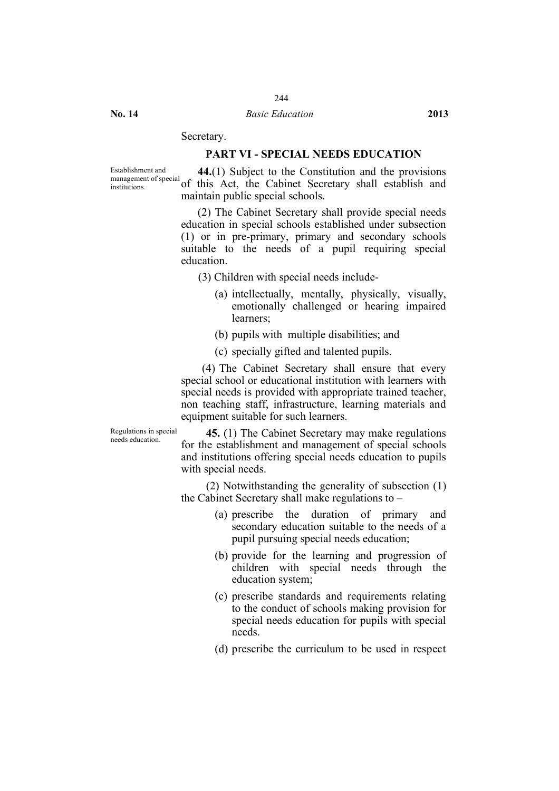# Secretary.

#### **PART VI - SPECIAL NEEDS EDUCATION**

Establishment and management of special

Inanagement of special of this Act, the Cabinet Secretary shall establish and **44.**(1) Subject to the Constitution and the provisions maintain public special schools.

> (2) The Cabinet Secretary shall provide special needs education in special schools established under subsection (1) or in pre-primary, primary and secondary schools suitable to the needs of a pupil requiring special education.

- (3) Children with special needs include-
	- (a) intellectually, mentally, physically, visually, emotionally challenged or hearing impaired learners;
	- (b) pupils with multiple disabilities; and
	- (c) specially gifted and talented pupils.

(4) The Cabinet Secretary shall ensure that every special school or educational institution with learners with special needs is provided with appropriate trained teacher, non teaching staff, infrastructure, learning materials and equipment suitable for such learners.

Regulations in special

**45.** (1) The Cabinet Secretary may make regulations for the establishment and management of special schools and institutions offering special needs education to pupils with special needs.

(2) Notwithstanding the generality of subsection (1) the Cabinet Secretary shall make regulations to –

- (a) prescribe the duration of primary and secondary education suitable to the needs of a pupil pursuing special needs education;
- (b) provide for the learning and progression of children with special needs through the education system;
- (c) prescribe standards and requirements relating to the conduct of schools making provision for special needs education for pupils with special needs.
- (d) prescribe the curriculum to be used in respect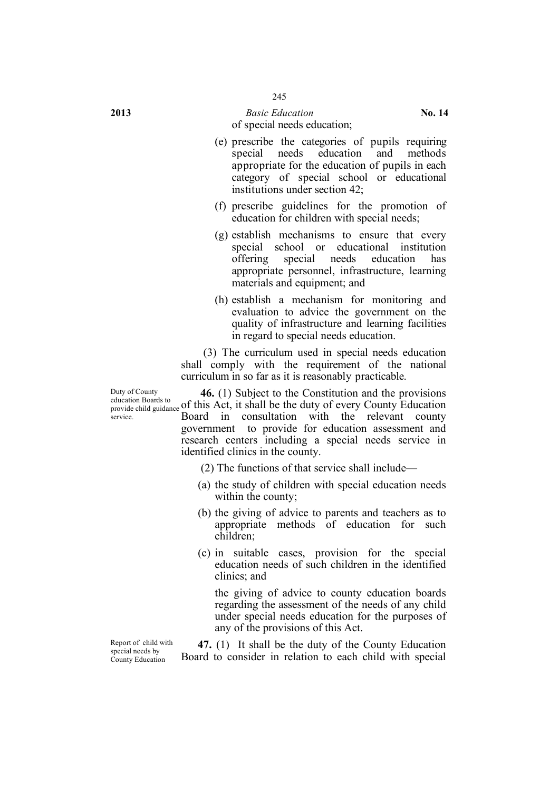#### **2013** *Basic Education* **No. 14** of special needs education;

- (e) prescribe the categories of pupils requiring special needs education and methods appropriate for the education of pupils in each category of special school or educational institutions under section 42;
- (f) prescribe guidelines for the promotion of education for children with special needs;
- (g) establish mechanisms to ensure that every special school or educational institution offering special needs education has appropriate personnel, infrastructure, learning materials and equipment; and
- (h) establish a mechanism for monitoring and evaluation to advice the government on the quality of infrastructure and learning facilities in regard to special needs education.

(3) The curriculum used in special needs education shall comply with the requirement of the national curriculum in so far as it is reasonably practicable.

equication Boards to equidance of this Act, it shall be the duty of every County Education **46.** (1) Subject to the Constitution and the provisions Board in consultation with the relevant county government to provide for education assessment and research centers including a special needs service in identified clinics in the county.

(2) The functions of that service shall include—

- (a) the study of children with special education needs within the county;
- (b) the giving of advice to parents and teachers as to appropriate methods of education for such children;
- (c) in suitable cases, provision for the special education needs of such children in the identified clinics; and

the giving of advice to county education boards regarding the assessment of the needs of any child under special needs education for the purposes of any of the provisions of this Act.

**47.** (1) It shall be the duty of the County Education Board to consider in relation to each child with special

Duty of County education Boards to service.

Report of child with special needs by County Education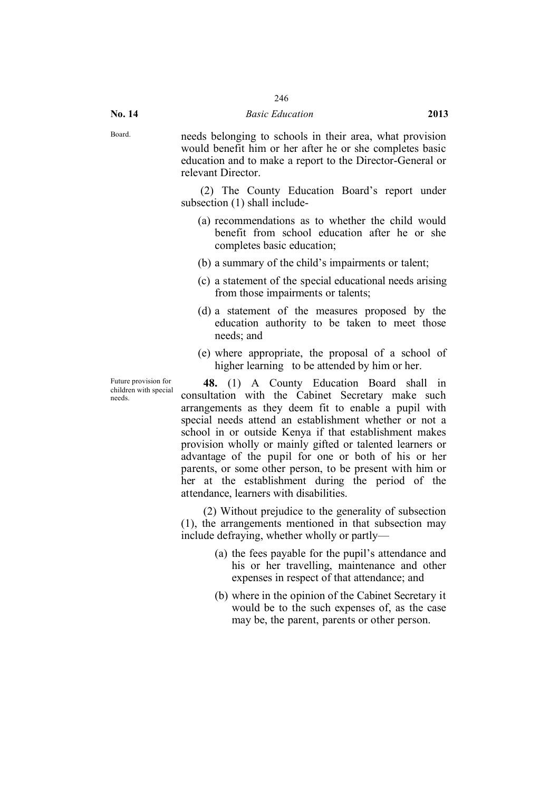Board. needs belonging to schools in their area, what provision would benefit him or her after he or she completes basic education and to make a report to the Director-General or relevant Director.

> (2) The County Education Board's report under subsection (1) shall include-

- (a) recommendations as to whether the child would benefit from school education after he or she completes basic education;
- (b) a summary of the child's impairments or talent;
- (c) a statement of the special educational needs arising from those impairments or talents;
- (d) a statement of the measures proposed by the education authority to be taken to meet those needs; and
- (e) where appropriate, the proposal of a school of higher learning to be attended by him or her.

Future provision for children with special needs.

**48.** (1) A County Education Board shall in consultation with the Cabinet Secretary make such arrangements as they deem fit to enable a pupil with special needs attend an establishment whether or not a school in or outside Kenya if that establishment makes provision wholly or mainly gifted or talented learners or advantage of the pupil for one or both of his or her parents, or some other person, to be present with him or her at the establishment during the period of the attendance, learners with disabilities.

(2) Without prejudice to the generality of subsection (1), the arrangements mentioned in that subsection may include defraying, whether wholly or partly—

- (a) the fees payable for the pupil's attendance and his or her travelling, maintenance and other expenses in respect of that attendance; and
- (b) where in the opinion of the Cabinet Secretary it would be to the such expenses of, as the case may be, the parent, parents or other person.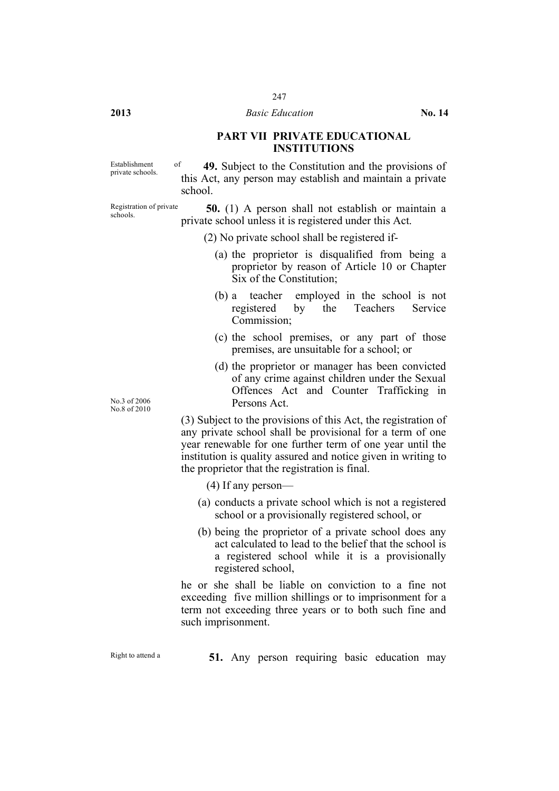# **PART VII PRIVATE EDUCATIONAL INSTITUTIONS**

Establishment of

Establishment of **49.** Subject to the Constitution and the provisions of private schools. this Act, any person may establish and maintain a private school.

Registration of private schools.

**50.** (1) A person shall not establish or maintain a private school unless it is registered under this Act.

- (2) No private school shall be registered if-
	- (a) the proprietor is disqualified from being a proprietor by reason of Article 10 or Chapter Six of the Constitution;
	- (b) a teacher employed in the school is not registered by the Teachers Service Commission;
	- (c) the school premises, or any part of those premises, are unsuitable for a school; or
	- (d) the proprietor or manager has been convicted of any crime against children under the Sexual Offences Act and Counter Trafficking in Persons Act.

(3) Subject to the provisions of this Act, the registration of any private school shall be provisional for a term of one year renewable for one further term of one year until the institution is quality assured and notice given in writing to the proprietor that the registration is final.

- (4) If any person—
- (a) conducts a private school which is not a registered school or a provisionally registered school, or
- (b) being the proprietor of a private school does any act calculated to lead to the belief that the school is a registered school while it is a provisionally registered school,

he or she shall be liable on conviction to a fine not exceeding five million shillings or to imprisonment for a term not exceeding three years or to both such fine and such imprisonment.

Right to attend <sup>a</sup> **51.** Any person requiring basic education may

No.3 of 2006 No.8 of 2010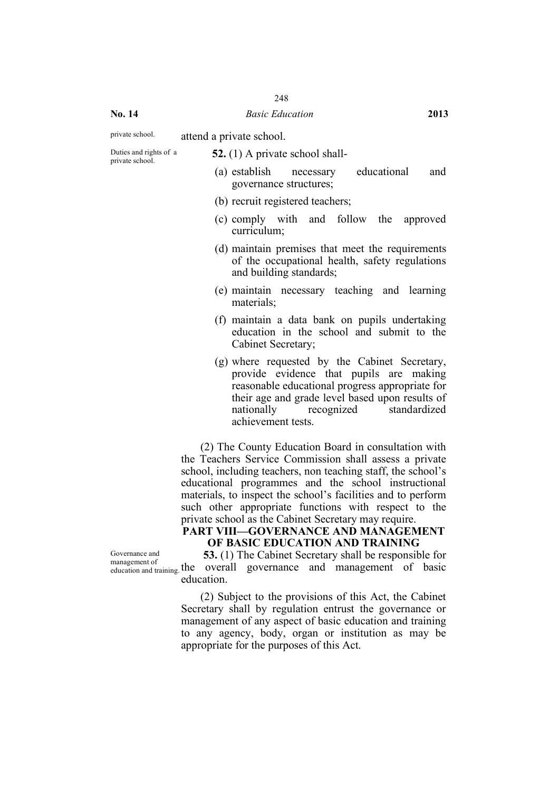# private school. attend a private school.

Duties and rights of a

Duties and rights of a<br>private school. **52.** (1) A private school shall-

- (a) establish necessary educational and governance structures;
- (b) recruit registered teachers;
- (c) comply with and follow the approved curriculum;
- (d) maintain premises that meet the requirements of the occupational health, safety regulations and building standards;
- (e) maintain necessary teaching and learning materials;
- (f) maintain a data bank on pupils undertaking education in the school and submit to the Cabinet Secretary;
- (g) where requested by the Cabinet Secretary, provide evidence that pupils are making reasonable educational progress appropriate for their age and grade level based upon results of nationally recognized standardized achievement tests.

(2) The County Education Board in consultation with the Teachers Service Commission shall assess a private school, including teachers, non teaching staff, the school's educational programmes and the school instructional materials, to inspect the school's facilities and to perform such other appropriate functions with respect to the private school as the Cabinet Secretary may require.

# **PART VIII—GOVERNANCE AND MANAGEMENT OF BASIC EDUCATION AND TRAINING**

Governance and management of

management of basic education and training the overall governance and management of basic **53.** (1) The Cabinet Secretary shall be responsible for education.

> (2) Subject to the provisions of this Act, the Cabinet Secretary shall by regulation entrust the governance or management of any aspect of basic education and training to any agency, body, organ or institution as may be appropriate for the purposes of this Act.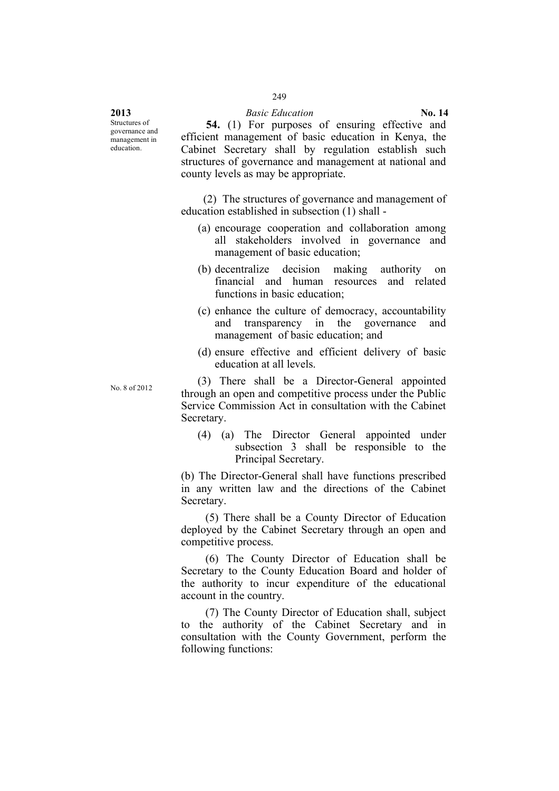Structures of governance and management in education.

**54.** (1) For purposes of ensuring effective and efficient management of basic education in Kenya, the Cabinet Secretary shall by regulation establish such structures of governance and management at national and county levels as may be appropriate.

(2) The structures of governance and management of education established in subsection (1) shall -

- (a) encourage cooperation and collaboration among all stakeholders involved in governance and management of basic education;
- (b) decentralize decision making authority on financial and human resources and related functions in basic education;
- (c) enhance the culture of democracy, accountability and transparency in the governance and management of basic education; and
- (d) ensure effective and efficient delivery of basic education at all levels.

No. <sup>8</sup> of 2012 (3) There shall be a Director-General appointed through an open and competitive process under the Public Service Commission Act in consultation with the Cabinet Secretary.

> (4) (a) The Director General appointed under subsection 3 shall be responsible to the Principal Secretary.

(b) The Director-General shall have functions prescribed in any written law and the directions of the Cabinet Secretary.

(5) There shall be a County Director of Education deployed by the Cabinet Secretary through an open and competitive process.

(6) The County Director of Education shall be Secretary to the County Education Board and holder of the authority to incur expenditure of the educational account in the country.

(7) The County Director of Education shall, subject to the authority of the Cabinet Secretary and in consultation with the County Government, perform the following functions: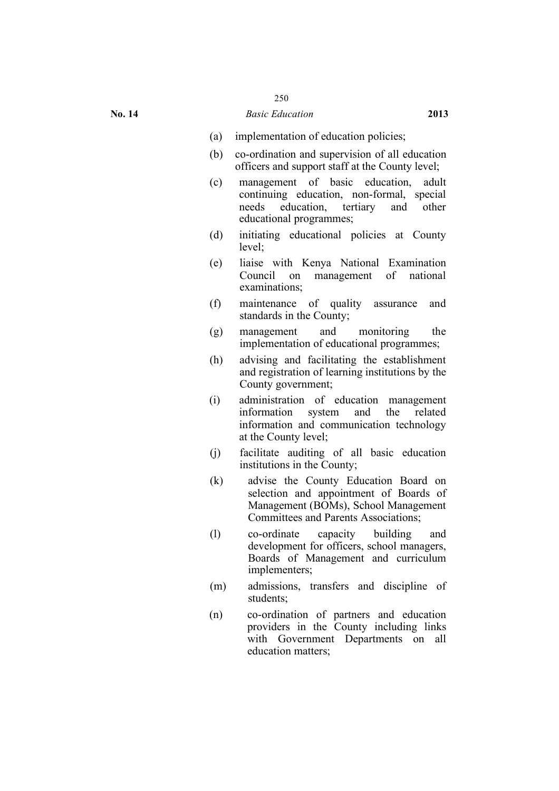- (a) implementation of education policies;
- (b) co-ordination and supervision of all education officers and support staff at the County level;
- (c) management of basic education, adult continuing education, non-formal, special needs education, tertiary and other educational programmes;
- (d) initiating educational policies at County level;
- (e) liaise with Kenya National Examination Council on management of national examinations;
- (f) maintenance of quality assurance and standards in the County;
- (g) management and monitoring the implementation of educational programmes;
- (h) advising and facilitating the establishment and registration of learning institutions by the County government;
- (i) administration of education management information system and the related information and communication technology at the County level;
- (j) facilitate auditing of all basic education institutions in the County;
- (k) advise the County Education Board on selection and appointment of Boards of Management (BOMs), School Management Committees and Parents Associations;
- (l) co-ordinate capacity building and development for officers, school managers, Boards of Management and curriculum implementers;
- (m) admissions, transfers and discipline of students;
- (n) co-ordination of partners and education providers in the County including links with Government Departments on all education matters;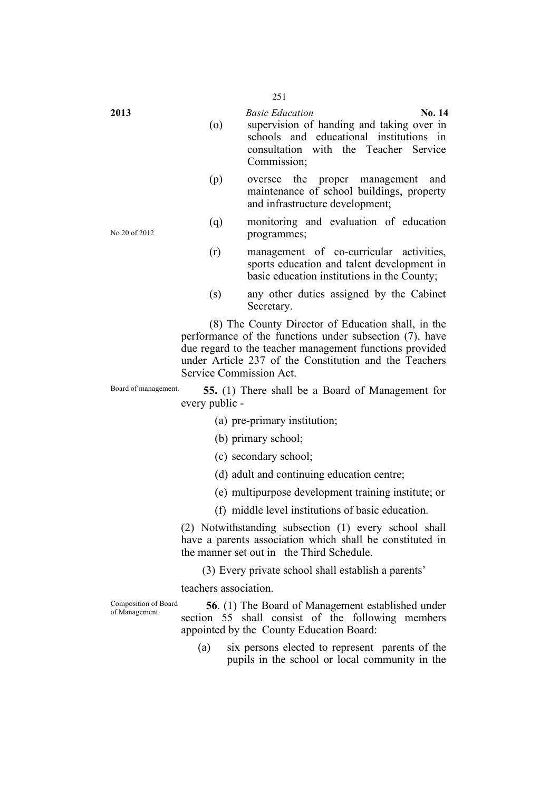No.20 of 2012 (o) supervision of handing and taking over in schools and educational institutions in consultation with the Teacher Service Commission; (p) oversee the proper management and maintenance of school buildings, property and infrastructure development; (q) monitoring and evaluation of education programmes; (r) management of co-curricular activities, sports education and talent development in basic education institutions in the County; (s) any other duties assigned by the Cabinet Secretary. (8) The County Director of Education shall, in the performance of the functions under subsection (7), have due regard to the teacher management functions provided under Article 237 of the Constitution and the Teachers Service Commission Act. Board of management. **55.** (1) There shall be a Board of Management for every public - (a) pre-primary institution; (b) primary school; (c) secondary school; (d) adult and continuing education centre; (e) multipurpose development training institute; or (f) middle level institutions of basic education. (2) Notwithstanding subsection (1) every school shall have a parents association which shall be constituted in the manner set out in the Third Schedule. (3) Every private school shall establish a parents' teachers association. Composition of Board **56**. (1) The Board of Management established under section 55 shall consist of the following members appointed by the County Education Board: (a) six persons elected to represent parents of the pupils in the school or local community in the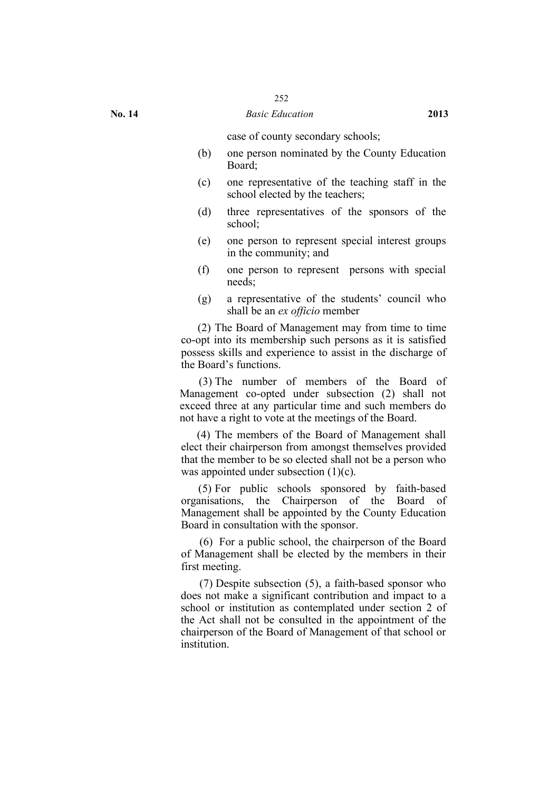case of county secondary schools;

- (b) one person nominated by the County Education Board;
- (c) one representative of the teaching staff in the school elected by the teachers;
- (d) three representatives of the sponsors of the school;
- (e) one person to represent special interest groups in the community; and
- (f) one person to represent persons with special needs;
- (g) a representative of the students' council who shall be an *ex officio* member

(2) The Board of Management may from time to time co-opt into its membership such persons as it is satisfied possess skills and experience to assist in the discharge of the Board's functions.

(3) The number of members of the Board of Management co-opted under subsection (2) shall not exceed three at any particular time and such members do not have a right to vote at the meetings of the Board.

(4) The members of the Board of Management shall elect their chairperson from amongst themselves provided that the member to be so elected shall not be a person who was appointed under subsection (1)(c).

(5) For public schools sponsored by faith-based organisations, the Chairperson of the Board of Management shall be appointed by the County Education Board in consultation with the sponsor.

(6) For a public school, the chairperson of the Board of Management shall be elected by the members in their first meeting.

(7) Despite subsection (5), a faith-based sponsor who does not make a significant contribution and impact to a school or institution as contemplated under section 2 of the Act shall not be consulted in the appointment of the chairperson of the Board of Management of that school or institution.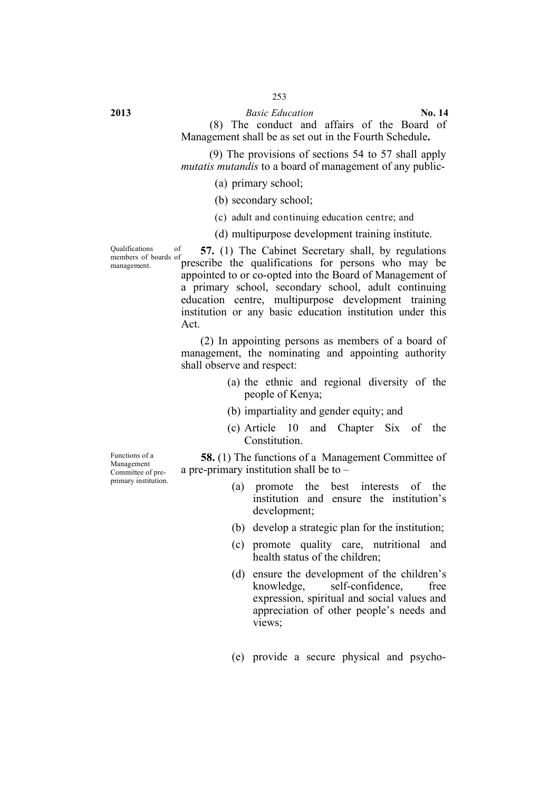**2013** *Basic Education* **No. 14**

(8) The conduct and affairs of the Board of Management shall be as set out in the Fourth Schedule**.**

(9) The provisions of sections 54 to 57 shall apply *mutatis mutandis* to a board of management of any public-

(a) primary school;

(b) secondary school;

(c) adult and continuing education centre; and

(d) multipurpose development training institute.

Qualifications of members of boards of management.

**57.** (1) The Cabinet Secretary shall, by regulations prescribe the qualifications for persons who may be appointed to or co-opted into the Board of Management of a primary school, secondary school, adult continuing education centre, multipurpose development training institution or any basic education institution under this Act.

(2) In appointing persons as members of a board of management, the nominating and appointing authority shall observe and respect:

- (a) the ethnic and regional diversity of the people of Kenya;
- (b) impartiality and gender equity; and
- (c) Article 10 and Chapter Six of the **Constitution**

Functions of a Management Committee of preprimary institution.

**58.** (1) The functions of a Management Committee of a pre-primary institution shall be to –

- (a) promote the best interests of the institution and ensure the institution's development;
- (b) develop a strategic plan for the institution;
- (c) promote quality care, nutritional and health status of the children;
- (d) ensure the development of the children's knowledge, self-confidence, free expression, spiritual and social values and appreciation of other people's needs and views:
- (e) provide a secure physical and psycho-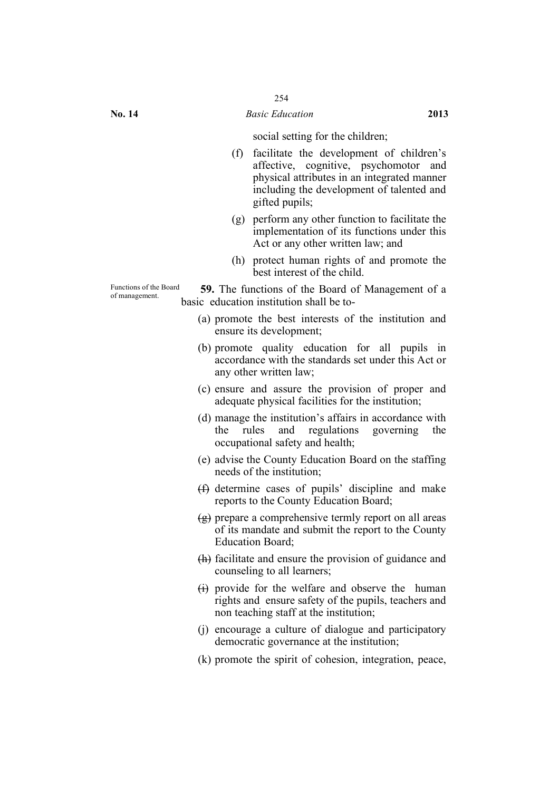social setting for the children;

- (f) facilitate the development of children's affective, cognitive, psychomotor and physical attributes in an integrated manner including the development of talented and gifted pupils;
- (g) perform any other function to facilitate the implementation of its functions under this Act or any other written law; and
- (h) protect human rights of and promote the best interest of the child.

Functions of the Board **59.** The functions of the Board of Management of a of management. basic education institution shall be to-

- (a) promote the best interests of the institution and ensure its development;
- (b) promote quality education for all pupils in accordance with the standards set under this Act or any other written law;
- (c) ensure and assure the provision of proper and adequate physical facilities for the institution;
- (d) manage the institution's affairs in accordance with the rules and regulations governing the occupational safety and health;
- (e) advise the County Education Board on the staffing needs of the institution;
- (f) determine cases of pupils' discipline and make reports to the County Education Board;
- (g) prepare a comprehensive termly report on all areas of its mandate and submit the report to the County Education Board;
- (h) facilitate and ensure the provision of guidance and counseling to all learners;
- $(i)$  provide for the welfare and observe the human rights and ensure safety of the pupils, teachers and non teaching staff at the institution;
- (j) encourage a culture of dialogue and participatory democratic governance at the institution;
- (k) promote the spirit of cohesion, integration, peace,

Functions of the Board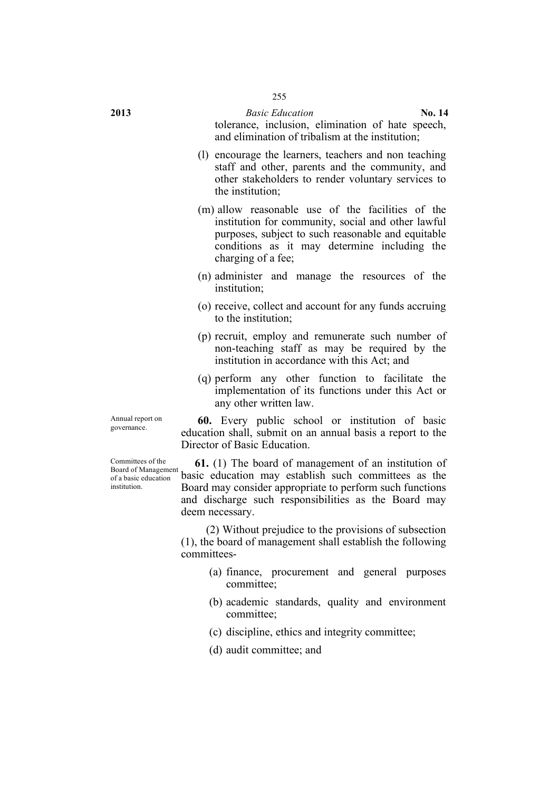**2013** *Basic Education* **No. 14** tolerance, inclusion, elimination of hate speech, and elimination of tribalism at the institution;

- (l) encourage the learners, teachers and non teaching staff and other, parents and the community, and other stakeholders to render voluntary services to the institution;
- (m) allow reasonable use of the facilities of the institution for community, social and other lawful purposes, subject to such reasonable and equitable conditions as it may determine including the charging of a fee;
- (n) administer and manage the resources of the institution;
- (o) receive, collect and account for any funds accruing to the institution;
- (p) recruit, employ and remunerate such number of non-teaching staff as may be required by the institution in accordance with this Act; and
- (q) perform any other function to facilitate the implementation of its functions under this Act or any other written law.

Annual report on<br>governance.

Committees of the Board of Management of a basic education institution.

Annual report on **60.** Every public school or institution of basic education shall, submit on an annual basis a report to the Director of Basic Education.

> **61.** (1) The board of management of an institution of basic education may establish such committees as the Board may consider appropriate to perform such functions and discharge such responsibilities as the Board may deem necessary.

(2) Without prejudice to the provisions of subsection (1), the board of management shall establish the following committees-

- (a) finance, procurement and general purposes committee;
- (b) academic standards, quality and environment committee;
- (c) discipline, ethics and integrity committee;
- (d) audit committee; and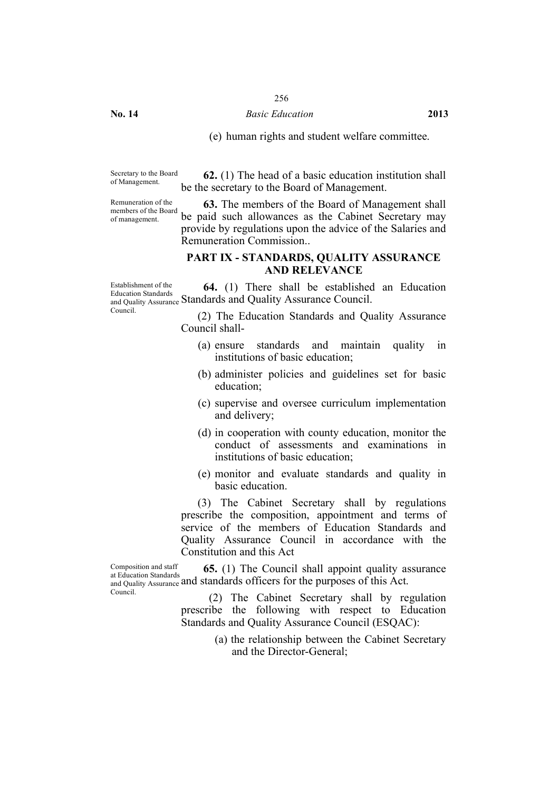#### **No. 14** *Basic Education* **2013**

(e) human rights and student welfare committee.

Secretary to the Board<br>of Management.

Remuneration of the members of the Board of management.

**62.** (1) The head of a basic education institution shall be the secretary to the Board of Management.

**63.** The members of the Board of Management shall be paid such allowances as the Cabinet Secretary may provide by regulations upon the advice of the Salaries and Remuneration Commission..

#### **PART IX - STANDARDS, QUALITY ASSURANCE AND RELEVANCE**

Establishment of the Education Standards and Quality Assurance Standards and Quality Assurance Council. Council. **64.** (1) There shall be established an Education

(2) The Education Standards and Quality Assurance Council shall-

- (a) ensure standards and maintain quality in institutions of basic education;
- (b) administer policies and guidelines set for basic education;
- (c) supervise and oversee curriculum implementation and delivery;
- (d) in cooperation with county education, monitor the conduct of assessments and examinations in institutions of basic education;
- (e) monitor and evaluate standards and quality in basic education.

(3) The Cabinet Secretary shall by regulations prescribe the composition, appointment and terms of service of the members of Education Standards and Quality Assurance Council in accordance with the Constitution and this Act

Composition and staff at Education Standards and Quality Assurance and standards officers for the purposes of this Act. Council. **65.** (1) The Council shall appoint quality assurance

(2) The Cabinet Secretary shall by regulation prescribe the following with respect to Education Standards and Quality Assurance Council (ESQAC):

> (a) the relationship between the Cabinet Secretary and the Director-General;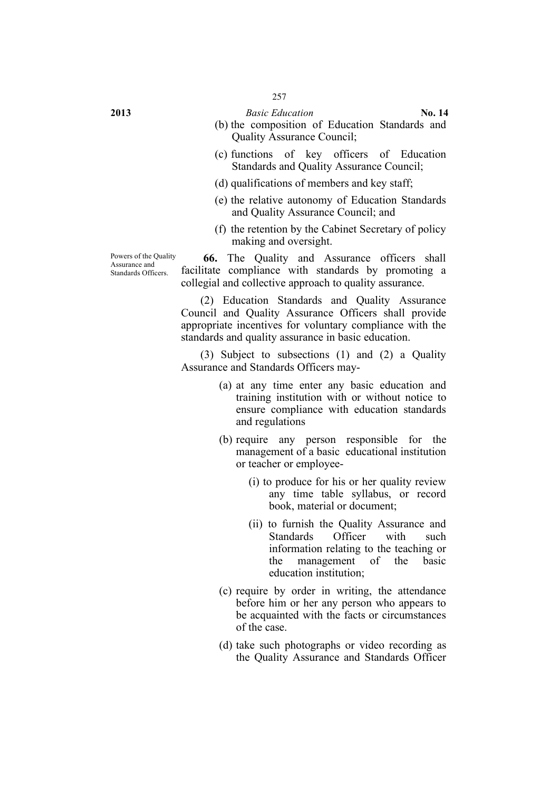**2013** *Basic Education* **No. 14**

- (b) the composition of Education Standards and Quality Assurance Council;
- (c) functions of key officers of Education Standards and Quality Assurance Council;
- (d) qualifications of members and key staff;
- (e) the relative autonomy of Education Standards and Quality Assurance Council; and
- (f) the retention by the Cabinet Secretary of policy making and oversight.

**66.** The Quality and Assurance officers shall facilitate compliance with standards by promoting a collegial and collective approach to quality assurance.

(2) Education Standards and Quality Assurance Council and Quality Assurance Officers shall provide appropriate incentives for voluntary compliance with the standards and quality assurance in basic education.

(3) Subject to subsections (1) and (2) a Quality Assurance and Standards Officers may-

- (a) at any time enter any basic education and training institution with or without notice to ensure compliance with education standards and regulations
- (b) require any person responsible for the management of a basic educational institution or teacher or employee-
	- (i) to produce for his or her quality review any time table syllabus, or record book, material or document;
	- (ii) to furnish the Quality Assurance and Standards Officer with such information relating to the teaching or the management of the basic education institution;
- (c) require by order in writing, the attendance before him or her any person who appears to be acquainted with the facts or circumstances of the case.
- (d) take such photographs or video recording as the Quality Assurance and Standards Officer

Powers of the Quality Assurance and Standards Officers.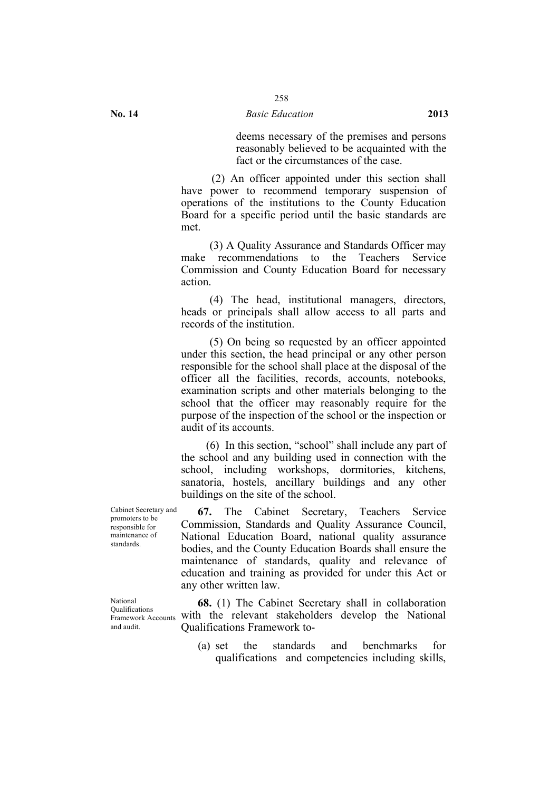deems necessary of the premises and persons reasonably believed to be acquainted with the fact or the circumstances of the case.

(2) An officer appointed under this section shall have power to recommend temporary suspension of operations of the institutions to the County Education Board for a specific period until the basic standards are met.

(3) A Quality Assurance and Standards Officer may make recommendations to the Teachers Service Commission and County Education Board for necessary action.

(4) The head, institutional managers, directors, heads or principals shall allow access to all parts and records of the institution.

(5) On being so requested by an officer appointed under this section, the head principal or any other person responsible for the school shall place at the disposal of the officer all the facilities, records, accounts, notebooks, examination scripts and other materials belonging to the school that the officer may reasonably require for the purpose of the inspection of the school or the inspection or audit of its accounts.

(6) In this section, "school" shall include any part of the school and any building used in connection with the school, including workshops, dormitories, kitchens, sanatoria, hostels, ancillary buildings and any other buildings on the site of the school.

**67.** The Cabinet Secretary, Teachers Service Commission, Standards and Quality Assurance Council, National Education Board, national quality assurance bodies, and the County Education Boards shall ensure the maintenance of standards, quality and relevance of education and training as provided for under this Act or any other written law.

**Example at all rates** with the relevant stakeholders develop the National **68.** (1) The Cabinet Secretary shall in collaboration Qualifications Framework to-

> (a) set the standards and benchmarks for qualifications and competencies including skills,

Cabinet Secretary and promoters to be responsible for maintenance of standards.

National Qualifications and audit.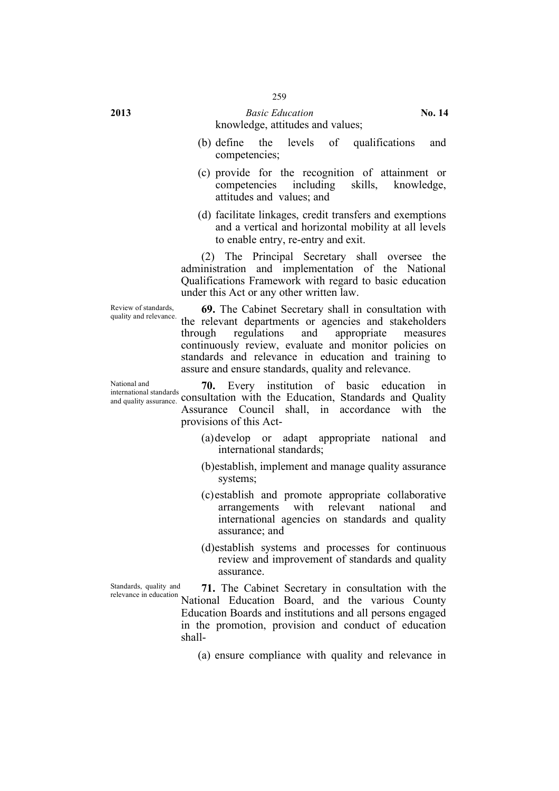#### **2013** *Basic Education* **No. 14** knowledge, attitudes and values;

- (b) define the levels of qualifications and competencies;
- (c) provide for the recognition of attainment or competencies including skills, knowledge, attitudes and values; and
- (d) facilitate linkages, credit transfers and exemptions and a vertical and horizontal mobility at all levels to enable entry, re-entry and exit.

(2) The Principal Secretary shall oversee the administration and implementation of the National Qualifications Framework with regard to basic education under this Act or any other written law.

Review of standards,<br>quality and relevance.

69. The Cabinet Secretary shall in consultation with the relevant departments or agencies and stakeholders through regulations and appropriate measures continuously review, evaluate and monitor policies on standards and relevance in education and training to assure and ensure standards, quality and relevance.

International standards consultation with the Education, Standards and Quality **70.** Every institution of basic education in Assurance Council shall, in accordance with the provisions of this Act-

- (a)develop or adapt appropriate national and international standards;
- (b)establish, implement and manage quality assurance systems;
- (c)establish and promote appropriate collaborative arrangements with relevant national and international agencies on standards and quality assurance; and
- (d)establish systems and processes for continuous review and improvement of standards and quality assurance.

Standards, quality and Standards, quality and **71.** The Cabinet Secretary in consultation with the relevance in education  $\overline{\phantom{a}}$ National Education Board, and the various County Education Boards and institutions and all persons engaged in the promotion, provision and conduct of education shall-

(a) ensure compliance with quality and relevance in

National and international standards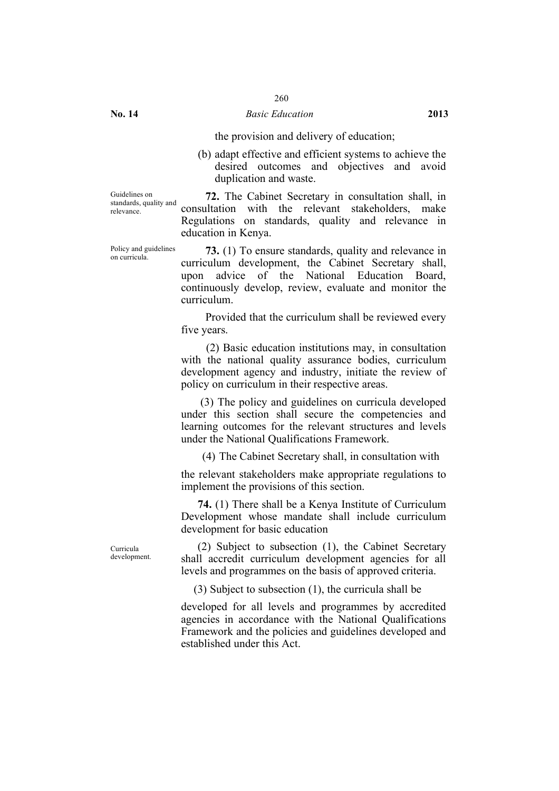#### the provision and delivery of education;

(b) adapt effective and efficient systems to achieve the desired outcomes and objectives and avoid duplication and waste.

Guidelines on standards, quality and relevance.

**72.** The Cabinet Secretary in consultation shall, in consultation with the relevant stakeholders, make Regulations on standards, quality and relevance in education in Kenya.

Policy and guidelines

Policy and guidelines **73.** (1) To ensure standards, quality and relevance in on curricula. curriculum development, the Cabinet Secretary shall, upon advice of the National Education Board, continuously develop, review, evaluate and monitor the curriculum.

> Provided that the curriculum shall be reviewed every five years.

> (2) Basic education institutions may, in consultation with the national quality assurance bodies, curriculum development agency and industry, initiate the review of policy on curriculum in their respective areas.

> (3) The policy and guidelines on curricula developed under this section shall secure the competencies and learning outcomes for the relevant structures and levels under the National Qualifications Framework.

(4) The Cabinet Secretary shall, in consultation with

the relevant stakeholders make appropriate regulations to implement the provisions of this section.

**74.** (1) There shall be a Kenya Institute of Curriculum Development whose mandate shall include curriculum development for basic education

Curricula development.

(2) Subject to subsection (1), the Cabinet Secretary shall accredit curriculum development agencies for all levels and programmes on the basis of approved criteria.

(3) Subject to subsection (1), the curricula shall be

developed for all levels and programmes by accredited agencies in accordance with the National Qualifications Framework and the policies and guidelines developed and established under this Act.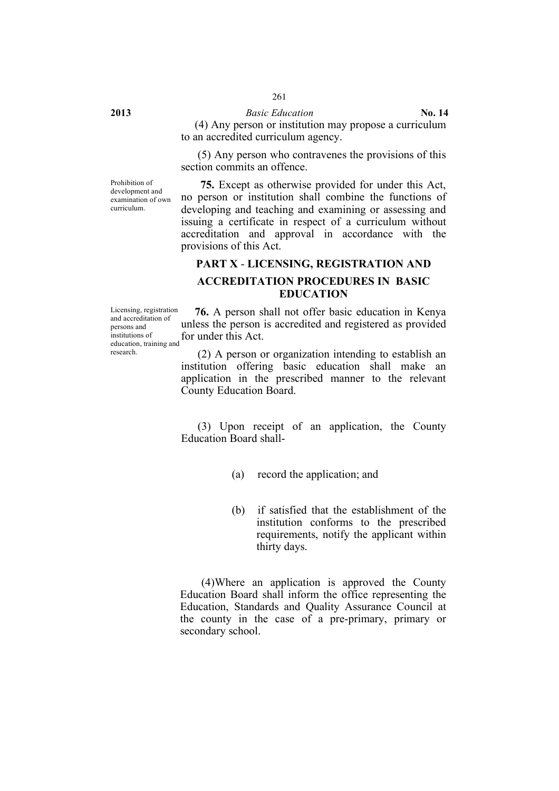#### **2013** *Basic Education* **No. 14**

(4) Any person or institution may propose a curriculum to an accredited curriculum agency.

(5) Any person who contravenes the provisions of this section commits an offence

Prohibition of development and examination of own curriculum.

**75.** Except as otherwise provided for under this Act, no person or institution shall combine the functions of developing and teaching and examining or assessing and issuing a certificate in respect of a curriculum without accreditation and approval in accordance with the provisions of this Act.

#### **PART X** - **LICENSING, REGISTRATION AND**

# **ACCREDITATION PROCEDURES IN BASIC EDUCATION**

Licensing, registration and accreditation of persons and institutions of education, training and for under this Act. research.

**76.** A person shall not offer basic education in Kenya unless the person is accredited and registered as provided

(2) A person or organization intending to establish an institution offering basic education shall make an application in the prescribed manner to the relevant County Education Board.

(3) Upon receipt of an application, the County Education Board shall-

- (a) record the application; and
- (b) if satisfied that the establishment of the institution conforms to the prescribed requirements, notify the applicant within thirty days.

(4)Where an application is approved the County Education Board shall inform the office representing the Education, Standards and Quality Assurance Council at the county in the case of a pre-primary, primary or secondary school.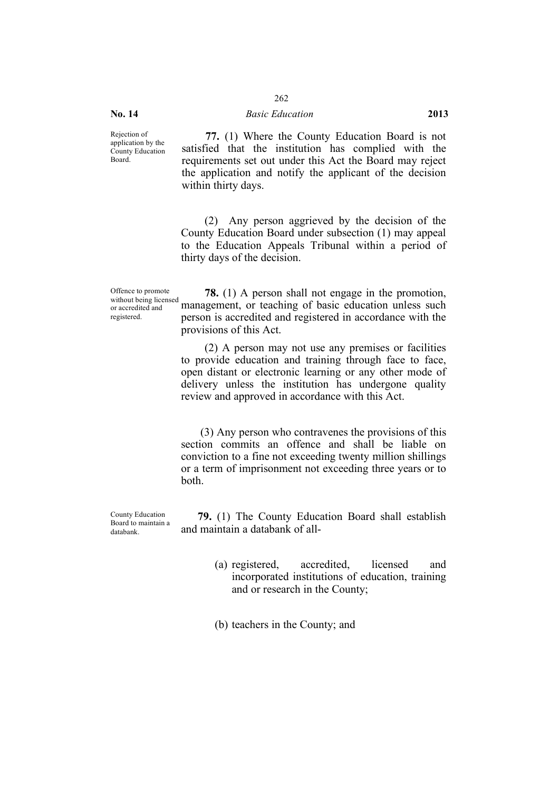#### **No. 14** *Basic Education* **2013**

Rejection of application by the County Education Board.

**77.** (1) Where the County Education Board is not satisfied that the institution has complied with the requirements set out under this Act the Board may reject the application and notify the applicant of the decision within thirty days.

(2) Any person aggrieved by the decision of the County Education Board under subsection (1) may appeal to the Education Appeals Tribunal within a period of thirty days of the decision.

Offence to promote without being licensed or accredited and registered.

**78.** (1) A person shall not engage in the promotion, management, or teaching of basic education unless such person is accredited and registered in accordance with the provisions of this Act.

(2) A person may not use any premises or facilities to provide education and training through face to face, open distant or electronic learning or any other mode of delivery unless the institution has undergone quality review and approved in accordance with this Act.

(3) Any person who contravenes the provisions of this section commits an offence and shall be liable on conviction to a fine not exceeding twenty million shillings or a term of imprisonment not exceeding three years or to both.

County Education Board to maintain a databank.

**79.** (1) The County Education Board shall establish and maintain a databank of all-

- (a) registered, accredited, licensed and incorporated institutions of education, training and or research in the County;
- (b) teachers in the County; and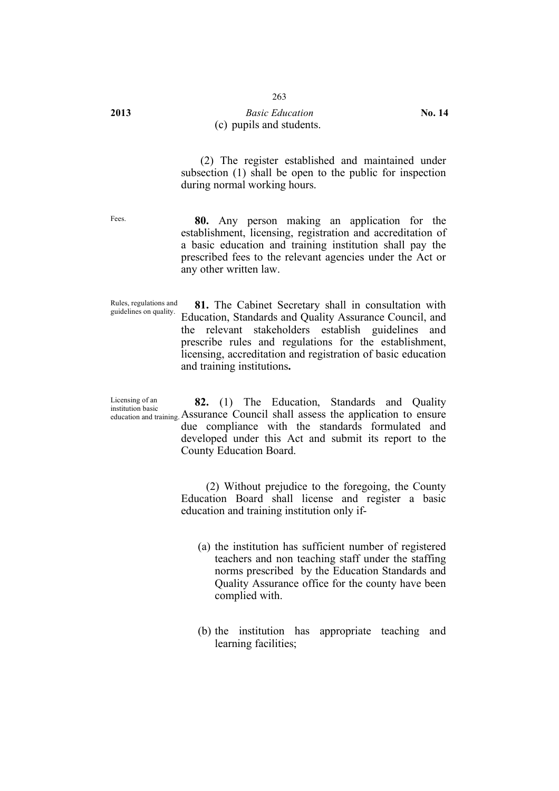#### **2013** *Basic Education* **No. 14** (c) pupils and students.

(2) The register established and maintained under subsection (1) shall be open to the public for inspection during normal working hours.

Fees. **80.** Any person making an application for the establishment, licensing, registration and accreditation of a basic education and training institution shall pay the prescribed fees to the relevant agencies under the Act or any other written law.

Rules, regulations and<br>guidelines on quality. 81. The Cabinet Secretary shall in consultation with Education, Standards and Quality Assurance Council, and the relevant stakeholders establish guidelines and prescribe rules and regulations for the establishment, licensing, accreditation and registration of basic education and training institutions**.**

Licensing of an institution basic education and training. Assurance Council shall assess the application to ensure **82.** (1) The Education, Standards and Quality due compliance with the standards formulated and developed under this Act and submit its report to the County Education Board.

> (2) Without prejudice to the foregoing, the County Education Board shall license and register a basic education and training institution only if-

- (a) the institution has sufficient number of registered teachers and non teaching staff under the staffing norms prescribed by the Education Standards and Quality Assurance office for the county have been complied with.
- (b) the institution has appropriate teaching and learning facilities;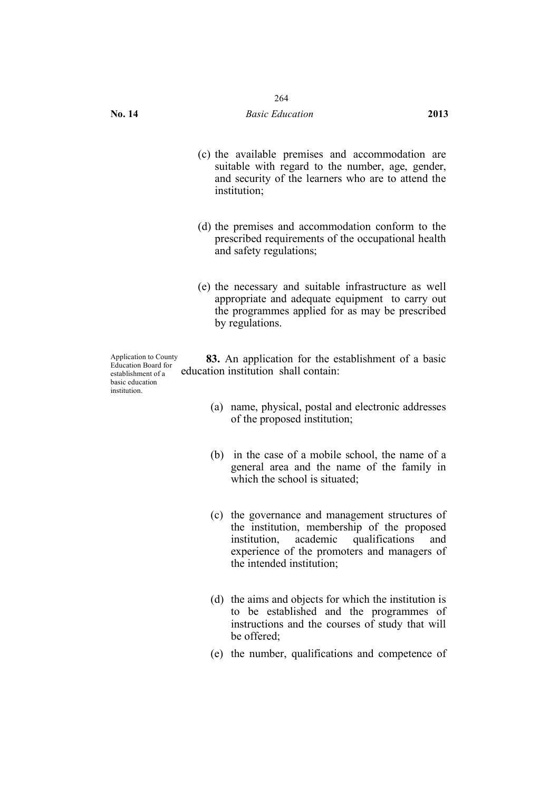- (c) the available premises and accommodation are suitable with regard to the number, age, gender, and security of the learners who are to attend the institution;
- (d) the premises and accommodation conform to the prescribed requirements of the occupational health and safety regulations;
- (e) the necessary and suitable infrastructure as well appropriate and adequate equipment to carry out the programmes applied for as may be prescribed by regulations.

Application to County Education Board for establishment of a basic education institution.

**83.** An application for the establishment of a basic education institution shall contain:

- (a) name, physical, postal and electronic addresses of the proposed institution;
- (b) in the case of a mobile school, the name of a general area and the name of the family in which the school is situated:
- (c) the governance and management structures of the institution, membership of the proposed institution, academic qualifications and experience of the promoters and managers of the intended institution;
- (d) the aims and objects for which the institution is to be established and the programmes of instructions and the courses of study that will be offered;
- (e) the number, qualifications and competence of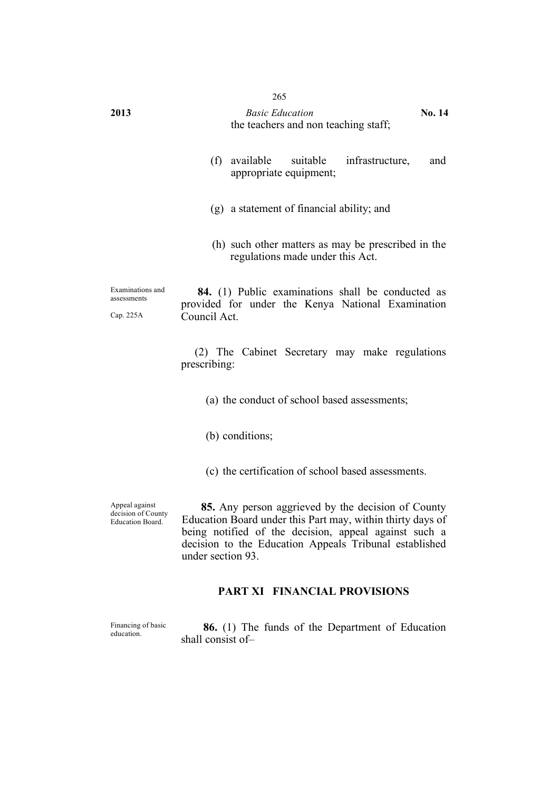| 2013                                         | 265<br><b>Basic Education</b><br>No. 14<br>the teachers and non teaching staff;                                        |
|----------------------------------------------|------------------------------------------------------------------------------------------------------------------------|
|                                              | (f)<br>available<br>suitable<br>infrastructure,<br>and<br>appropriate equipment;                                       |
|                                              | (g) a statement of financial ability; and                                                                              |
|                                              | (h) such other matters as may be prescribed in the<br>regulations made under this Act.                                 |
| Examinations and<br>assessments<br>Cap. 225A | 84. (1) Public examinations shall be conducted as<br>provided for under the Kenya National Examination<br>Council Act. |
|                                              | (2) The Cabinet Secretary may make regulations<br>prescribing:                                                         |
|                                              | (a) the conduct of school based assessments;                                                                           |
|                                              | (b) conditions;                                                                                                        |
|                                              | (c) the certification of school based assessments.                                                                     |

Appeal against decision of County Education Board.

**85.** Any person aggrieved by the decision of County Education Board under this Part may, within thirty days of being notified of the decision, appeal against such a decision to the Education Appeals Tribunal established under section 93.

# **PART XI FINANCIAL PROVISIONS**

Financing of basic<br>education.

86. (1) The funds of the Department of Education shall consist of–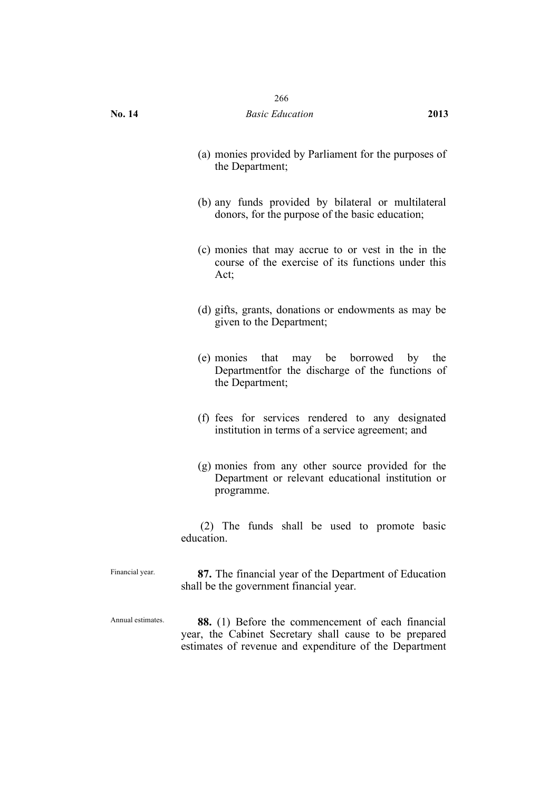- (a) monies provided by Parliament for the purposes of the Department;
- (b) any funds provided by bilateral or multilateral donors, for the purpose of the basic education;
- (c) monies that may accrue to or vest in the in the course of the exercise of its functions under this Act;
- (d) gifts, grants, donations or endowments as may be given to the Department;
- (e) monies that may be borrowed by the Departmentfor the discharge of the functions of the Department;
- (f) fees for services rendered to any designated institution in terms of a service agreement; and
- (g) monies from any other source provided for the Department or relevant educational institution or programme.

(2) The funds shall be used to promote basic education.

Financial year. **87.** The financial year of the Department of Education shall be the government financial year.

Annual estimates. **88.** (1) Before the commencement of each financial year, the Cabinet Secretary shall cause to be prepared estimates of revenue and expenditure of the Department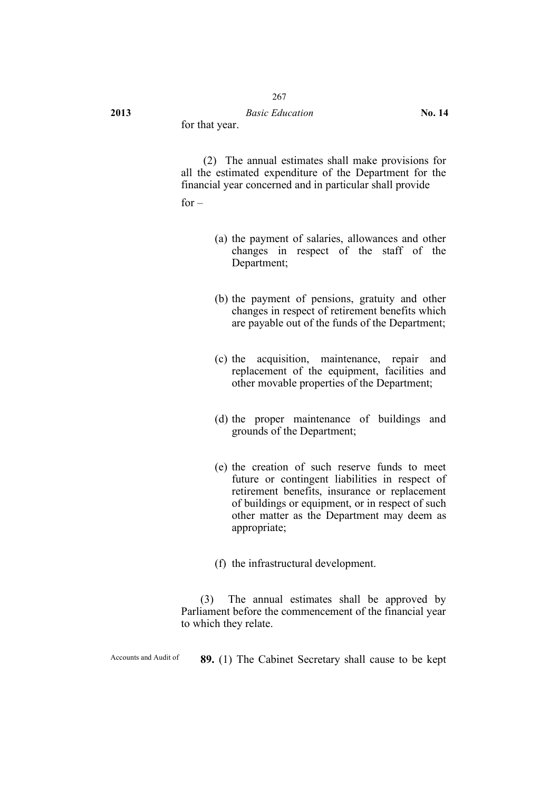for that year.

(2) The annual estimates shall make provisions for all the estimated expenditure of the Department for the financial year concerned and in particular shall provide

 $for -$ 

- (a) the payment of salaries, allowances and other changes in respect of the staff of the Department;
- (b) the payment of pensions, gratuity and other changes in respect of retirement benefits which are payable out of the funds of the Department;
- (c) the acquisition, maintenance, repair and replacement of the equipment, facilities and other movable properties of the Department;
- (d) the proper maintenance of buildings and grounds of the Department;
- (e) the creation of such reserve funds to meet future or contingent liabilities in respect of retirement benefits, insurance or replacement of buildings or equipment, or in respect of such other matter as the Department may deem as appropriate;
- (f) the infrastructural development.

(3) The annual estimates shall be approved by Parliament before the commencement of the financial year to which they relate.

Accounts and Audit of **89.** (1) The Cabinet Secretary shall cause to be kept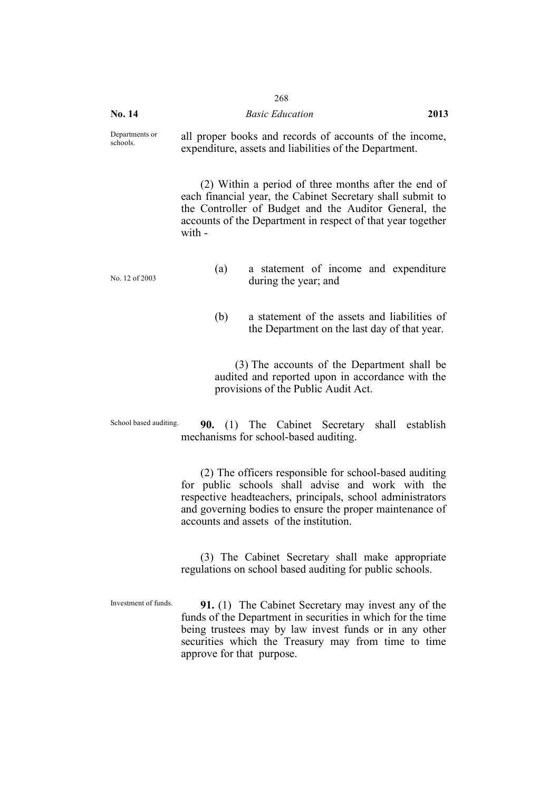|                            | 268                                                                                                                                                                                                                                                                              |      |
|----------------------------|----------------------------------------------------------------------------------------------------------------------------------------------------------------------------------------------------------------------------------------------------------------------------------|------|
| No. 14                     | <b>Basic Education</b>                                                                                                                                                                                                                                                           | 2013 |
| Departments or<br>schools. | all proper books and records of accounts of the income,<br>expenditure, assets and liabilities of the Department.                                                                                                                                                                |      |
|                            | (2) Within a period of three months after the end of<br>each financial year, the Cabinet Secretary shall submit to<br>the Controller of Budget and the Auditor General, the<br>accounts of the Department in respect of that year together<br>with -                             |      |
| No. 12 of 2003             | a statement of income and expenditure<br>(a)<br>during the year; and                                                                                                                                                                                                             |      |
|                            | a statement of the assets and liabilities of<br>(b)<br>the Department on the last day of that year.                                                                                                                                                                              |      |
|                            | (3) The accounts of the Department shall be<br>audited and reported upon in accordance with the<br>provisions of the Public Audit Act.                                                                                                                                           |      |
| School based auditing.     | <b>90.</b> (1) The Cabinet Secretary shall establish<br>mechanisms for school-based auditing.                                                                                                                                                                                    |      |
|                            | (2) The officers responsible for school-based auditing<br>for public schools shall advise and work with the<br>respective headteachers, principals, school administrators<br>and governing bodies to ensure the proper maintenance of<br>accounts and assets of the institution. |      |
|                            | (3) The Cabinet Secretary shall make appropriate<br>regulations on school based auditing for public schools.                                                                                                                                                                     |      |

Investment of funds. **91.** (1) The Cabinet Secretary may invest any of the funds of the Department in securities in which for the time being trustees may by law invest funds or in any other securities which the Treasury may from time to time approve for that purpose.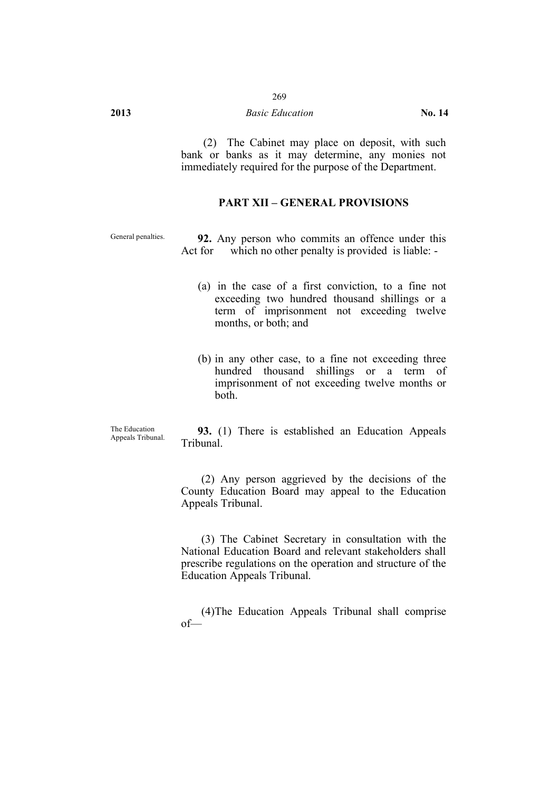(2) The Cabinet may place on deposit, with such bank or banks as it may determine, any monies not immediately required for the purpose of the Department.

# **PART XII – GENERAL PROVISIONS**

General penalties. **92.** Any person who commits an offence under this Act for which no other penalty is provided is liable: -

- (a) in the case of a first conviction, to a fine not exceeding two hundred thousand shillings or a term of imprisonment not exceeding twelve months, or both; and
- (b) in any other case, to a fine not exceeding three hundred thousand shillings or a term of imprisonment of not exceeding twelve months or both.

The Education<br>Appeals Tribunal.

93. (1) There is established an Education Appeals Tribunal.

(2) Any person aggrieved by the decisions of the County Education Board may appeal to the Education Appeals Tribunal.

(3) The Cabinet Secretary in consultation with the National Education Board and relevant stakeholders shall prescribe regulations on the operation and structure of the Education Appeals Tribunal.

(4)The Education Appeals Tribunal shall comprise of—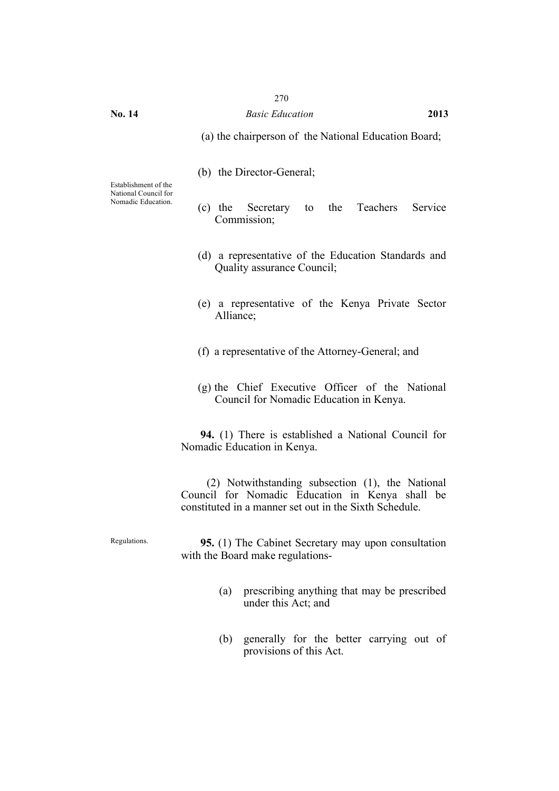(a) the chairperson of the National Education Board;

(b) the Director-General;

Establishment of the National Council for Nomadic Education.

- (c) the Secretary to the Teachers Service Commission;
- (d) a representative of the Education Standards and Quality assurance Council;
- (e) a representative of the Kenya Private Sector Alliance;
- (f) a representative of the Attorney-General; and
- (g) the Chief Executive Officer of the National Council for Nomadic Education in Kenya.

**94.** (1) There is established a National Council for Nomadic Education in Kenya.

(2) Notwithstanding subsection (1), the National Council for Nomadic Education in Kenya shall be constituted in a manner set out in the Sixth Schedule.

Regulations. **95.** (1) The Cabinet Secretary may upon consultation with the Board make regulations-

- (a) prescribing anything that may be prescribed under this Act; and
- (b) generally for the better carrying out of provisions of this Act.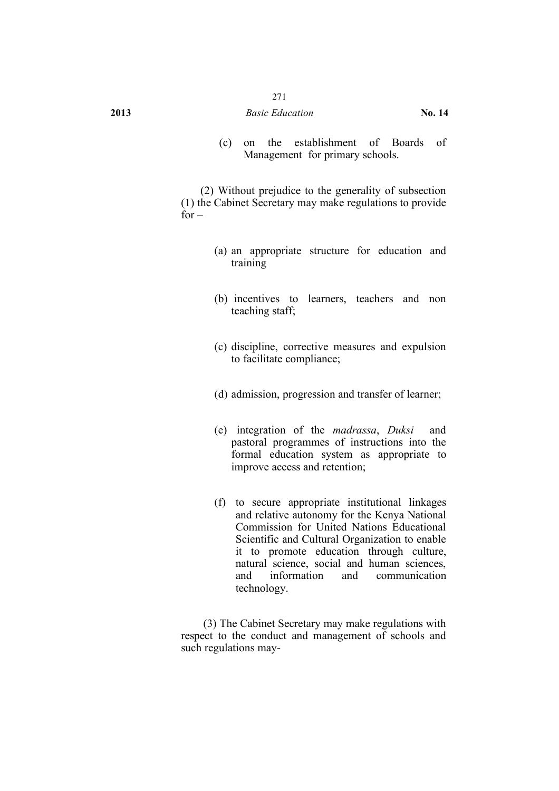#### **2013** *Basic Education* **No. 14**

(c) on the establishment of Boards of Management for primary schools.

(2) Without prejudice to the generality of subsection (1) the Cabinet Secretary may make regulations to provide for –

- (a) an appropriate structure for education and training
- (b) incentives to learners, teachers and non teaching staff;
- (c) discipline, corrective measures and expulsion to facilitate compliance;
- (d) admission, progression and transfer of learner;
- (e) integration of the *madrassa*, *Duksi* and pastoral programmes of instructions into the formal education system as appropriate to improve access and retention;
- (f) to secure appropriate institutional linkages and relative autonomy for the Kenya National Commission for United Nations Educational Scientific and Cultural Organization to enable it to promote education through culture, natural science, social and human sciences, and information and communication technology.

(3) The Cabinet Secretary may make regulations with respect to the conduct and management of schools and such regulations may-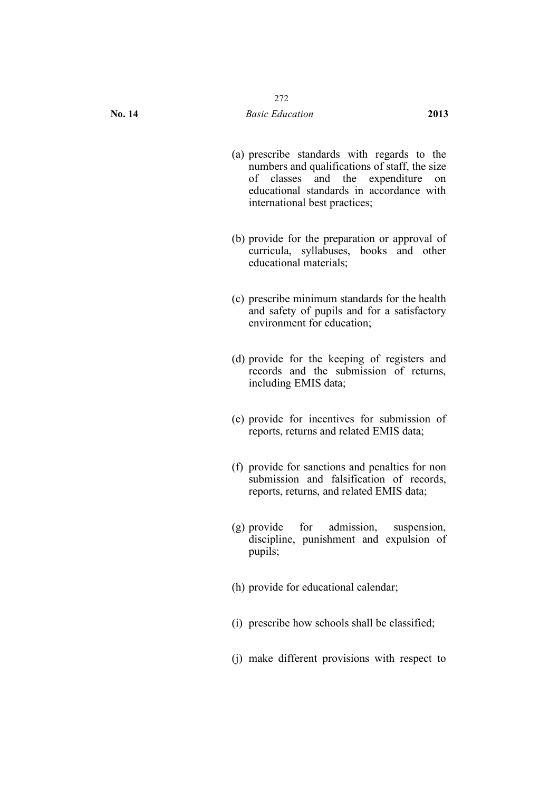- (a) prescribe standards with regards to the numbers and qualifications of staff, the size of classes and the expenditure on educational standards in accordance with international best practices;
- (b) provide for the preparation or approval of curricula, syllabuses, books and other educational materials;
- (c) prescribe minimum standards for the health and safety of pupils and for a satisfactory environment for education;
- (d) provide for the keeping of registers and records and the submission of returns, including EMIS data;
- (e) provide for incentives for submission of reports, returns and related EMIS data;
- (f) provide for sanctions and penalties for non submission and falsification of records, reports, returns, and related EMIS data;
- (g) provide for admission, suspension, discipline, punishment and expulsion of pupils;
- (h) provide for educational calendar;
- (i) prescribe how schools shall be classified;
- (j) make different provisions with respect to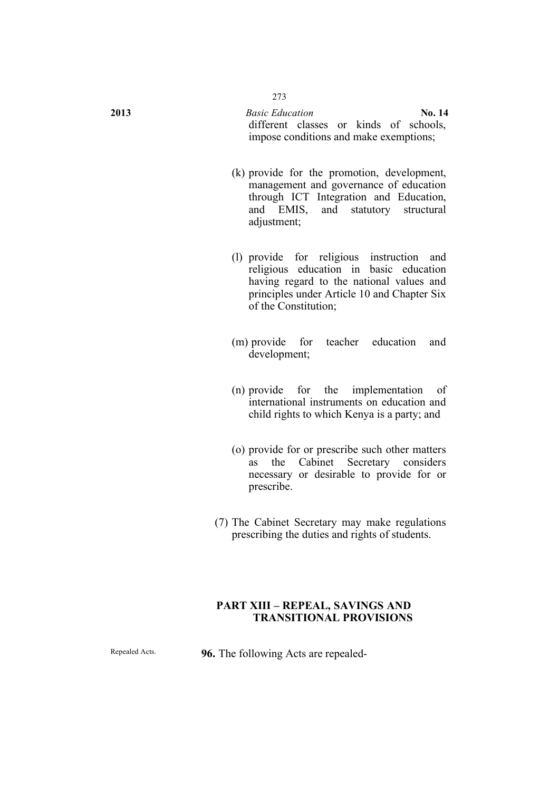**2013** *Basic Education* **No. 14** different classes or kinds of schools, impose conditions and make exemptions;

- (k) provide for the promotion, development, management and governance of education through ICT Integration and Education, and EMIS, and statutory structural adjustment;
- (l) provide for religious instruction and religious education in basic education having regard to the national values and principles under Article 10 and Chapter Six of the Constitution;
- (m) provide for teacher education and development;
- (n) provide for the implementation of international instruments on education and child rights to which Kenya is a party; and
- (o) provide for or prescribe such other matters as the Cabinet Secretary considers necessary or desirable to provide for or prescribe.
- (7) The Cabinet Secretary may make regulations prescribing the duties and rights of students.

# **PART XIII – REPEAL, SAVINGS AND TRANSITIONAL PROVISIONS**

Repealed Acts. **96.** The following Acts are repealed-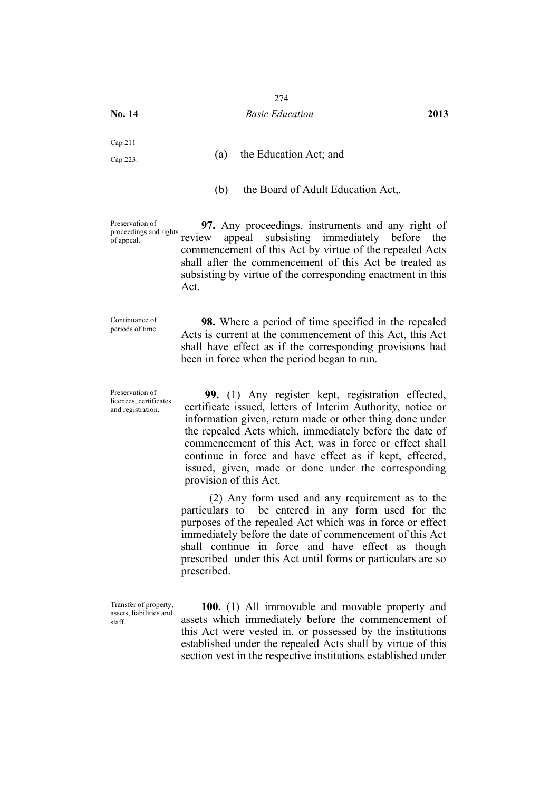#### **No. 14** *Basic Education* **2013**

Cap 211

Cap 223. (a) the Education Act; and

(b) the Board of Adult Education Act,.

Preservation of proceedings and rights of appeal.

**97.** Any proceedings, instruments and any right of review appeal subsisting immediately before the commencement of this Act by virtue of the repealed Acts shall after the commencement of this Act be treated as subsisting by virtue of the corresponding enactment in this Act.

Continuance of

periods of time. **98.** Where a period of time specified in the repealed Acts is current at the commencement of this Act, this Act shall have effect as if the corresponding provisions had been in force when the period began to run.

Preservation of licences, certificates and registration.

**99.** (1) Any register kept, registration effected, certificate issued, letters of Interim Authority, notice or information given, return made or other thing done under the repealed Acts which, immediately before the date of commencement of this Act, was in force or effect shall continue in force and have effect as if kept, effected, issued, given, made or done under the corresponding provision of this Act.

(2) Any form used and any requirement as to the particulars to be entered in any form used for the purposes of the repealed Act which was in force or effect immediately before the date of commencement of this Act shall continue in force and have effect as though prescribed under this Act until forms or particulars are so prescribed.

Transfer of property, assets, liabilities and staff.

**100.** (1) All immovable and movable property and assets which immediately before the commencement of this Act were vested in, or possessed by the institutions established under the repealed Acts shall by virtue of this section vest in the respective institutions established under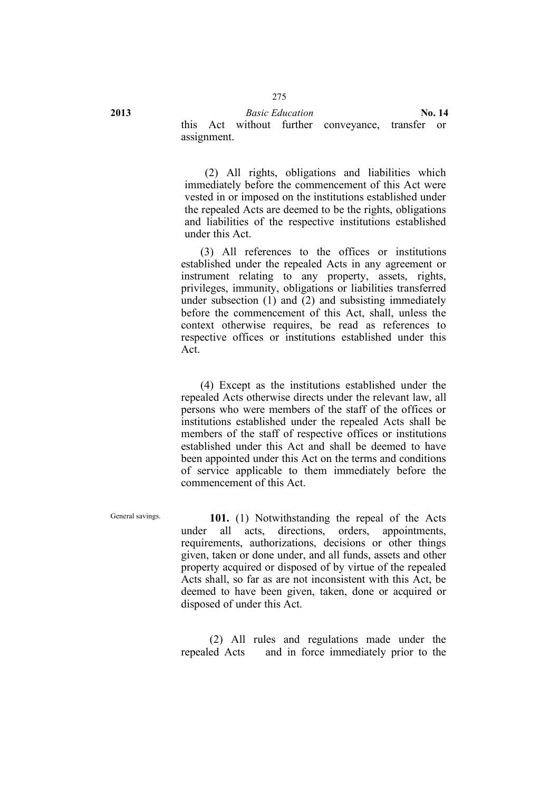**2013** *Basic Education* **No. 14**

this Act without further conveyance, transfer or assignment.

(2) All rights, obligations and liabilities which immediately before the commencement of this Act were vested in or imposed on the institutions established under the repealed Acts are deemed to be the rights, obligations and liabilities of the respective institutions established under this Act.

(3) All references to the offices or institutions established under the repealed Acts in any agreement or instrument relating to any property, assets, rights, privileges, immunity, obligations or liabilities transferred under subsection (1) and (2) and subsisting immediately before the commencement of this Act, shall, unless the context otherwise requires, be read as references to respective offices or institutions established under this Act.

(4) Except as the institutions established under the repealed Acts otherwise directs under the relevant law, all persons who were members of the staff of the offices or institutions established under the repealed Acts shall be members of the staff of respective offices or institutions established under this Act and shall be deemed to have been appointed under this Act on the terms and conditions of service applicable to them immediately before the commencement of this Act.

General savings. **101.** (1) Notwithstanding the repeal of the Acts under all acts, directions, orders, appointments, requirements, authorizations, decisions or other things given, taken or done under, and all funds, assets and other property acquired or disposed of by virtue of the repealed Acts shall, so far as are not inconsistent with this Act, be deemed to have been given, taken, done or acquired or disposed of under this Act.

> (2) All rules and regulations made under the repealed Acts and in force immediately prior to the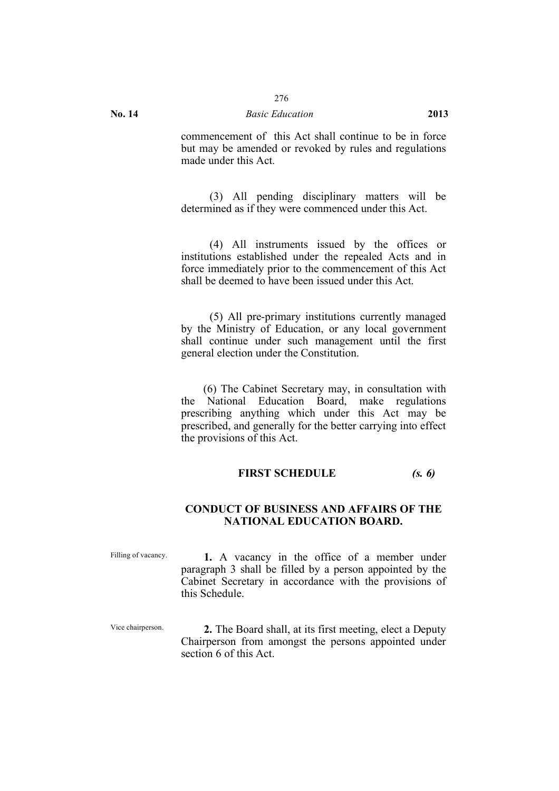#### **No. 14** *Basic Education* **2013**

commencement of this Act shall continue to be in force but may be amended or revoked by rules and regulations made under this Act.

(3) All pending disciplinary matters will be determined as if they were commenced under this Act.

(4) All instruments issued by the offices or institutions established under the repealed Acts and in force immediately prior to the commencement of this Act shall be deemed to have been issued under this Act.

(5) All pre-primary institutions currently managed by the Ministry of Education, or any local government shall continue under such management until the first general election under the Constitution.

(6) The Cabinet Secretary may, in consultation with the National Education Board, make regulations prescribing anything which under this Act may be prescribed, and generally for the better carrying into effect the provisions of this Act.

#### **FIRST SCHEDULE** *(s. 6)*

### **CONDUCT OF BUSINESS AND AFFAIRS OF THE NATIONAL EDUCATION BOARD.**

Filling of vacancy. **1.** A vacancy in the office of a member under paragraph 3 shall be filled by a person appointed by the Cabinet Secretary in accordance with the provisions of this Schedule.

Vice chairperson. **2.** The Board shall, at its first meeting, elect a Deputy Chairperson from amongst the persons appointed under section 6 of this Act.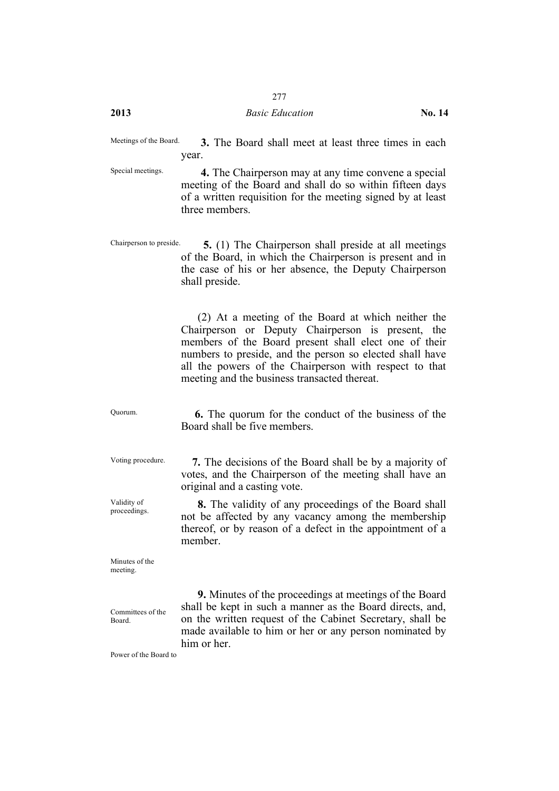#### **2013** *Basic Education* **No. 14**

Meetings of the Board. **3.** The Board shall meet at least three times in each year.

Special meetings. **4.** The Chairperson may at any time convene a special meeting of the Board and shall do so within fifteen days of a written requisition for the meeting signed by at least three members.

Chairperson to preside. **5.** (1) The Chairperson shall preside at all meetings of the Board, in which the Chairperson is present and in the case of his or her absence, the Deputy Chairperson shall preside.

> (2) At a meeting of the Board at which neither the Chairperson or Deputy Chairperson is present, the members of the Board present shall elect one of their numbers to preside, and the person so elected shall have all the powers of the Chairperson with respect to that meeting and the business transacted thereat.

Quorum. **6.** The quorum for the conduct of the business of the Board shall be five members.

Voting procedure. **7.** The decisions of the Board shall be by a majority of votes, and the Chairperson of the meeting shall have an original and a casting vote.

> **8.** The validity of any proceedings of the Board shall not be affected by any vacancy among the membership thereof, or by reason of a defect in the appointment of a member.

Minutes of the meeting.

Validity of proceedings.

Committees of the Board.

**9.** Minutes of the proceedings at meetings of the Board shall be kept in such a manner as the Board directs, and, on the written request of the Cabinet Secretary, shall be made available to him or her or any person nominated by him or her.

Power of the Board to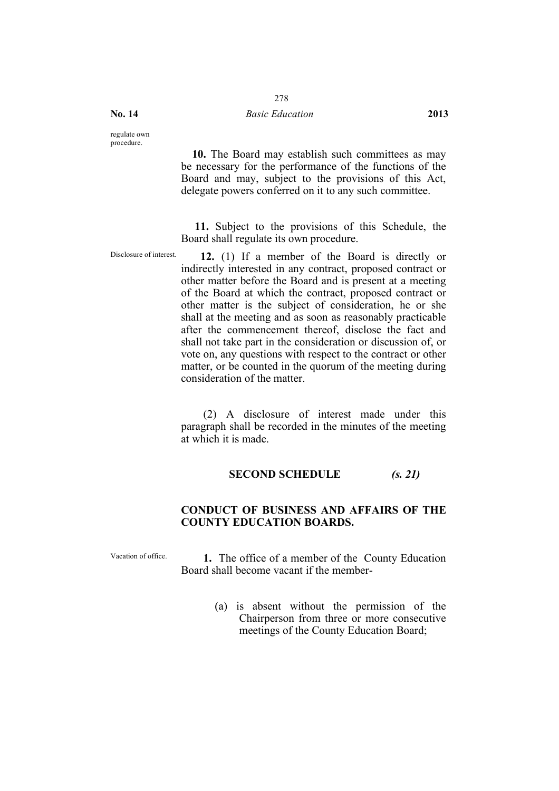#### **No. 14** *Basic Education* **2013**

regulate own procedure.

> **10.** The Board may establish such committees as may be necessary for the performance of the functions of the Board and may, subject to the provisions of this Act, delegate powers conferred on it to any such committee.

> **11.** Subject to the provisions of this Schedule, the Board shall regulate its own procedure.

Disclosure of interest. **12.** (1) If a member of the Board is directly or indirectly interested in any contract, proposed contract or other matter before the Board and is present at a meeting of the Board at which the contract, proposed contract or other matter is the subject of consideration, he or she shall at the meeting and as soon as reasonably practicable after the commencement thereof, disclose the fact and shall not take part in the consideration or discussion of, or vote on, any questions with respect to the contract or other matter, or be counted in the quorum of the meeting during consideration of the matter.

> (2) A disclosure of interest made under this paragraph shall be recorded in the minutes of the meeting at which it is made.

#### **SECOND SCHEDULE** *(s. 21)*

# **CONDUCT OF BUSINESS AND AFFAIRS OF THE COUNTY EDUCATION BOARDS.**

Vacation of office. **1.** The office of a member of the County Education Board shall become vacant if the member-

> (a) is absent without the permission of the Chairperson from three or more consecutive meetings of the County Education Board;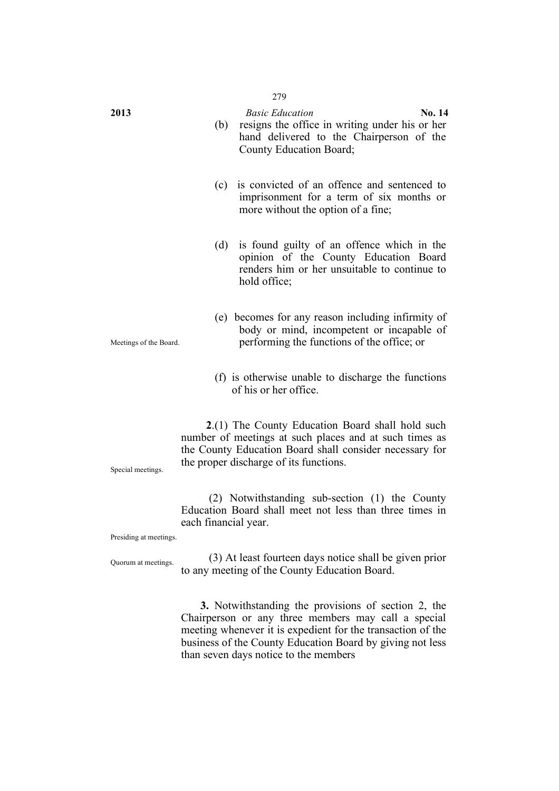| 2013                                                                                                                                                                                                                                 | <b>Basic Education</b><br>No. 14<br>resigns the office in writing under his or her<br>(b)<br>hand delivered to the Chairperson of the<br>County Education Board;          |  |
|--------------------------------------------------------------------------------------------------------------------------------------------------------------------------------------------------------------------------------------|---------------------------------------------------------------------------------------------------------------------------------------------------------------------------|--|
|                                                                                                                                                                                                                                      | is convicted of an offence and sentenced to<br>(c)<br>imprisonment for a term of six months or<br>more without the option of a fine;                                      |  |
|                                                                                                                                                                                                                                      | is found guilty of an offence which in the<br>(d)<br>opinion of the County Education Board<br>renders him or her unsuitable to continue to<br>hold office;                |  |
| Meetings of the Board.                                                                                                                                                                                                               | (e) becomes for any reason including infirmity of<br>body or mind, incompetent or incapable of<br>performing the functions of the office; or                              |  |
|                                                                                                                                                                                                                                      | (f) is otherwise unable to discharge the functions<br>of his or her office.                                                                                               |  |
| 2.(1) The County Education Board shall hold such<br>number of meetings at such places and at such times as<br>the County Education Board shall consider necessary for<br>the proper discharge of its functions.<br>Special meetings. |                                                                                                                                                                           |  |
| Presiding at meetings.                                                                                                                                                                                                               | (2) Notwithstanding sub-section (1) the County<br>Education Board shall meet not less than three times in<br>each financial year.                                         |  |
| Quorum at meetings.                                                                                                                                                                                                                  | (3) At least fourteen days notice shall be given prior<br>to any meeting of the County Education Board.                                                                   |  |
|                                                                                                                                                                                                                                      | 3. Notwithstanding the provisions of section 2, the<br>Chairperson or any three members may call a special<br>meeting whenever it is expedient for the transaction of the |  |

business of the County Education Board by giving not less

than seven days notice to the members

#### 279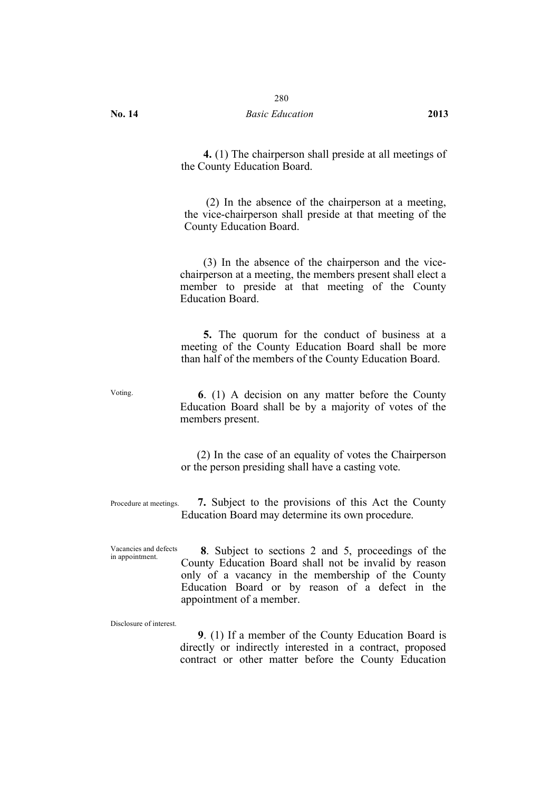**4.** (1) The chairperson shall preside at all meetings of the County Education Board.

(2) In the absence of the chairperson at a meeting, the vice-chairperson shall preside at that meeting of the County Education Board.

(3) In the absence of the chairperson and the vicechairperson at a meeting, the members present shall elect a member to preside at that meeting of the County Education Board.

**5.** The quorum for the conduct of business at a meeting of the County Education Board shall be more than half of the members of the County Education Board.

Voting. **6**. (1) A decision on any matter before the County Education Board shall be by a majority of votes of the members present.

> (2) In the case of an equality of votes the Chairperson or the person presiding shall have a casting vote.

Procedure at meetings. **7.** Subject to the provisions of this Act the County Education Board may determine its own procedure.

Vacancies and defects Vacancies and defects  $\bullet$  **8**. Subject to sections 2 and 5, proceedings of the County Education Board shall not be invalid by reason only of a vacancy in the membership of the County Education Board or by reason of a defect in the appointment of a member.

Disclosure of interest.

**9**. (1) If a member of the County Education Board is directly or indirectly interested in a contract, proposed contract or other matter before the County Education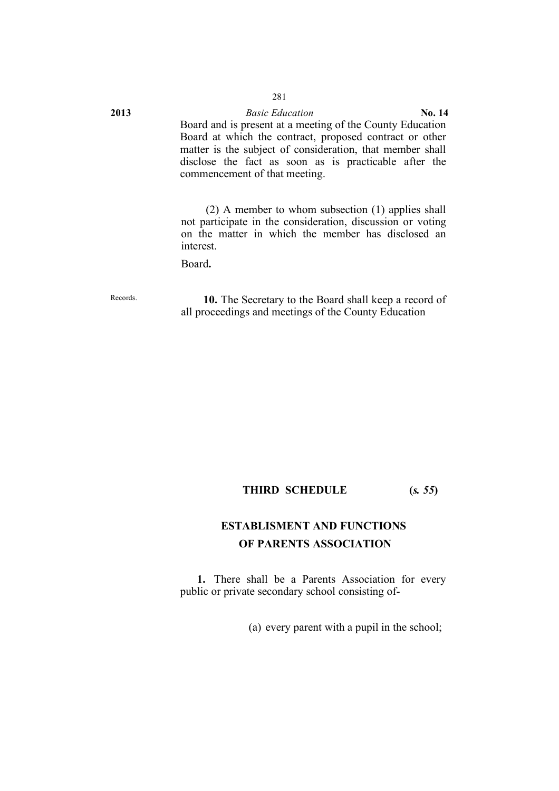**2013** *Basic Education* **No. 14** Board and is present at a meeting of the County Education Board at which the contract, proposed contract or other matter is the subject of consideration, that member shall disclose the fact as soon as is practicable after the commencement of that meeting.

> (2) A member to whom subsection (1) applies shall not participate in the consideration, discussion or voting on the matter in which the member has disclosed an interest.

Board**.**

Records. **10.** The Secretary to the Board shall keep a record of all proceedings and meetings of the County Education

# **THIRD SCHEDULE (***s. 55***)**

# **ESTABLISMENT AND FUNCTIONS OF PARENTS ASSOCIATION**

**1.** There shall be a Parents Association for every public or private secondary school consisting of-

(a) every parent with a pupil in the school;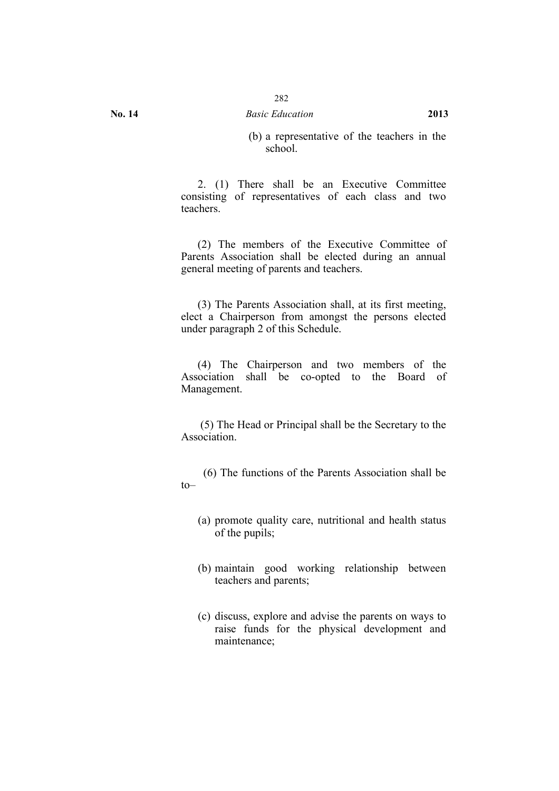(b) a representative of the teachers in the school.

2. (1) There shall be an Executive Committee consisting of representatives of each class and two teachers.

(2) The members of the Executive Committee of Parents Association shall be elected during an annual general meeting of parents and teachers.

(3) The Parents Association shall, at its first meeting, elect a Chairperson from amongst the persons elected under paragraph 2 of this Schedule.

(4) The Chairperson and two members of the Association shall be co-opted to the Board of Management.

(5) The Head or Principal shall be the Secretary to the Association.

(6) The functions of the Parents Association shall be  $to$ 

- (a) promote quality care, nutritional and health status of the pupils;
- (b) maintain good working relationship between teachers and parents;
- (c) discuss, explore and advise the parents on ways to raise funds for the physical development and maintenance;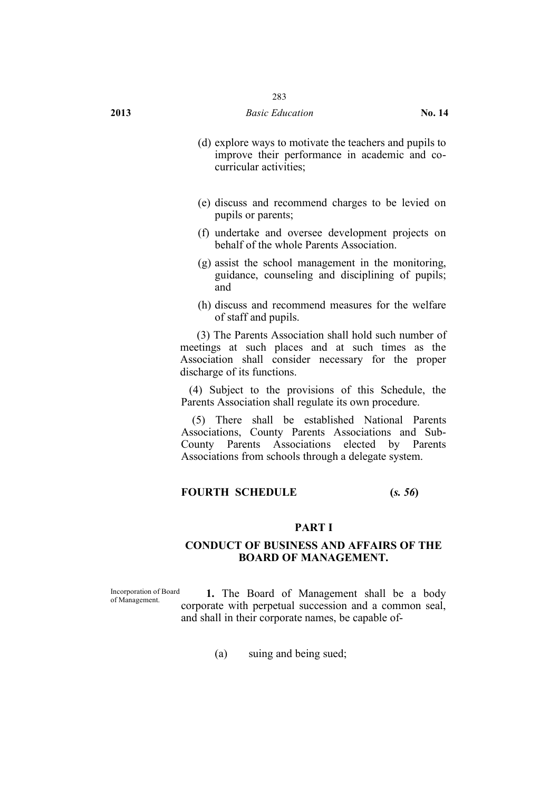#### **2013** *Basic Education* **No. 14**

- (d) explore ways to motivate the teachers and pupils to improve their performance in academic and cocurricular activities;
- (e) discuss and recommend charges to be levied on pupils or parents;
- (f) undertake and oversee development projects on behalf of the whole Parents Association.
- (g) assist the school management in the monitoring, guidance, counseling and disciplining of pupils; and
- (h) discuss and recommend measures for the welfare of staff and pupils.

(3) The Parents Association shall hold such number of meetings at such places and at such times as the Association shall consider necessary for the proper discharge of its functions.

(4) Subject to the provisions of this Schedule, the Parents Association shall regulate its own procedure.

(5) There shall be established National Parents Associations, County Parents Associations and Sub-County Parents Associations elected by Parents Associations from schools through a delegate system.

# **FOURTH SCHEDULE (***s. 56***)**

#### **PART I**

#### **CONDUCT OF BUSINESS AND AFFAIRS OF THE BOARD OF MANAGEMENT.**

Incorporation of Board

of Management. **1.** The Board of Management shall be a body corporate with perpetual succession and a common seal, and shall in their corporate names, be capable of-

(a) suing and being sued;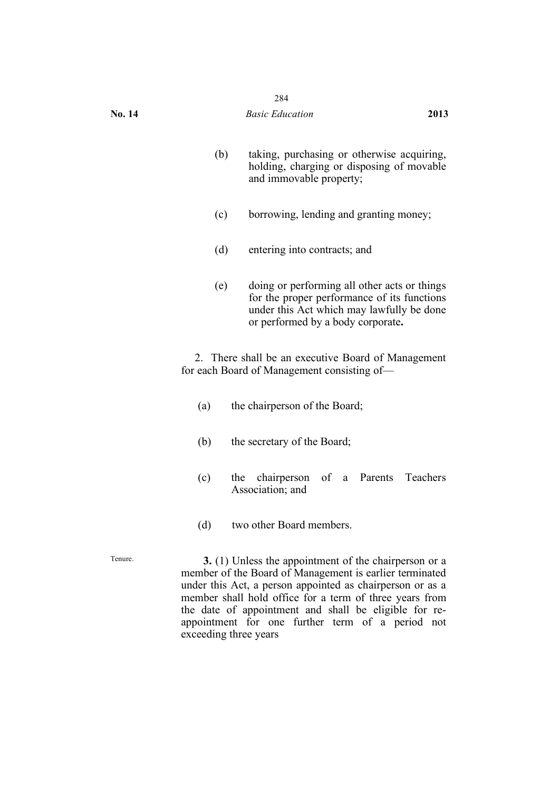| o<br>× |  |
|--------|--|
|        |  |

- (b) taking, purchasing or otherwise acquiring, holding, charging or disposing of movable and immovable property;
- (c) borrowing, lending and granting money;
- (d) entering into contracts; and
- (e) doing or performing all other acts or things for the proper performance of its functions under this Act which may lawfully be done or performed by a body corporate**.**

2. There shall be an executive Board of Management for each Board of Management consisting of—

- (a) the chairperson of the Board;
- (b) the secretary of the Board;
- (c) the chairperson of a Parents Teachers Association; and
- (d) two other Board members.

Tenure. **3.** (1) Unless the appointment of the chairperson or a member of the Board of Management is earlier terminated under this Act, a person appointed as chairperson or as a member shall hold office for a term of three years from the date of appointment and shall be eligible for reappointment for one further term of a period not exceeding three years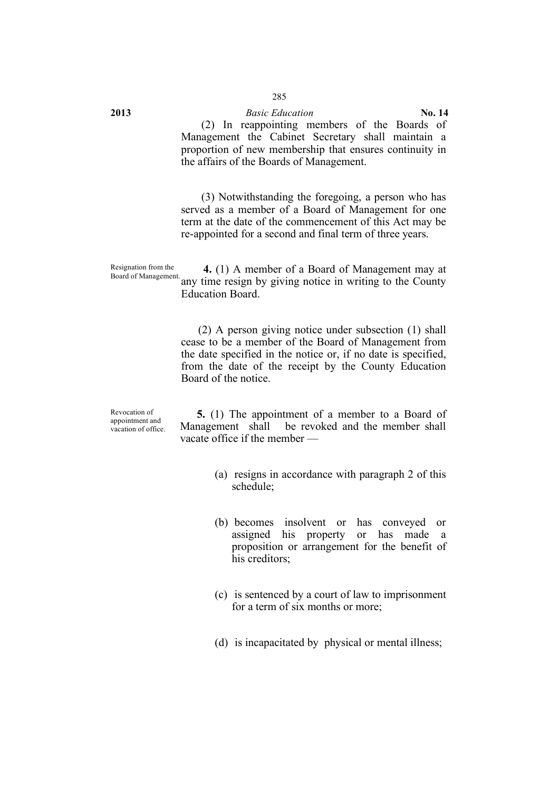# **2013** *Basic Education* **No. 14**

(2) In reappointing members of the Boards of Management the Cabinet Secretary shall maintain a proportion of new membership that ensures continuity in the affairs of the Boards of Management.

(3) Notwithstanding the foregoing, a person who has served as a member of a Board of Management for one term at the date of the commencement of this Act may be re-appointed for a second and final term of three years.

Resignation from the Resignation from the **4.** (1) A member of a Board of Management may at Board of Management.<br>Board of Management. **4.** (1) A member of a Board of Management may at Education Board.

> (2) A person giving notice under subsection (1) shall cease to be a member of the Board of Management from the date specified in the notice or, if no date is specified, from the date of the receipt by the County Education Board of the notice.

Revocation of appointment and vacation of office.

**5.** (1) The appointment of a member to a Board of Management shall be revoked and the member shall vacate office if the member —

- (a) resigns in accordance with paragraph 2 of this schedule;
- (b) becomes insolvent or has conveyed or assigned his property or has made a proposition or arrangement for the benefit of his creditors;
- (c) is sentenced by a court of law to imprisonment for a term of six months or more;
- (d) is incapacitated by physical or mental illness;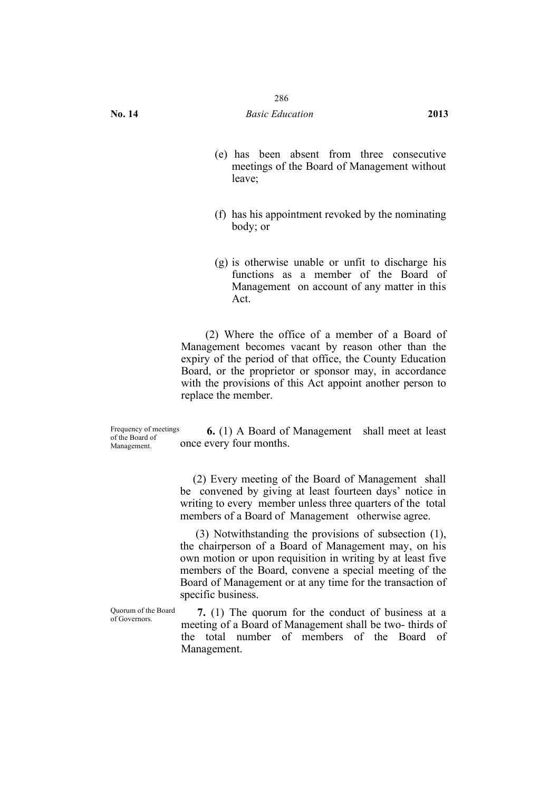- (e) has been absent from three consecutive meetings of the Board of Management without leave;
- (f) has his appointment revoked by the nominating body; or
- (g) is otherwise unable or unfit to discharge his functions as a member of the Board of Management on account of any matter in this Act.

(2) Where the office of a member of a Board of Management becomes vacant by reason other than the expiry of the period of that office, the County Education Board, or the proprietor or sponsor may, in accordance with the provisions of this Act appoint another person to replace the member.

Frequency of meetings of the Board of Management.

**6.** (1) A Board of Management shall meet at least once every four months.

(2) Every meeting of the Board of Management shall be convened by giving at least fourteen days' notice in writing to every member unless three quarters of the total members of a Board of Management otherwise agree.

(3) Notwithstanding the provisions of subsection (1), the chairperson of a Board of Management may, on his own motion or upon requisition in writing by at least five members of the Board, convene a special meeting of the Board of Management or at any time for the transaction of specific business.

Quorum of the Board

Quorum of the Board  $\frac{7.}{1}$  (1) The quorum for the conduct of business at a of Governors meeting of a Board of Management shall be two- thirds of the total number of members of the Board of Management.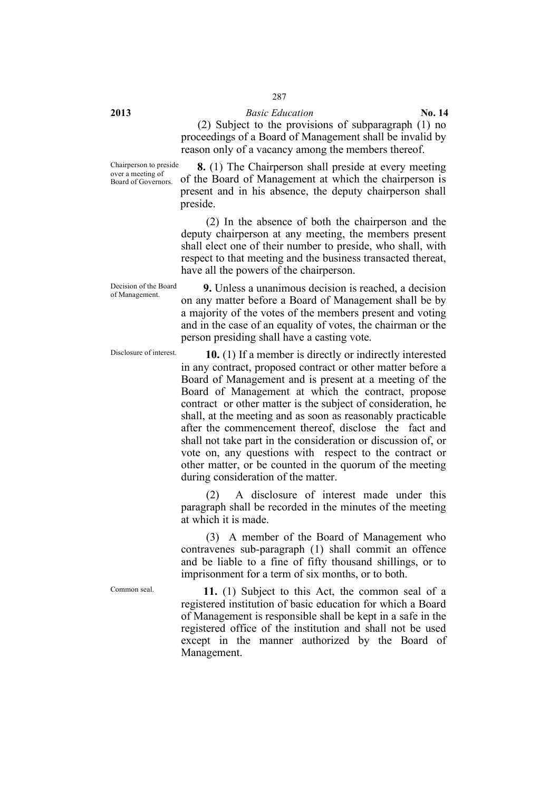**2013** *Basic Education* **No. 14**

(2) Subject to the provisions of subparagraph (1) no proceedings of a Board of Management shall be invalid by reason only of a vacancy among the members thereof.

Chairperson to preside over a meeting of Board of Governors.

**8.** (1) The Chairperson shall preside at every meeting of the Board of Management at which the chairperson is present and in his absence, the deputy chairperson shall preside.

(2) In the absence of both the chairperson and the deputy chairperson at any meeting, the members present shall elect one of their number to preside, who shall, with respect to that meeting and the business transacted thereat, have all the powers of the chairperson.

Decision of the Board<br>of Management.

**9.** Unless a unanimous decision is reached, a decision on any matter before a Board of Management shall be by a majority of the votes of the members present and voting and in the case of an equality of votes, the chairman or the person presiding shall have a casting vote.

Disclosure of interest. **10.** (1) If a member is directly or indirectly interested in any contract, proposed contract or other matter before a Board of Management and is present at a meeting of the Board of Management at which the contract, propose contract or other matter is the subject of consideration, he shall, at the meeting and as soon as reasonably practicable after the commencement thereof, disclose the fact and shall not take part in the consideration or discussion of, or vote on, any questions with respect to the contract or other matter, or be counted in the quorum of the meeting during consideration of the matter.

> (2) A disclosure of interest made under this paragraph shall be recorded in the minutes of the meeting at which it is made.

> (3) A member of the Board of Management who contravenes sub-paragraph (1) shall commit an offence and be liable to a fine of fifty thousand shillings, or to imprisonment for a term of six months, or to both.

Common seal. **11.** (1) Subject to this Act, the common seal of a registered institution of basic education for which a Board of Management is responsible shall be kept in a safe in the registered office of the institution and shall not be used except in the manner authorized by the Board of Management.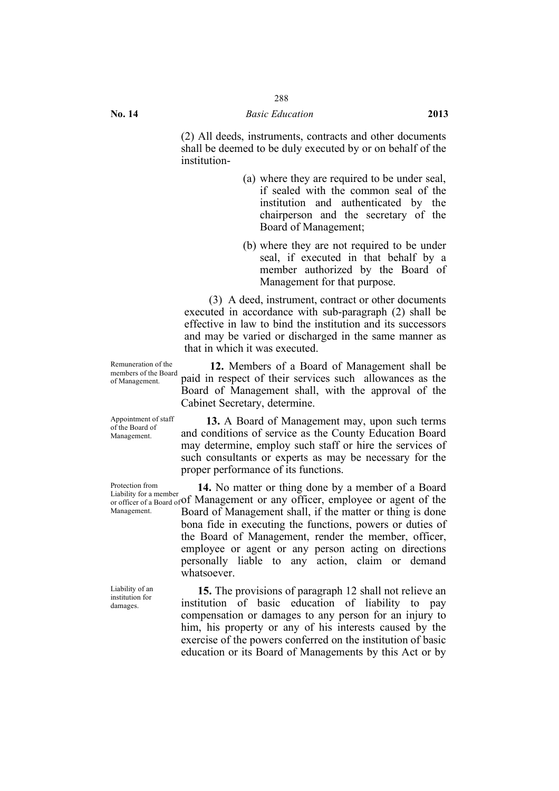(2) All deeds, instruments, contracts and other documents shall be deemed to be duly executed by or on behalf of the institution-

- (a) where they are required to be under seal, if sealed with the common seal of the institution and authenticated by the chairperson and the secretary of the Board of Management;
- (b) where they are not required to be under seal, if executed in that behalf by a member authorized by the Board of Management for that purpose.

(3) A deed, instrument, contract or other documents executed in accordance with sub-paragraph (2) shall be effective in law to bind the institution and its successors and may be varied or discharged in the same manner as that in which it was executed.

**12.** Members of a Board of Management shall be paid in respect of their services such allowances as the Board of Management shall, with the approval of the Cabinet Secretary, determine.

**13.** A Board of Management may, upon such terms and conditions of service as the County Education Board may determine, employ such staff or hire the services of such consultants or experts as may be necessary for the proper performance of its functions.

 $\alpha$  or officer of a Board of Of Management or any officer, employee or agent of the **14.** No matter or thing done by a member of a Board Board of Management shall, if the matter or thing is done bona fide in executing the functions, powers or duties of the Board of Management, render the member, officer, employee or agent or any person acting on directions personally liable to any action, claim or demand whatsoever.

> **15.** The provisions of paragraph 12 shall not relieve an institution of basic education of liability to pay compensation or damages to any person for an injury to him, his property or any of his interests caused by the exercise of the powers conferred on the institution of basic education or its Board of Managements by this Act or by

Remuneration of the members of the Board of Management.

Appointment of staff of the Board of Management.

Protection from Liability for a member Management.

Liability of an institution for damages.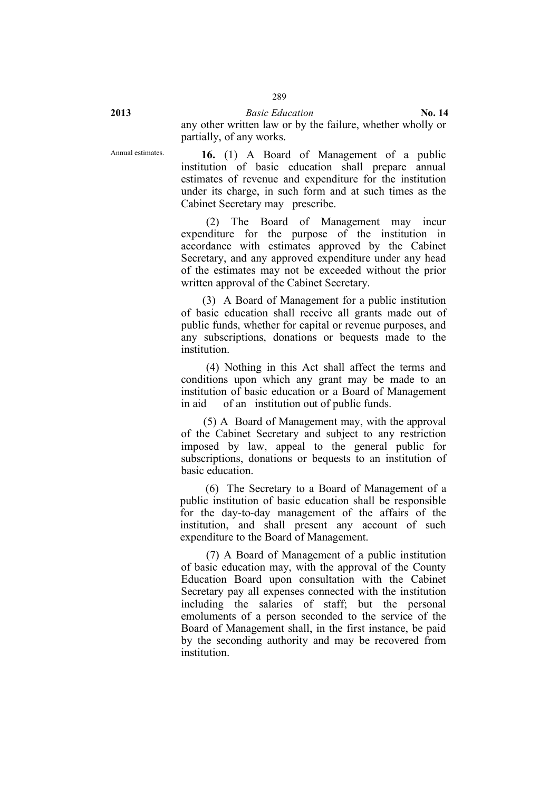**2013** *Basic Education* **No. 14** any other written law or by the failure, whether wholly or partially, of any works.

Annual estimates. **16.** (1) A Board of Management of a public institution of basic education shall prepare annual estimates of revenue and expenditure for the institution under its charge, in such form and at such times as the Cabinet Secretary may prescribe.

> (2) The Board of Management may incur expenditure for the purpose of the institution in accordance with estimates approved by the Cabinet Secretary, and any approved expenditure under any head of the estimates may not be exceeded without the prior written approval of the Cabinet Secretary.

> (3) A Board of Management for a public institution of basic education shall receive all grants made out of public funds, whether for capital or revenue purposes, and any subscriptions, donations or bequests made to the institution.

> (4) Nothing in this Act shall affect the terms and conditions upon which any grant may be made to an institution of basic education or a Board of Management in aid of an institution out of public funds.

> (5) A Board of Management may, with the approval of the Cabinet Secretary and subject to any restriction imposed by law, appeal to the general public for subscriptions, donations or bequests to an institution of basic education.

> (6) The Secretary to a Board of Management of a public institution of basic education shall be responsible for the day-to-day management of the affairs of the institution, and shall present any account of such expenditure to the Board of Management.

> (7) A Board of Management of a public institution of basic education may, with the approval of the County Education Board upon consultation with the Cabinet Secretary pay all expenses connected with the institution including the salaries of staff; but the personal emoluments of a person seconded to the service of the Board of Management shall, in the first instance, be paid by the seconding authority and may be recovered from institution.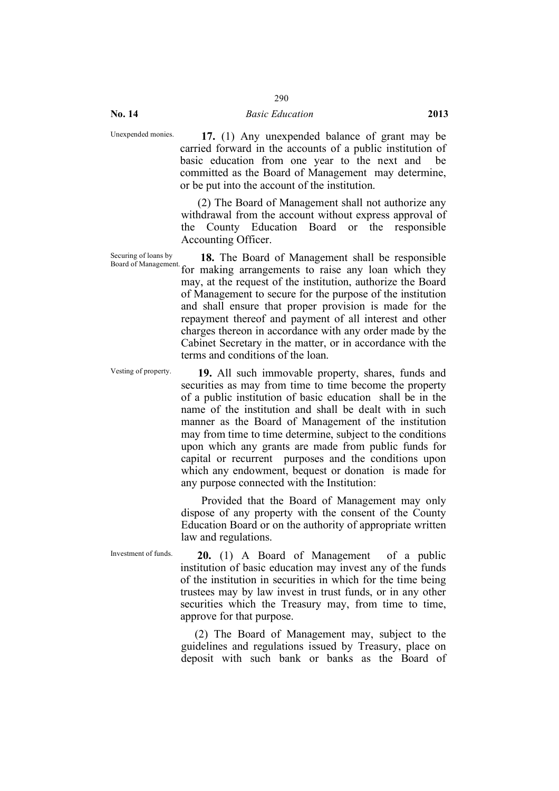**No. 14** *Basic Education* **2013**

Unexpended monies. **17.** (1) Any unexpended balance of grant may be carried forward in the accounts of a public institution of basic education from one year to the next and be committed as the Board of Management may determine, or be put into the account of the institution.

> (2) The Board of Management shall not authorize any withdrawal from the account without express approval of the County Education Board or the responsible Accounting Officer.

Securing of loans by<br>Board of Management. 18. The Board of Management shall be responsible for making arrangements to raise any loan which they may, at the request of the institution, authorize the Board of Management to secure for the purpose of the institution and shall ensure that proper provision is made for the repayment thereof and payment of all interest and other charges thereon in accordance with any order made by the Cabinet Secretary in the matter, or in accordance with the terms and conditions of the loan.

Vesting of property. **19.** All such immovable property, shares, funds and securities as may from time to time become the property of a public institution of basic education shall be in the name of the institution and shall be dealt with in such manner as the Board of Management of the institution may from time to time determine, subject to the conditions upon which any grants are made from public funds for capital or recurrent purposes and the conditions upon which any endowment, bequest or donation is made for any purpose connected with the Institution:

> Provided that the Board of Management may only dispose of any property with the consent of the County Education Board or on the authority of appropriate written law and regulations.

Investment of funds. **20.** (1) A Board of Management of a public institution of basic education may invest any of the funds of the institution in securities in which for the time being trustees may by law invest in trust funds, or in any other securities which the Treasury may, from time to time, approve for that purpose.

> (2) The Board of Management may, subject to the guidelines and regulations issued by Treasury, place on deposit with such bank or banks as the Board of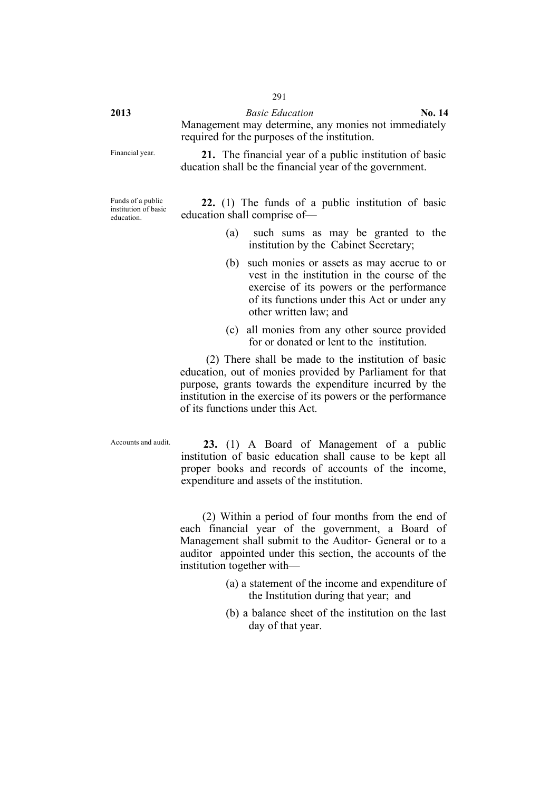**2013** *Basic Education* **No. 14** Management may determine, any monies not immediately required for the purposes of the institution.

Financial year. **21.** The financial year of a public institution of basic ducation shall be the financial year of the government.

Funds of a public institution of basic education.

**22.** (1) The funds of a public institution of basic education shall comprise of—

- (a) such sums as may be granted to the institution by the Cabinet Secretary;
- (b) such monies or assets as may accrue to or vest in the institution in the course of the exercise of its powers or the performance of its functions under this Act or under any other written law; and
- (c) all monies from any other source provided for or donated or lent to the institution.

(2) There shall be made to the institution of basic education, out of monies provided by Parliament for that purpose, grants towards the expenditure incurred by the institution in the exercise of its powers or the performance of its functions under this Act.

Accounts and audit. **23.** (1) A Board of Management of a public institution of basic education shall cause to be kept all proper books and records of accounts of the income, expenditure and assets of the institution.

> (2) Within a period of four months from the end of each financial year of the government, a Board of Management shall submit to the Auditor- General or to a auditor appointed under this section, the accounts of the institution together with—

- (a) a statement of the income and expenditure of the Institution during that year; and
- (b) a balance sheet of the institution on the last day of that year.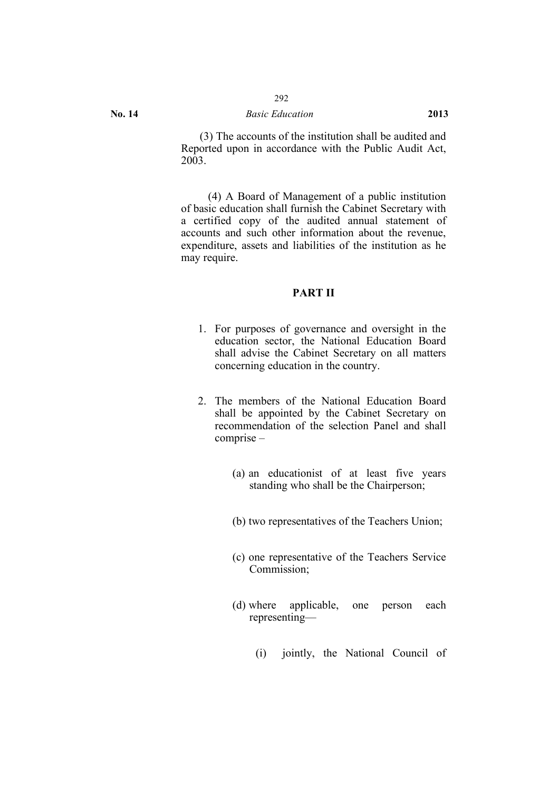## **No. 14** *Basic Education* **2013**

(3) The accounts of the institution shall be audited and Reported upon in accordance with the Public Audit Act, 2003.

(4) A Board of Management of a public institution of basic education shall furnish the Cabinet Secretary with a certified copy of the audited annual statement of accounts and such other information about the revenue, expenditure, assets and liabilities of the institution as he may require.

## **PART II**

- 1. For purposes of governance and oversight in the education sector, the National Education Board shall advise the Cabinet Secretary on all matters concerning education in the country.
- 2. The members of the National Education Board shall be appointed by the Cabinet Secretary on recommendation of the selection Panel and shall comprise –
	- (a) an educationist of at least five years standing who shall be the Chairperson;
	- (b) two representatives of the Teachers Union;
	- (c) one representative of the Teachers Service Commission;
	- (d) where applicable, one person each representing—
		- (i) jointly, the National Council of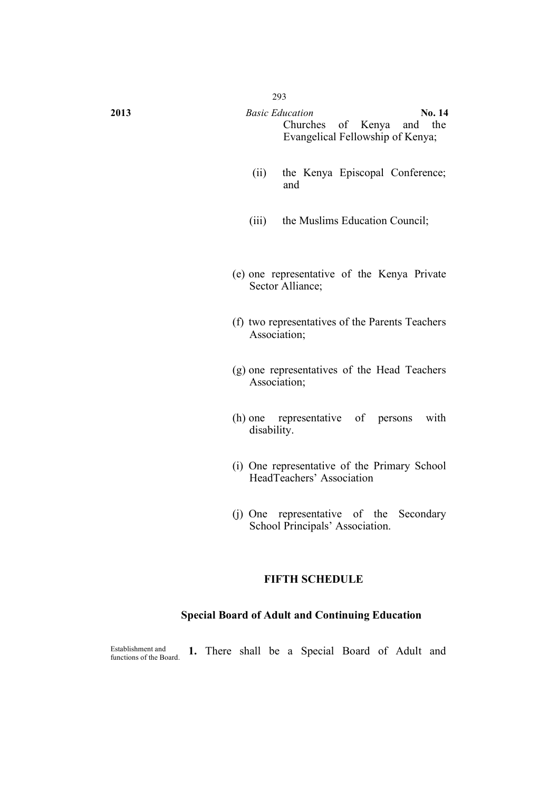| 2013 | <b>Basic Education</b>    |  |                                  |  |  |
|------|---------------------------|--|----------------------------------|--|--|
|      | Churches of Kenya and the |  |                                  |  |  |
|      |                           |  | Evangelical Fellowship of Kenya; |  |  |

- (ii) the Kenya Episcopal Conference; and
- (iii) the Muslims Education Council;
- (e) one representative of the Kenya Private Sector Alliance;
- (f) two representatives of the Parents Teachers Association;
- (g) one representatives of the Head Teachers Association;
- (h) one representative of persons with disability.
- (i) One representative of the Primary School HeadTeachers' Association
- (j) One representative of the Secondary School Principals' Association.

### **FIFTH SCHEDULE**

## **Special Board of Adult and Continuing Education**

Establishment and<br>functions of the Board. 1. There shall be a Special Board of Adult and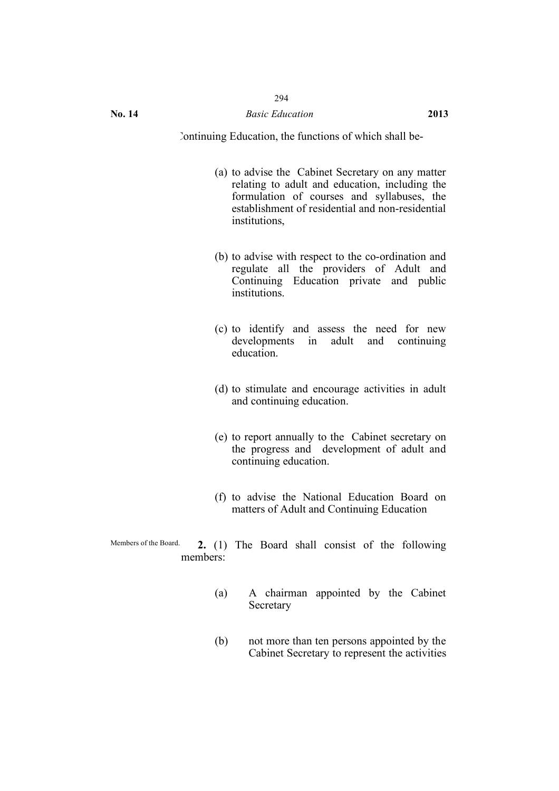Continuing Education, the functions of which shall be-

- (a) to advise the Cabinet Secretary on any matter relating to adult and education, including the formulation of courses and syllabuses, the establishment of residential and non-residential institutions,
- (b) to advise with respect to the co-ordination and regulate all the providers of Adult and Continuing Education private and public institutions.
- (c) to identify and assess the need for new developments in adult and continuing education.
- (d) to stimulate and encourage activities in adult and continuing education.
- (e) to report annually to the Cabinet secretary on the progress and development of adult and continuing education.
- (f) to advise the National Education Board on matters of Adult and Continuing Education
- Members of the Board. **2.** (1) The Board shall consist of the following members:
	- (a) A chairman appointed by the Cabinet Secretary
	- (b) not more than ten persons appointed by the Cabinet Secretary to represent the activities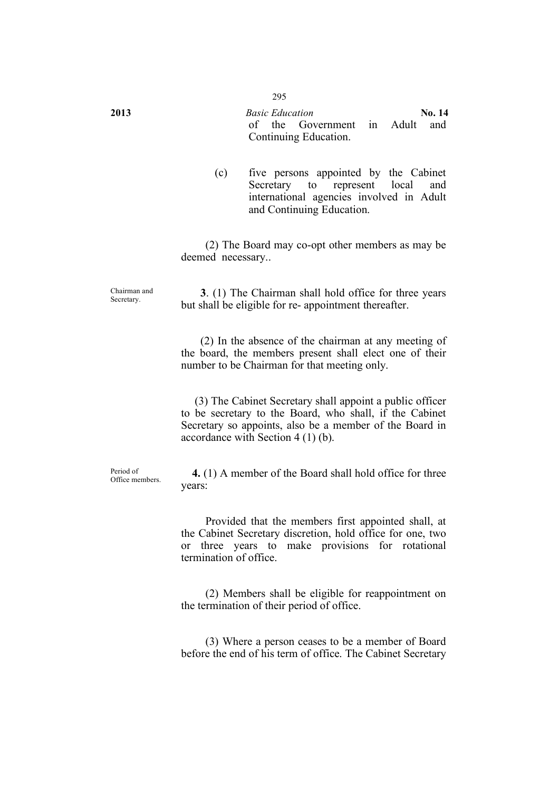**2013** *Basic Education* **No. 14** of the Government in Adult and Continuing Education.

> (c) five persons appointed by the Cabinet Secretary to represent local and international agencies involved in Adult and Continuing Education.

(2) The Board may co-opt other members as may be deemed necessary..

Secretary. **3**. (1) The Chairman shall hold office for three years but shall be eligible for re- appointment thereafter.

> (2) In the absence of the chairman at any meeting of the board, the members present shall elect one of their number to be Chairman for that meeting only.

> (3) The Cabinet Secretary shall appoint a public officer to be secretary to the Board, who shall, if the Cabinet Secretary so appoints, also be a member of the Board in accordance with Section 4 (1) (b).

Period of<br>Office members

4. (1) A member of the Board shall hold office for three years:

Provided that the members first appointed shall, at the Cabinet Secretary discretion, hold office for one, two or three years to make provisions for rotational termination of office.

(2) Members shall be eligible for reappointment on the termination of their period of office.

(3) Where a person ceases to be a member of Board before the end of his term of office. The Cabinet Secretary

Chairman and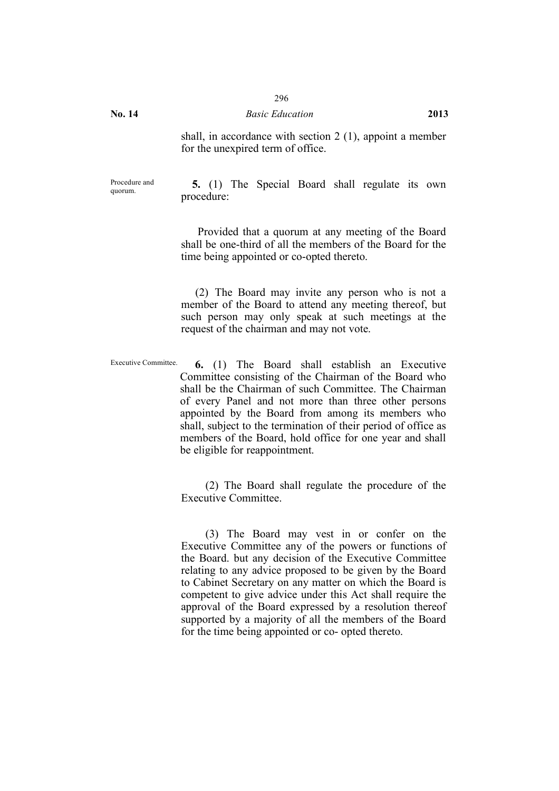shall, in accordance with section 2 (1), appoint a member for the unexpired term of office.

Procedure and

**5.** (1) The Special Board shall regulate its own procedure:

Provided that a quorum at any meeting of the Board shall be one-third of all the members of the Board for the time being appointed or co-opted thereto.

(2) The Board may invite any person who is not a member of the Board to attend any meeting thereof, but such person may only speak at such meetings at the request of the chairman and may not vote.

Executive Committee. **6.** (1) The Board shall establish an Executive Committee consisting of the Chairman of the Board who shall be the Chairman of such Committee. The Chairman of every Panel and not more than three other persons appointed by the Board from among its members who shall, subject to the termination of their period of office as members of the Board, hold office for one year and shall be eligible for reappointment.

> (2) The Board shall regulate the procedure of the Executive Committee.

> (3) The Board may vest in or confer on the Executive Committee any of the powers or functions of the Board. but any decision of the Executive Committee relating to any advice proposed to be given by the Board to Cabinet Secretary on any matter on which the Board is competent to give advice under this Act shall require the approval of the Board expressed by a resolution thereof supported by a majority of all the members of the Board for the time being appointed or co- opted thereto.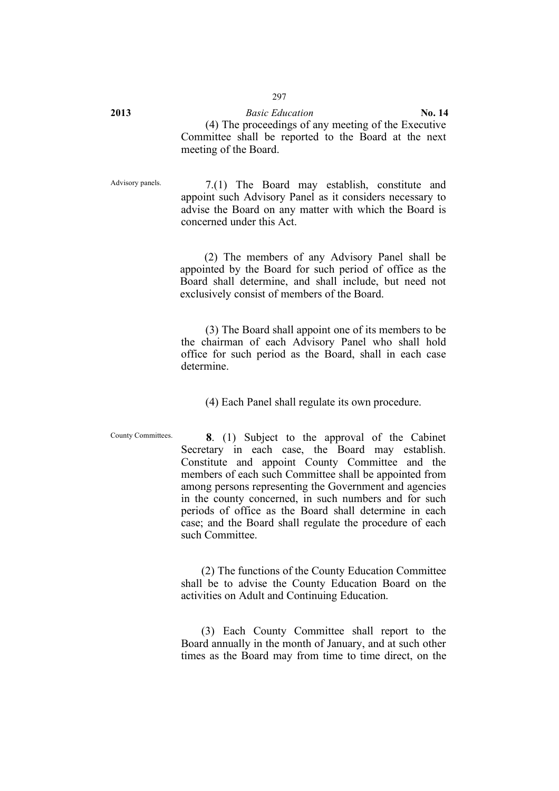**2013** *Basic Education* **No. 14** (4) The proceedings of any meeting of the Executive Committee shall be reported to the Board at the next meeting of the Board.

Advisory panels. 7.(1) The Board may establish, constitute and appoint such Advisory Panel as it considers necessary to advise the Board on any matter with which the Board is concerned under this Act.

> (2) The members of any Advisory Panel shall be appointed by the Board for such period of office as the Board shall determine, and shall include, but need not exclusively consist of members of the Board.

> (3) The Board shall appoint one of its members to be the chairman of each Advisory Panel who shall hold office for such period as the Board, shall in each case determine.

(4) Each Panel shall regulate its own procedure.

County Committees. **8**. (1) Subject to the approval of the Cabinet Secretary in each case, the Board may establish. Constitute and appoint County Committee and the members of each such Committee shall be appointed from among persons representing the Government and agencies in the county concerned, in such numbers and for such periods of office as the Board shall determine in each case; and the Board shall regulate the procedure of each such Committee.

> (2) The functions of the County Education Committee shall be to advise the County Education Board on the activities on Adult and Continuing Education.

> (3) Each County Committee shall report to the Board annually in the month of January, and at such other times as the Board may from time to time direct, on the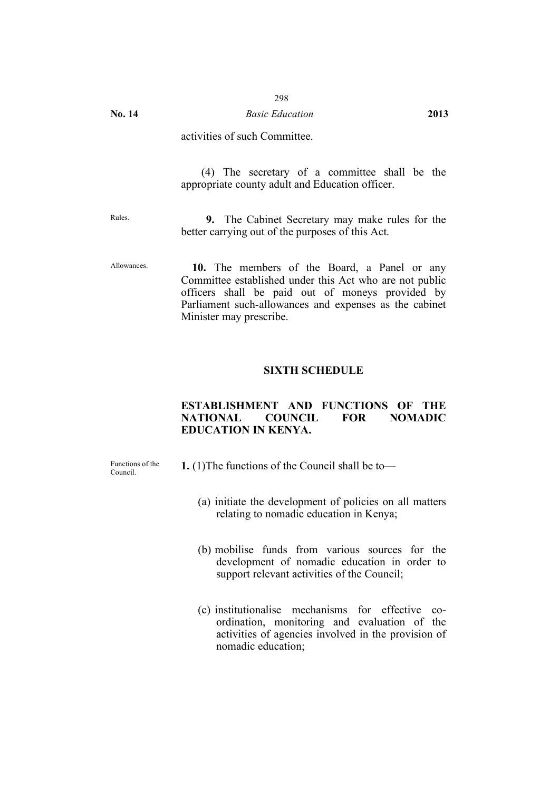## **No. 14** *Basic Education* **2013**

## activities of such Committee.

(4) The secretary of a committee shall be the appropriate county adult and Education officer.

Rules. **9.** The Cabinet Secretary may make rules for the better carrying out of the purposes of this Act.

Allowances. **10.** The members of the Board, a Panel or any Committee established under this Act who are not public officers shall be paid out of moneys provided by Parliament such-allowances and expenses as the cabinet Minister may prescribe.

#### **SIXTH SCHEDULE**

## **ESTABLISHMENT AND FUNCTIONS OF THE NATIONAL COUNCIL FOR NOMADIC EDUCATION IN KENYA.**

Functions of the<br>Council.

- **1.** (1) The functions of the Council shall be to—
	- (a) initiate the development of policies on all matters relating to nomadic education in Kenya;
	- (b) mobilise funds from various sources for the development of nomadic education in order to support relevant activities of the Council;
	- (c) institutionalise mechanisms for effective coordination, monitoring and evaluation of the activities of agencies involved in the provision of nomadic education;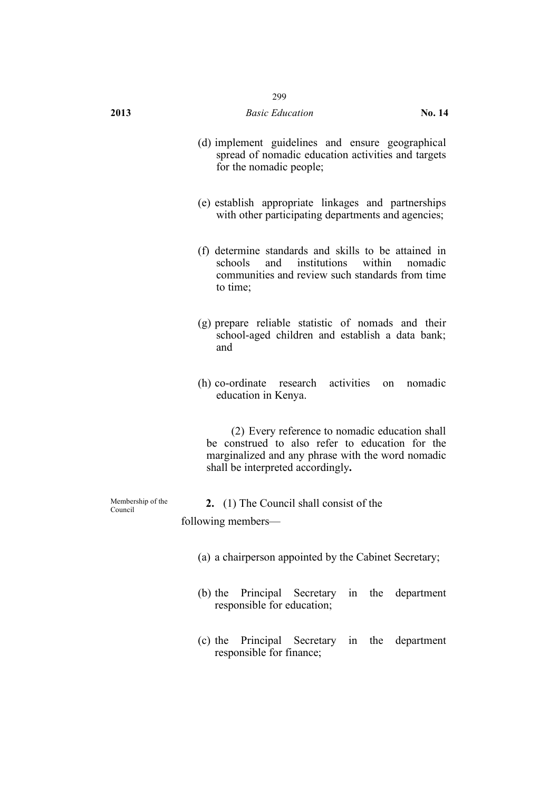## **2013** *Basic Education* **No. 14**

- (d) implement guidelines and ensure geographical spread of nomadic education activities and targets for the nomadic people;
- (e) establish appropriate linkages and partnerships with other participating departments and agencies;
- (f) determine standards and skills to be attained in institutions within communities and review such standards from time to time;
- (g) prepare reliable statistic of nomads and their school-aged children and establish a data bank; and
- (h) co-ordinate research activities on nomadic education in Kenya.

(2) Every reference to nomadic education shall be construed to also refer to education for the marginalized and any phrase with the word nomadic shall be interpreted accordingly**.**

Membership of the 2. (1) The Council shall consist of the following members—

- (a) a chairperson appointed by the Cabinet Secretary;
- (b) the Principal Secretary in the department responsible for education;
- (c) the Principal Secretary in the department responsible for finance;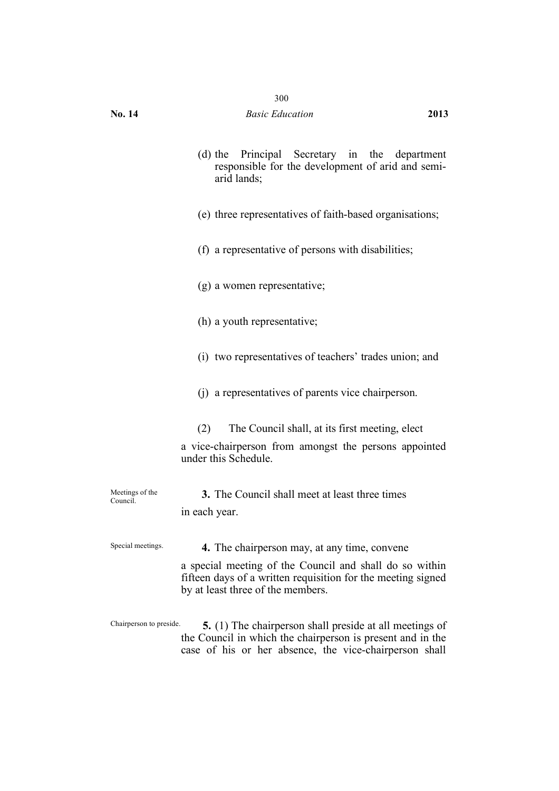|  | (d) the Principal Secretary in the department     |  |  |  |  |  |
|--|---------------------------------------------------|--|--|--|--|--|
|  | responsible for the development of arid and semi- |  |  |  |  |  |
|  | arid lands;                                       |  |  |  |  |  |

- (e) three representatives of faith-based organisations;
- (f) a representative of persons with disabilities;
- (g) a women representative;
- (h) a youth representative;
- (i) two representatives of teachers' trades union; and
- (j) a representatives of parents vice chairperson.
- (2) The Council shall, at its first meeting, elect
- a vice-chairperson from amongst the persons appointed under this Schedule.

| Meetings of the<br>Council. | <b>3.</b> The Council shall meet at least three times |
|-----------------------------|-------------------------------------------------------|
|                             | in each year.                                         |
|                             |                                                       |

Special meetings. **4.** The chairperson may, at any time, convene

a special meeting of the Council and shall do so within fifteen days of a written requisition for the meeting signed by at least three of the members.

Chairperson to preside. **5.** (1) The chairperson shall preside at all meetings of the Council in which the chairperson is present and in the case of his or her absence, the vice-chairperson shall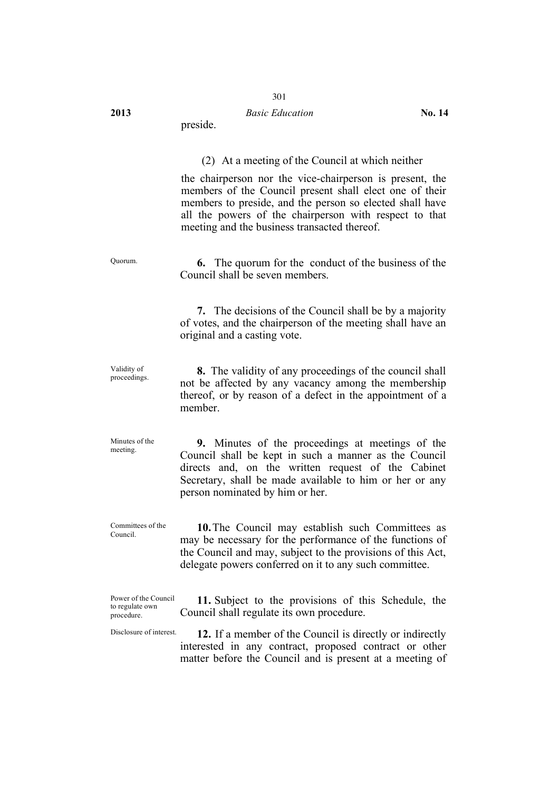#### **2013** *Basic Education* **No. 14**

preside.

#### (2) At a meeting of the Council at which neither

the chairperson nor the vice-chairperson is present, the members of the Council present shall elect one of their members to preside, and the person so elected shall have all the powers of the chairperson with respect to that meeting and the business transacted thereof.

Quorum. **6.** The quorum for the conduct of the business of the Council shall be seven members.

> **7.** The decisions of the Council shall be by a majority of votes, and the chairperson of the meeting shall have an original and a casting vote.

Validity of<br>proceedings. proceedings. **8.** The validity of any proceedings of the council shall not be affected by any vacancy among the membership thereof, or by reason of a defect in the appointment of a member.

Minutes of the Minutes of the **9.** Minutes of the proceedings at meetings of the meeting Council shall be kept in such a manner as the Council directs and, on the written request of the Cabinet Secretary, shall be made available to him or her or any person nominated by him or her.

Committees of the Committees of the **10.** The Council may establish such Committees as may be necessary for the performance of the functions of the Council and may, subject to the provisions of this Act, delegate powers conferred on it to any such committee.

Power of the Council to regulate own procedure. **11.** Subject to the provisions of this Schedule, the Council shall regulate its own procedure.

Disclosure of interest. **12.** If a member of the Council is directly or indirectly interested in any contract, proposed contract or other matter before the Council and is present at a meeting of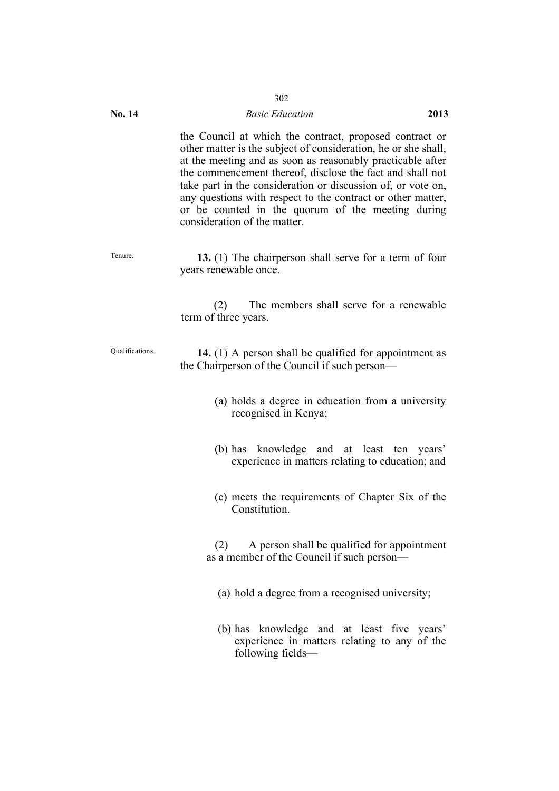#### **No. 14** *Basic Education* **2013**

the Council at which the contract, proposed contract or other matter is the subject of consideration, he or she shall, at the meeting and as soon as reasonably practicable after the commencement thereof, disclose the fact and shall not take part in the consideration or discussion of, or vote on, any questions with respect to the contract or other matter, or be counted in the quorum of the meeting during consideration of the matter.

Tenure. **13.** (1) The chairperson shall serve for a term of four years renewable once.

> (2) The members shall serve for a renewable term of three years.

Qualifications. **14.** (1) A person shall be qualified for appointment as the Chairperson of the Council if such person—

- (a) holds a degree in education from a university recognised in Kenya;
- (b) has knowledge and at least ten years' experience in matters relating to education; and
- (c) meets the requirements of Chapter Six of the Constitution.

(2) A person shall be qualified for appointment as a member of the Council if such person—

- (a) hold a degree from a recognised university;
- (b) has knowledge and at least five years' experience in matters relating to any of the following fields—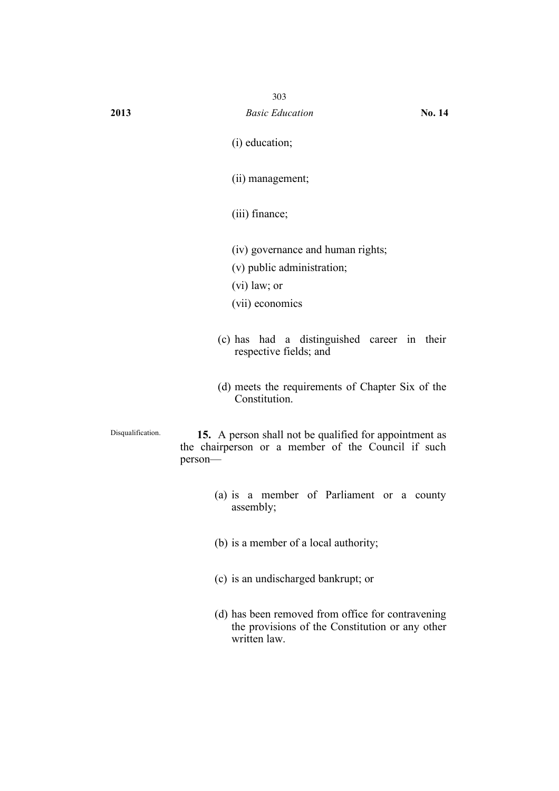- (i) education;
- (ii) management;
- (iii) finance;
- (iv) governance and human rights;
- (v) public administration;
- (vi) law; or
- (vii) economics
- (c) has had a distinguished career in their respective fields; and
- (d) meets the requirements of Chapter Six of the Constitution.

Disqualification. **15.** A person shall not be qualified for appointment as the chairperson or a member of the Council if such person—

- (a) is a member of Parliament or a county assembly;
- (b) is a member of a local authority;
- (c) is an undischarged bankrupt; or
- (d) has been removed from office for contravening the provisions of the Constitution or any other written law.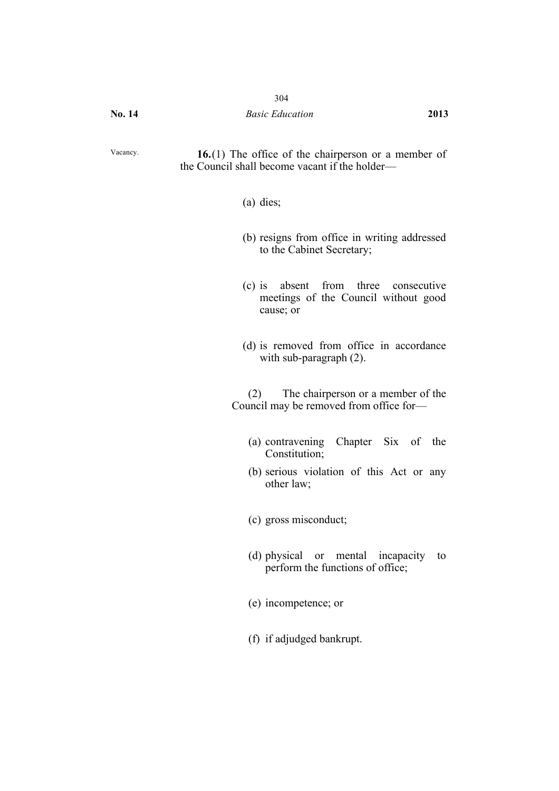Vacancy. **16.**(1) The office of the chairperson or a member of the Council shall become vacant if the holder—

- (a) dies;
- (b) resigns from office in writing addressed to the Cabinet Secretary;
- (c) is absent from three consecutive meetings of the Council without good cause; or
- (d) is removed from office in accordance with sub-paragraph (2).

(2) The chairperson or a member of the Council may be removed from office for—

- (a) contravening Chapter Six of the Constitution;
- (b) serious violation of this Act or any other law;
- (c) gross misconduct;
- (d) physical or mental incapacity to perform the functions of office;
- (e) incompetence; or
- (f) if adjudged bankrupt.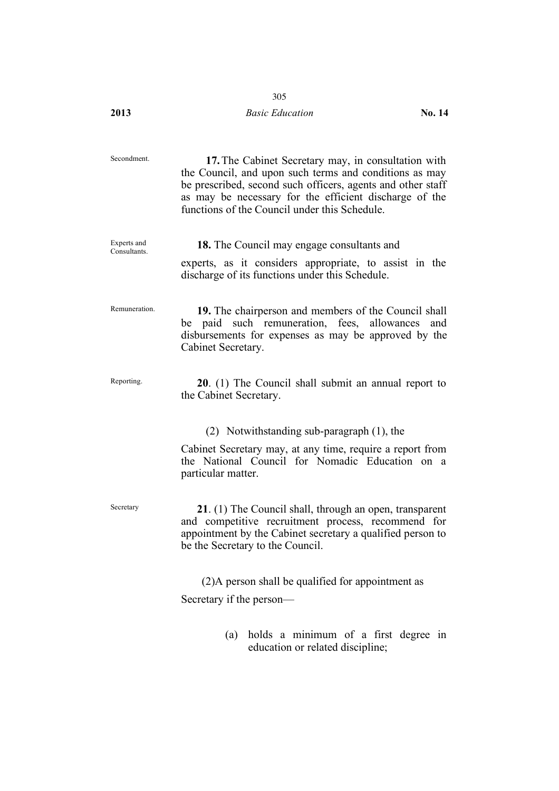# **2013** *Basic Education* **No. 14**

| Secondment.                 | 17. The Cabinet Secretary may, in consultation with<br>the Council, and upon such terms and conditions as may<br>be prescribed, second such officers, agents and other staff<br>as may be necessary for the efficient discharge of the<br>functions of the Council under this Schedule. |
|-----------------------------|-----------------------------------------------------------------------------------------------------------------------------------------------------------------------------------------------------------------------------------------------------------------------------------------|
| Experts and<br>Consultants. | <b>18.</b> The Council may engage consultants and<br>experts, as it considers appropriate, to assist in the<br>discharge of its functions under this Schedule.                                                                                                                          |
| Remuneration.               | 19. The chairperson and members of the Council shall<br>be paid such remuneration, fees, allowances<br>and<br>disbursements for expenses as may be approved by the<br>Cabinet Secretary.                                                                                                |
| Reporting.                  | 20. (1) The Council shall submit an annual report to<br>the Cabinet Secretary.                                                                                                                                                                                                          |
|                             | (2) Notwithstanding sub-paragraph (1), the                                                                                                                                                                                                                                              |
|                             | Cabinet Secretary may, at any time, require a report from<br>the National Council for Nomadic Education on a<br>particular matter.                                                                                                                                                      |
| Secretary                   | 21. (1) The Council shall, through an open, transparent<br>and competitive recruitment process, recommend for<br>appointment by the Cabinet secretary a qualified person to<br>be the Secretary to the Council.                                                                         |
|                             | (2) A person shall be qualified for appointment as                                                                                                                                                                                                                                      |
|                             | Secretary if the person-                                                                                                                                                                                                                                                                |
|                             | holds a minimum of a first degree in<br>(a)                                                                                                                                                                                                                                             |

education or related discipline;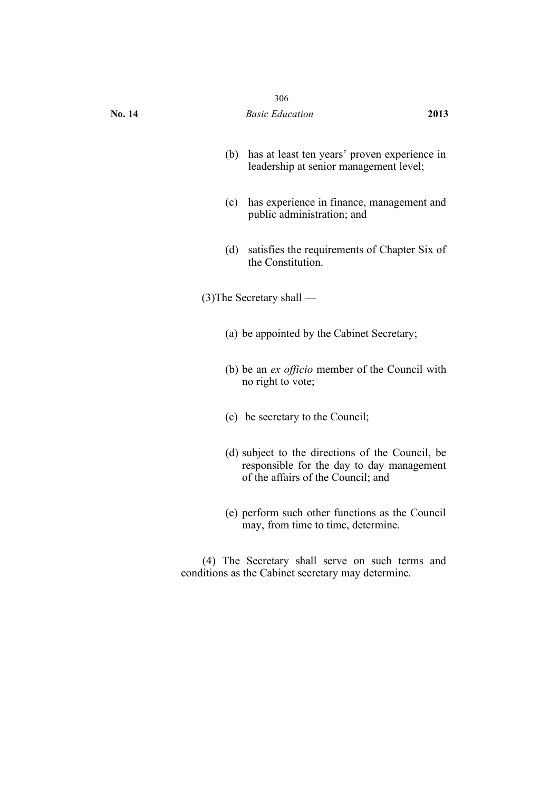|        | 306                                                                                                                                 |      |
|--------|-------------------------------------------------------------------------------------------------------------------------------------|------|
| No. 14 | <b>Basic Education</b>                                                                                                              | 2013 |
| (b)    | has at least ten years' proven experience in<br>leadership at senior management level;                                              |      |
| (c)    | has experience in finance, management and<br>public administration; and                                                             |      |
| (d)    | satisfies the requirements of Chapter Six of<br>the Constitution.                                                                   |      |
|        | $(3)$ The Secretary shall —                                                                                                         |      |
|        | (a) be appointed by the Cabinet Secretary;                                                                                          |      |
|        | (b) be an <i>ex officio</i> member of the Council with<br>no right to vote;                                                         |      |
|        | (c) be secretary to the Council;                                                                                                    |      |
|        | (d) subject to the directions of the Council, be<br>responsible for the day to day management<br>of the affairs of the Council; and |      |
|        | (e) perform such other functions as the Council<br>may, from time to time, determine.                                               |      |
|        |                                                                                                                                     |      |

(4) The Secretary shall serve on such terms and conditions as the Cabinet secretary may determine.